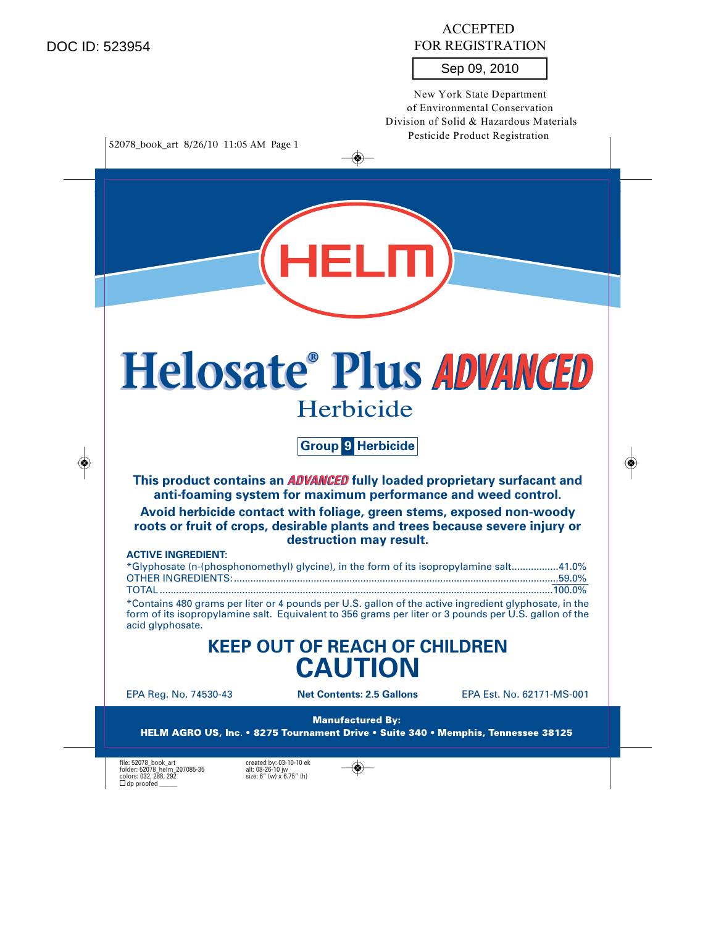DOC ID: 523954

◈

## ACCEPTED FOR REGISTRATION

## Sep 09, 2010

New York State Department of Environmental Conservation Division of Solid & Hazardous Materials Pesticide Product Registration

52078\_book\_art 8/26/10 11:05 AM Page 1



◈

**Group 9 Herbicide**

**This product contains an ADVANCED fully loaded proprietary surfacant and anti-foaming system for maximum performance and weed control.**

**Avoid herbicide contact with foliage, green stems, exposed non-woody roots or fruit of crops, desirable plants and trees because severe injury or destruction may result.**

## **ACTIVE INGREDIENT:**

| *Glyphosate (n-(phosphonomethyl) glycine), in the form of its isopropylamine salt41.0% |  |
|----------------------------------------------------------------------------------------|--|
|                                                                                        |  |
|                                                                                        |  |

\*Contains 480 grams per liter or 4 pounds per U.S. gallon of the active ingredient glyphosate, in the form of its isopropylamine salt. Equivalent to 356 grams per liter or 3 pounds per U.S. gallon of the acid glyphosate.

## **KEEP OUT OF REACH OF CHILDREN CAUTION**

EPA Reg. No. 74530-43 **Net Contents: 2.5 Gallons** EPA Est. No. 62171-MS-001

**Manufactured By:** HELM AGRO US, Inc. • 8275 Tournament Drive • Suite 340 • Memphis, Tennessee 38125

file: 52078\_book\_art created by: 03-10-10 ek<br>folder: 52078\_helm\_207085-35 alt: 08-26-10 jw<br>colors: 032, 288, 292  $\Box$  dp proofed  $\Box$ 

 $\circledast$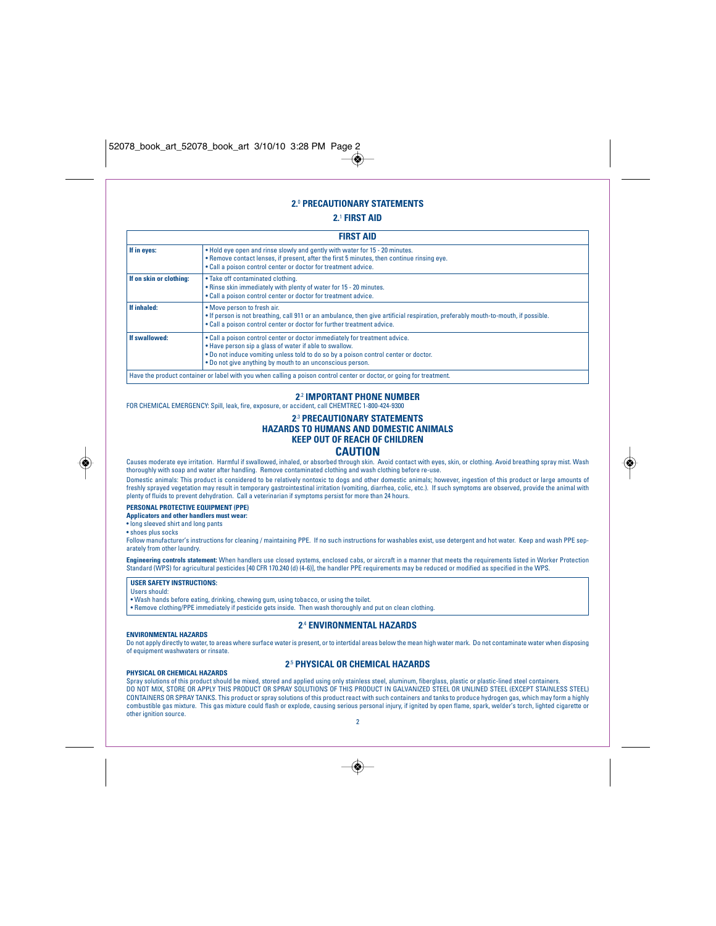## **2.**<sup>0</sup> **PRECAUTIONARY STATEMENTS**

◈

## **2.**<sup>1</sup> **FIRST AID**

|                         | <b>FIRST AID</b>                                                                                                                                                                                                                                                                         |
|-------------------------|------------------------------------------------------------------------------------------------------------------------------------------------------------------------------------------------------------------------------------------------------------------------------------------|
| If in eyes:             | • Hold eye open and rinse slowly and gently with water for 15 - 20 minutes.<br>. Remove contact lenses, if present, after the first 5 minutes, then continue rinsing eye.<br>. Call a poison control center or doctor for treatment advice.                                              |
| If on skin or clothing: | • Take off contaminated clothing.<br>. Rinse skin immediately with plenty of water for 15 - 20 minutes.<br>. Call a poison control center or doctor for treatment advice.                                                                                                                |
| If inhaled:             | • Move person to fresh air.<br>. If person is not breathing, call 911 or an ambulance, then give artificial respiration, preferably mouth-to-mouth, if possible.<br>. Call a poison control center or doctor for further treatment advice.                                               |
| If swallowed:           | . Call a poison control center or doctor immediately for treatment advice.<br>. Have person sip a glass of water if able to swallow.<br>. Do not induce vomiting unless told to do so by a poison control center or doctor.<br>. Do not give anything by mouth to an unconscious person. |
|                         | Have the product container or label with you when calling a poison control center or doctor, or going for treatment.                                                                                                                                                                     |

## **2**.2 **IMPORTANT PHONE NUMBER**

FOR CHEMICAL EMERGENCY: Spill, leak, fire, exposure, or accident, call CHEMTREC 1-800-424-9300

## **2**.3 **PRECAUTIONARY STATEMENTS HAZARDS TO HUMANS AND DOMESTIC ANIMALS KEEP OUT OF REACH OF CHILDREN CAUTION**

Causes moderate eye irritation. Harmful if swallowed, inhaled, or absorbed through skin. Avoid contact with eyes, skin, or clothing. Avoid breathing spray mist. Wash thoroughly with soap and water after handling. Remove contaminated clothing and wash clothing before re-use.

Domestic animals: This product is considered to be relatively nontoxic to dogs and other domestic animals; however, ingestion of this product or large amounts of freshly sprayed vegetation may result in temporary gastrointestinal irritation (vomiting, diarrhea, colic, etc.). If such symptoms are observed, provide the animal with plenty of fluids to prevent dehydration. Call a veterinarian if symptoms persist for more than 24 hours.

## **PERSONAL PROTECTIVE EQUIPMENT (PPE)**

**Applicators and other handlers must wear:**

• long sleeved shirt and long pants • shoes plus socks

Follow manufacturer's instructions for cleaning / maintaining PPE. If no such instructions for washables exist, use detergent and hot water. Keep and wash PPE separately from other laundry.

**Engineering controls statement:** When handlers use closed systems, enclosed cabs, or aircraft in a manner that meets the requirements listed in Worker Protection<br>Standard (WPS) for agricultural pesticides [40 CFR 170.240

**USER SAFETY INSTRUCTIONS:** Users should:

**ENVIRONMENTAL HAZARDS**

• Wash hands before eating, drinking, chewing gum, using tobacco, or using the toilet. • Remove clothing/PPE immediately if pesticide gets inside. Then wash thoroughly and put on clean clothing.

## **2**.4 **ENVIRONMENTAL HAZARDS**

Do not apply directly to water, to areas where surface water is present, or to intertidal areas below the mean high water mark. Do not contaminate water when disposing of equipment washwaters or rinsate.

## **PHYSICAL OR CHEMICAL HAZARDS**

## **2**.5 **PHYSICAL OR CHEMICAL HAZARDS**

Spray solutions of this product should be mixed, stored and applied using only stainless steel, aluminum, fiberglass, plastic or plastic-lined steel containers.<br>DO NOT MIX, STORE OR APPLY THIS PRODUCT OR SPRAY SOLUTIONS OF CONTAINERS OR SPRAY TANKS. This product or spray solutions of this product react with such containers and tanks to produce hydrogen gas, which may form a highly combustible gas mixture. This gas mixture could flash or explode, causing serious personal injury, if ignited by open flame, spark, welder's torch, lighted cigarette or other ignition source. 2

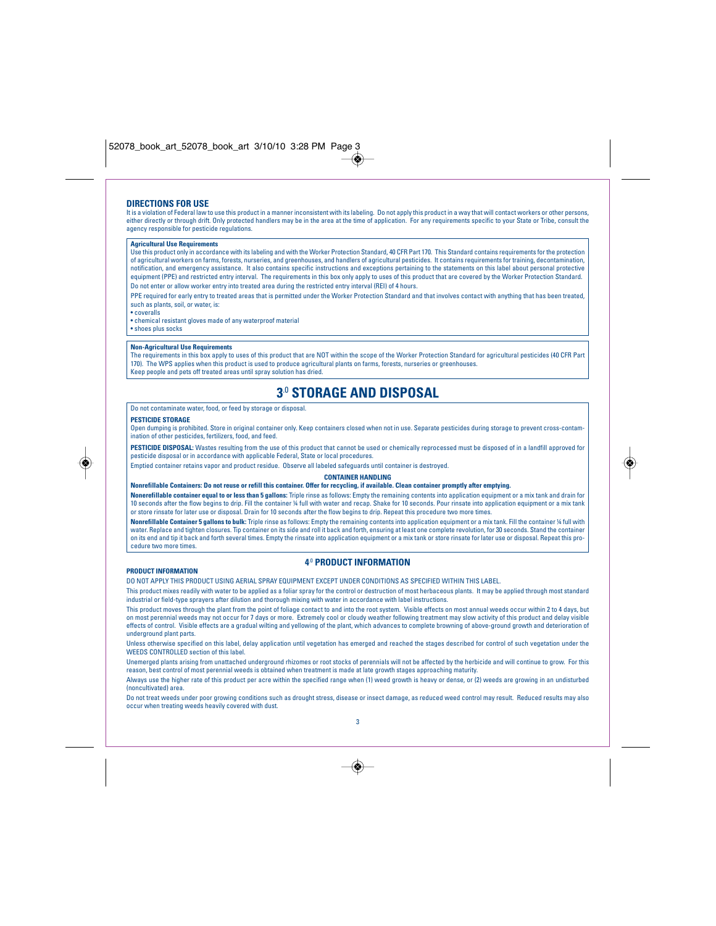## **DIRECTIONS FOR USE**

It is a violation of Federal law to use this product in a manner inconsistent with its labeling. Do not apply this product in a way that will contact workers or other persons, either directly or through drift. Only protected handlers may be in the area at the time of application. For any requirements specific to your State or Tribe, consult the agency responsible for pesticide regulations.

#### **Agricultural Use Requirement**

Use this product only in accordance with its labeling and with the Worker Protection Standard, 40 CFR Part 170. This Standard contains requirements for the protection of agricultural workers on farms, forests, nurseries, and greenhouses, and handlers of agricultural pesticides. It contains requirements for training, decontamination, notification, and emergency assistance. It also contains specific instructions and exceptions pertaining to the statements on this label about personal protective equipment (PPE) and restricted entry interval. The requirements in this box only apply to uses of this product that are covered by the Worker Protection Standard. Do not enter or allow worker entry into treated area during the restricted entry interval (REI) of 4 hours.

PPE required for early entry to treated areas that is permitted under the Worker Protection Standard and that involves contact with anything that has been treated, such as plants, soil, or water, is:

• coveralls

• chemical resistant gloves made of any waterproof material • shoes plus socks

#### **Non-Agricultural Use Requirements**

The requirements in this box apply to uses of this product that are NOT within the scope of the Worker Protection Standard for agricultural pesticides (40 CFR Part 170). The WPS applies when this product is used to produce agricultural plants on farms, forests, nurseries or greenhouses. Keep people and pets off treated areas until spray solution has dried.

## **3**.0 **STORAGE AND DISPOSAL**

Do not contaminate water, food, or feed by storage or disposal.

### **PESTICIDE STORAGE**

◈

Open dumping is prohibited. Store in original container only. Keep containers closed when not in use. Separate pesticides during storage to prevent cross-contam-ination of other pesticides, fertilizers, food, and feed.

**PESTICIDE DISPOSAL:** Wastes resulting from the use of this product that cannot be used or chemically reprocessed must be disposed of in a landfill approved for pesticide disposal or in accordance with applicable Federal, State or local procedures.

Emptied container retains vapor and product residue. Observe all labeled safeguards until container is destroyed.

#### **CONTAINER HANDLING**

**Nonrefillable Containers: Do not reuse or refill this container. Offer for recycling, if available. Clean container promptly after emptying.**

**Nonerefillable container equal to or less than 5 gallons:** Triple rinse as follows: Empty the remaining contents into application equipment or a mix tank and drain for 10 seconds after the flow begins to drip. Fill the container ¼ full with water and recap. Shake for 10 seconds. Pour rinsate into application equipment or a mix tank or store rinsate for later use or disposal. Drain for 10 seconds after the flow begins to drip. Repeat this procedure two more times.

**Nonrefillable Container 5 gallons to bulk:** Triple rinse as follows: Empty the remaining contents into application equipment or a mix tank. Fill the container ¼ full with water. Replace and tighten closures. Tip container on its side and roll it back and forth, ensuring at least one complete revolution, for 30 seconds. Stand the container on its end and tip it back and forth several times. Empty the rinsate into application equipment or a mix tank or store rinsate for later use or disposal. Repeat this procedure two more times.

## **PRODUCT INFORMATION**

## **4**.0 **PRODUCT INFORMATION**

DO NOT APPLY THIS PRODUCT USING AERIAL SPRAY EQUIPMENT EXCEPT UNDER CONDITIONS AS SPECIFIED WITHIN THIS LABEL.

This product mixes readily with water to be applied as a foliar spray for the control or destruction of most herbaceous plants. It may be applied through most standard industrial or field-type sprayers after dilution and thorough mixing with water in accordance with label instructions.

This product moves through the plant from the point of foliage contact to and into the root system. Visible effects on most annual weeds occur within 2 to 4 days, but on most perennial weeds may not occur for 7 days or more. Extremely cool or cloudy weather following treatment may slow activity of this product and delay visible effects of control. Visible effects are a gradual wilting and yellowing of the plant, which advances to complete browning of above-ground growth and deterioration of underground plant parts.

Unless otherwise specified on this label, delay application until vegetation has emerged and reached the stages described for control of such vegetation under the WEEDS CONTROLLED section of this label.

Unemerged plants arising from unattached underground rhizomes or root stocks of perennials will not be affected by the herbicide and will continue to grow. For this reason, best control of most perennial weeds is obtained when treatment is made at late growth stages approaching maturity.

Always use the higher rate of this product per acre within the specified range when (1) weed growth is heavy or dense, or (2) weeds are growing in an undisturbed (noncultivated) area.

Do not treat weeds under poor growing conditions such as drought stress, disease or insect damage, as reduced weed control may result. Reduced results may also occur when treating weeds heavily covered with dust.



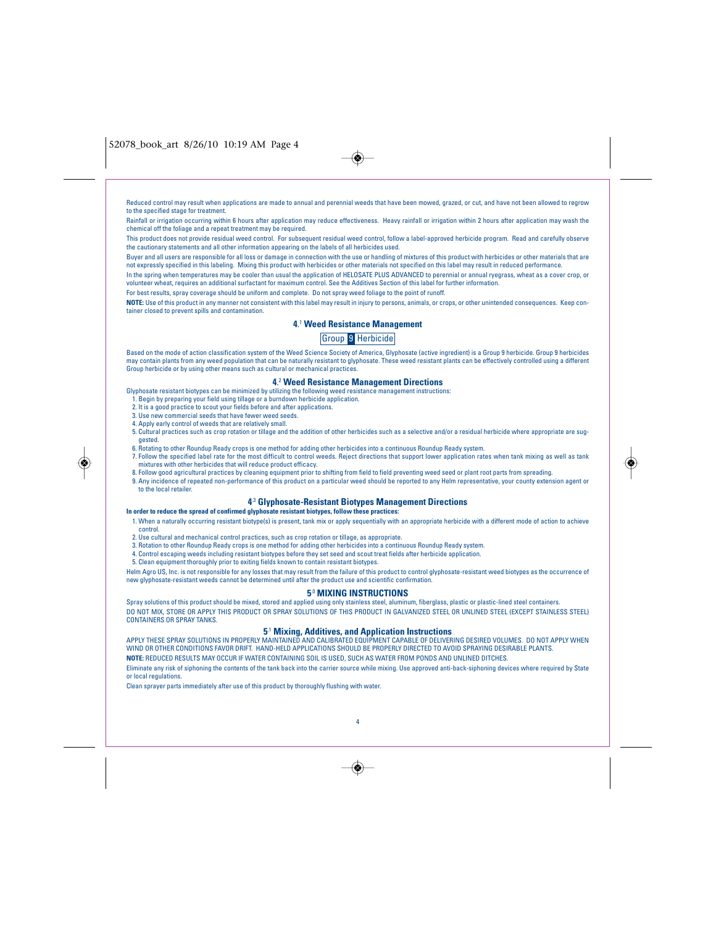$\bigcirc$ 

Reduced control may result when applications are made to annual and perennial weeds that have been mowed, grazed, or cut, and have not been allowed to regrow to the specified stage for treatment

Rainfall or irrigation occurring within 6 hours after application may reduce effectiveness. Heavy rainfall or irrigation within 2 hours after application may wash the chemical off the foliage and a repeat treatment may be required.

This product does not provide residual weed control. For subsequent residual weed control, follow a label-approved herbicide program. Read and carefully observe the cautionary statements and all other information appearing on the labels of all herbicides used.

Buyer and all users are responsible for all loss or damage in connection with the use or handling of mixtures of this product with herbicides or other materials that are not expressly specified in this labeling. Mixing this product with herbicides or other materials not specified on this label may result in reduced performance. In the spring when temperatures may be cooler than usual the application of HELOSATE PLUS ADVANCED to perennial or annual ryegrass, wheat as a cover crop, or

volunteer wheat, requires an additional surfactant for maximum control. See the Additives Section of this label for further information.

For best results, spray coverage should be uniform and complete. Do not spray weed foliage to the point of runoff.

**NOTE:** Use of this product in any manner not consistent with this label may result in injury to persons, animals, or crops, or other unintended consequences. Keep container closed to prevent spills and contamination.

## **4**. <sup>1</sup> **Weed Resistance Management**

## Group 9 Herbicide

Based on the mode of action classification system of the Weed Science Society of America, Glyphosate (active ingredient) is a Group 9 herbicide. Group 9 herbicides may contain plants from any weed population that can be naturally resistant to glyphosate. These weed resistant plants can be effectively controlled using a different Group herbicide or by using other means such as cultural or mechanical practices.

## **4**. <sup>2</sup> **Weed Resistance Management Directions**

Glyphosate resistant biotypes can be minimized by utilizing the following weed resistance management instructions: 1. Begin by preparing your field using tillage or a burndown herbicide application.

- 2. It is a good practice to scout your fields before and after applications.
- 3. Use new commercial seeds that have fewer weed seeds.
- 4. Apply early control of weeds that are relatively small.
- 
- 5. Cultural practices such as crop rotation or tillage and the addition of other herbicides such as a selective and/or a residual herbicide where appropriate are suggested.
- 6. Rotating to other Roundup Ready crops is one method for adding other herbicides into a continuous Roundup Ready system.
- 7. Follow the specified label rate for the most difficult to control weeds. Reject directions that support lower application rates when tank mixing as well as tank
- mixtures with other herbicides that will reduce product efficacy. 8. Follow good agricultural practices by cleaning equipment prior to shifting from field to field preventing weed seed or plant root parts from spreading.
- 9. Any incidence of repeated non-performance of this product on a particular weed should be reported to any Helm representative, your county extension agent or to the local retailer.

## **4**.3 **Glyphosate-Resistant Biotypes Management Directions**

**In order to reduce the spread of confirmed glyphosate resistant biotypes, follow these practices:** 1. When a naturally occurring resistant biotype(s) is present, tank mix or apply sequentially with an appropriate herbicide with a different mode of action to achieve control.

- 2. Use cultural and mechanical control practices, such as crop rotation or tillage, as appropriate.
- 3. Rotation to other Roundup Ready crops is one method for adding other herbicides into a continuous Roundup Ready system.
- 4. Control escaping weeds including resistant biotypes before they set seed and scout treat fields after herbicide application.
- 5. Clean equipment thoroughly prior to exiting fields known to contain resistant biotypes.

Helm Agro US, Inc. is not responsible for any losses that may result from the failure of this product to control glyphosate-resistant weed biotypes as the occurrence of new glyphosate-resistant weeds cannot be determined until after the product use and scientific confirmation.

## **5**.0 **MIXING INSTRUCTIONS**

Spray solutions of this product should be mixed, stored and applied using only stainless steel, aluminum, fiberglass, plastic or plastic-lined steel containers. DO NOT MIX, STORE OR APPLY THIS PRODUCT OR SPRAY SOLUTIONS OF THIS PRODUCT IN GALVANIZED STEEL OR UNLINED STEEL (EXCEPT STAINLESS STEEL) CONTAINERS OR SPRAY TANKS.

**5**.1 **Mixing, Additives, and Application Instructions** APPLY THESE SPRAY SOLUTIONS IN PROPERLY MAINTAINED AND CALIBRATED EQUIPMENT CAPABLE OF DELIVERING DESIRED VOLUMES. DO NOT APPLY WHEN WIND OR OTHER CONDITIONS FAVOR DRIFT. HAND-HELD APPLICATIONS SHOULD BE PROPERLY DIRECTED TO AVOID SPRAYING DESIRABLE PLANTS. **NOTE:** REDUCED RESULTS MAY OCCUR IF WATER CONTAINING SOIL IS USED, SUCH AS WATER FROM PONDS AND UNLINED DITCHES.

Eliminate any risk of siphoning the contents of the tank back into the carrier source while mixing. Use approved anti-back-siphoning devices where required by State or local regulations.

Clean sprayer parts immediately after use of this product by thoroughly flushing with water.



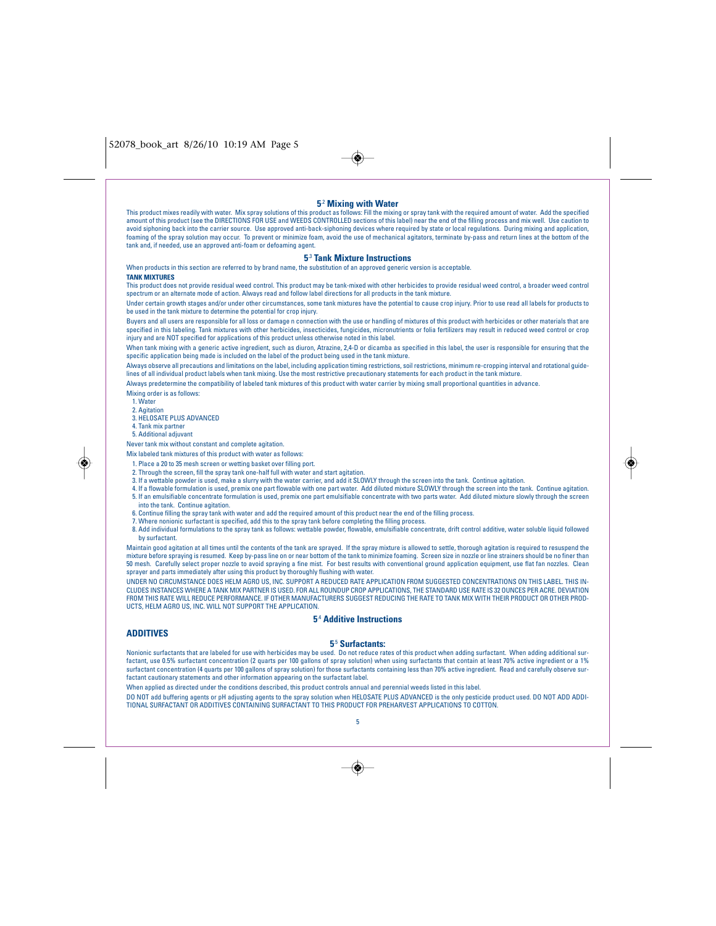| 5 <sup>2</sup> Mixing with Water<br>This product mixes readily with water. Mix spray solutions of this product as follows: Fill the mixing or spray tank with the required amount of water. Add the specified<br>amount of this product (see the DIRECTIONS FOR USE and WEEDS CONTROLLED sections of this label) near the end of the filling process and mix well. Use caution to<br>avoid siphoning back into the carrier source. Use approved anti-back-siphoning devices where required by state or local regulations. During mixing and application,<br>foaming of the spray solution may occur. To prevent or minimize foam, avoid the use of mechanical agitators, terminate by-pass and return lines at the bottom of the<br>tank and, if needed, use an approved anti-foam or defoaming agent. |
|--------------------------------------------------------------------------------------------------------------------------------------------------------------------------------------------------------------------------------------------------------------------------------------------------------------------------------------------------------------------------------------------------------------------------------------------------------------------------------------------------------------------------------------------------------------------------------------------------------------------------------------------------------------------------------------------------------------------------------------------------------------------------------------------------------|
| <b>5<sup>3</sup> Tank Mixture Instructions</b>                                                                                                                                                                                                                                                                                                                                                                                                                                                                                                                                                                                                                                                                                                                                                         |
| When products in this section are referred to by brand name, the substitution of an approved generic version is acceptable.                                                                                                                                                                                                                                                                                                                                                                                                                                                                                                                                                                                                                                                                            |
| <b>TANK MIXTURES</b>                                                                                                                                                                                                                                                                                                                                                                                                                                                                                                                                                                                                                                                                                                                                                                                   |
| This product does not provide residual weed control. This product may be tank-mixed with other herbicides to provide residual weed control, a broader weed control<br>spectrum or an alternate mode of action. Always read and follow label directions for all products in the tank mixture.                                                                                                                                                                                                                                                                                                                                                                                                                                                                                                           |
| Under certain growth stages and/or under other circumstances, some tank mixtures have the potential to cause crop injury. Prior to use read all labels for products to<br>be used in the tank mixture to determine the potential for crop injury.                                                                                                                                                                                                                                                                                                                                                                                                                                                                                                                                                      |
| Buyers and all users are responsible for all loss or damage n connection with the use or handling of mixtures of this product with herbicides or other materials that are<br>specified in this labeling. Tank mixtures with other herbicides, insecticides, fungicides, micronutrients or folia fertilizers may result in reduced weed control or crop<br>injury and are NOT specified for applications of this product unless otherwise noted in this label.                                                                                                                                                                                                                                                                                                                                          |
| When tank mixing with a generic active ingredient, such as diuron, Atrazine, 2,4-D or dicamba as specified in this label, the user is responsible for ensuring that the<br>specific application being made is included on the label of the product being used in the tank mixture.                                                                                                                                                                                                                                                                                                                                                                                                                                                                                                                     |
| Always observe all precautions and limitations on the label, including application timing restrictions, soil restrictions, minimum re-cropping interval and rotational guide-<br>lines of all individual product labels when tank mixing. Use the most restrictive precautionary statements for each product in the tank mixture.                                                                                                                                                                                                                                                                                                                                                                                                                                                                      |
| Always predetermine the compatibility of labeled tank mixtures of this product with water carrier by mixing small proportional quantities in advance.                                                                                                                                                                                                                                                                                                                                                                                                                                                                                                                                                                                                                                                  |
| Mixing order is as follows:<br>1. Water                                                                                                                                                                                                                                                                                                                                                                                                                                                                                                                                                                                                                                                                                                                                                                |
| 2. Agitation                                                                                                                                                                                                                                                                                                                                                                                                                                                                                                                                                                                                                                                                                                                                                                                           |
| 3. HELOSATE PLUS ADVANCED                                                                                                                                                                                                                                                                                                                                                                                                                                                                                                                                                                                                                                                                                                                                                                              |
| 4. Tank mix partner                                                                                                                                                                                                                                                                                                                                                                                                                                                                                                                                                                                                                                                                                                                                                                                    |
| 5. Additional adjuvant                                                                                                                                                                                                                                                                                                                                                                                                                                                                                                                                                                                                                                                                                                                                                                                 |
| Never tank mix without constant and complete agitation.                                                                                                                                                                                                                                                                                                                                                                                                                                                                                                                                                                                                                                                                                                                                                |
| Mix labeled tank mixtures of this product with water as follows:                                                                                                                                                                                                                                                                                                                                                                                                                                                                                                                                                                                                                                                                                                                                       |
| 1. Place a 20 to 35 mesh screen or wetting basket over filling port.<br>2. Through the screen, fill the spray tank one-half full with water and start agitation.                                                                                                                                                                                                                                                                                                                                                                                                                                                                                                                                                                                                                                       |
| 3. If a wettable powder is used, make a slurry with the water carrier, and add it SLOWLY through the screen into the tank. Continue agitation.                                                                                                                                                                                                                                                                                                                                                                                                                                                                                                                                                                                                                                                         |
| 4. If a flowable formulation is used, premix one part flowable with one part water. Add diluted mixture SLOWLY through the screen into the tank. Continue agitation.                                                                                                                                                                                                                                                                                                                                                                                                                                                                                                                                                                                                                                   |
| 5. If an emulsifiable concentrate formulation is used, premix one part emulsifiable concentrate with two parts water. Add diluted mixture slowly through the screen                                                                                                                                                                                                                                                                                                                                                                                                                                                                                                                                                                                                                                    |
| into the tank. Continue agitation.                                                                                                                                                                                                                                                                                                                                                                                                                                                                                                                                                                                                                                                                                                                                                                     |
| 6. Continue filling the spray tank with water and add the required amount of this product near the end of the filling process.<br>7. Where nonionic surfactant is specified, add this to the spray tank before completing the filling process.                                                                                                                                                                                                                                                                                                                                                                                                                                                                                                                                                         |
| 8. Add individual formulations to the spray tank as follows: wettable powder, flowable, emulsifiable concentrate, drift control additive, water soluble liquid followed                                                                                                                                                                                                                                                                                                                                                                                                                                                                                                                                                                                                                                |
| by surfactant.                                                                                                                                                                                                                                                                                                                                                                                                                                                                                                                                                                                                                                                                                                                                                                                         |
| Maintain good agitation at all times until the contents of the tank are sprayed. If the spray mixture is allowed to settle, thorough agitation is required to resuspend the                                                                                                                                                                                                                                                                                                                                                                                                                                                                                                                                                                                                                            |
| mixture before spraying is resumed. Keep by-pass line on or near bottom of the tank to minimize foaming. Screen size in nozzle or line strainers should be no finer than<br>50 mesh. Carefully select proper nozzle to avoid spraying a fine mist. For best results with conventional ground application equipment, use flat fan nozzles. Clean<br>sprayer and parts immediately after using this product by thoroughly flushing with water.                                                                                                                                                                                                                                                                                                                                                           |
| UNDER NO CIRCUMSTANCE DOES HELM AGRO US, INC. SUPPORT A REDUCED RATE APPLICATION FROM SUGGESTED CONCENTRATIONS ON THIS LABEL. THIS IN-                                                                                                                                                                                                                                                                                                                                                                                                                                                                                                                                                                                                                                                                 |
| CLUDES INSTANCES WHERE A TANK MIX PARTNER IS USED. FOR ALL ROUNDUP CROP APPLICATIONS. THE STANDARD USE RATE IS 32 OUNCES PER ACRE. DEVIATION<br>FROM THIS RATE WILL REDUCE PERFORMANCE. IF OTHER MANUFACTURERS SUGGEST REDUCING THE RATE TO TANK MIX WITH THEIR PRODUCT OR OTHER PROD-<br>UCTS, HELM AGRO US, INC. WILL NOT SUPPORT THE APPLICATION.                                                                                                                                                                                                                                                                                                                                                                                                                                                   |
| <b>5<sup>4</sup> Additive Instructions</b>                                                                                                                                                                                                                                                                                                                                                                                                                                                                                                                                                                                                                                                                                                                                                             |
| <b>ADDITIVES</b>                                                                                                                                                                                                                                                                                                                                                                                                                                                                                                                                                                                                                                                                                                                                                                                       |
| 5 <sup>5</sup> Surfactants:                                                                                                                                                                                                                                                                                                                                                                                                                                                                                                                                                                                                                                                                                                                                                                            |
| Nonionic surfactants that are labeled for use with herbicides may be used. Do not reduce rates of this product when adding surfactant. When adding additional sur-<br>factant, use 0.5% surfactant concentration (2 quarts per 100 gallons of spray solution) when using surfactants that contain at least 70% active ingredient or a 1%<br>surfactant concentration (4 quarts per 100 gallons of spray solution) for those surfactants containing less than 70% active ingredient. Read and carefully observe sur-<br>factant cautionary statements and other information appearing on the surfactant label.                                                                                                                                                                                          |
| When applied as directed under the conditions described, this product controls annual and perennial weeds listed in this label.                                                                                                                                                                                                                                                                                                                                                                                                                                                                                                                                                                                                                                                                        |
| DO NOT add buffering agents or pH adjusting agents to the spray solution when HELOSATE PLUS ADVANCED is the only pesticide product used. DO NOT ADD ADDI-<br>TIONAL SURFACTANT OR ADDITIVES CONTAINING SURFACTANT TO THIS PRODUCT FOR PREHARVEST APPLICATIONS TO COTTON.                                                                                                                                                                                                                                                                                                                                                                                                                                                                                                                               |
| 5                                                                                                                                                                                                                                                                                                                                                                                                                                                                                                                                                                                                                                                                                                                                                                                                      |
|                                                                                                                                                                                                                                                                                                                                                                                                                                                                                                                                                                                                                                                                                                                                                                                                        |
|                                                                                                                                                                                                                                                                                                                                                                                                                                                                                                                                                                                                                                                                                                                                                                                                        |
|                                                                                                                                                                                                                                                                                                                                                                                                                                                                                                                                                                                                                                                                                                                                                                                                        |

 $\rightarrow$ 

# $\rightarrow$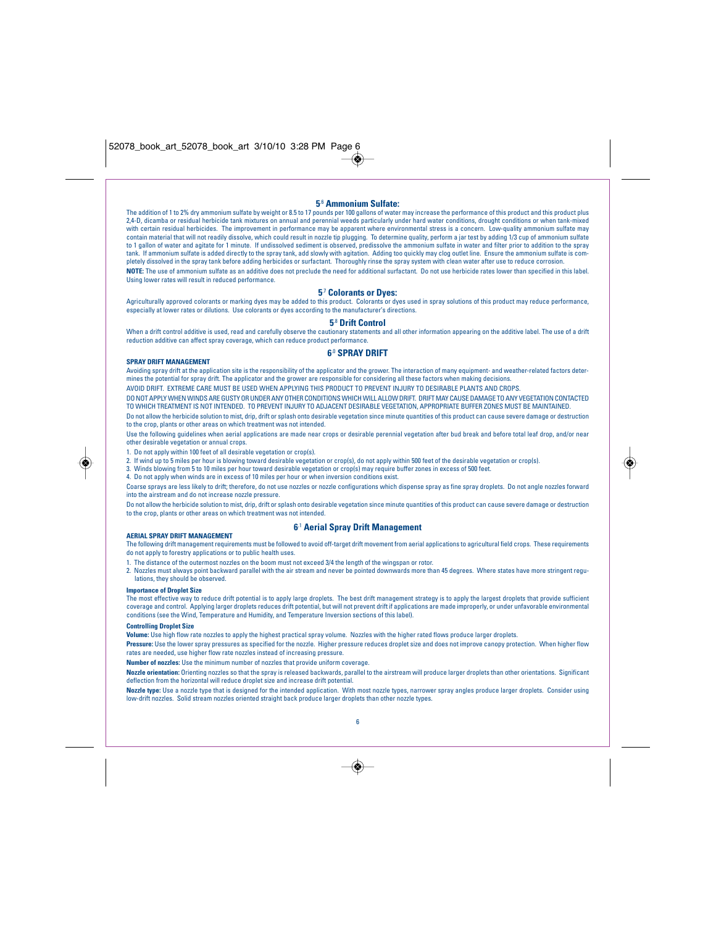## **5**.6 **Ammonium Sulfate:**

The addition of 1 to 2% dry ammonium sulfate by weight or 8.5 to 17 pounds per 100 gallons of water may increase the performance of this product and this product plus 2,4-D, dicamba or residual herbicide tank mixtures on annual and perennial weeds particularly under hard water conditions, drought conditions or when tank-mixed with certain residual herbicides. The improvement in performance may be apparent where environmental stress is a concern. Low-quality ammonium sulfate may contain material that will not readily dissolve, which could result in nozzle tip plugging. To determine quality, perform a jar test by adding 1/3 cup of ammonium sulfate to 1 gallon of water and agitate for 1 minute. If undissolved sediment is observed, predissolve the ammonium sulfate in water and filter prior to addition to the spray tank. If ammonium sulfate is added directly to the spray tank, add slowly with agitation. Adding too quickly may clog outlet line. Ensure the ammonium sulfate is completely dissolved in the spray tank before adding herbicides or surfactant. Thoroughly rinse the spray system with clean water after use to reduce corrosion. **NOTE:** The use of ammonium sulfate as an additive does not preclude the need for additional surfactant. Do not use herbicide rates lower than specified in this label. Using lower rates will result in reduced performance.

## **5**.7 **Colorants or Dyes:**

Agriculturally approved colorants or marking dyes may be added to this product. Colorants or dyes used in spray solutions of this product may reduce performance, especially at lower rates or dilutions. Use colorants or dyes according to the manufacturer's directions.

## **5**.8 **Drift Control**

When a drift control additive is used, read and carefully observe the cautionary statements and all other information appearing on the additive label. The use of a drift reduction additive can affect spray coverage, which can reduce product performance.

### **6**.0 **SPRAY DRIFT**

**SPRAY DRIFT MANAGEMENT** Avoiding spray drift at the application site is the responsibility of the applicator and the grower. The interaction of many equipment- and weather-related factors determines the potential for spray drift. The applicator and the grower are responsible for considering all these factors when making decisions.

AVOID DRIFT. EXTREME CARE MUST BE USED WHEN APPLYING THIS PRODUCT TO PREVENT INJURY TO DESIRABLE PLANTS AND CROPS.

DO NOT APPLY WHEN WINDS ARE GUSTY OR UNDER ANY OTHER CONDITIONS WHICH WILL ALLOW DRIFT. DRIFT MAY CAUSE DAMAGE TO ANY VEGETATION CONTACTED TO WHICH TREATMENT IS NOT INTENDED. TO PREVENT INJURY TO ADJACENT DESIRABLE VEGETATION, APPROPRIATE BUFFER ZONES MUST BE MAINTAINED.

Do not allow the herbicide solution to mist, drip, drift or splash onto desirable vegetation since minute quantities of this product can cause severe damage or destruction to the crop, plants or other areas on which treatment was not intended.

Use the following guidelines when aerial applications are made near crops or desirable perennial vegetation after bud break and before total leaf drop, and/or near other desirable vegetation or annual crops.

1. Do not apply within 100 feet of all desirable vegetation or crop(s).

2. If wind up to 5 miles per hour is blowing toward desirable vegetation or crop(s), do not apply within 500 feet of the desirable vegetation or crop(s).

3. Winds blowing from 5 to 10 miles per hour toward desirable vegetation or crop(s) may require buffer zones in excess of 500 feet.

4. Do not apply when winds are in excess of 10 miles per hour or when inversion conditions exist.

Coarse sprays are less likely to drift; therefore, do not use nozzles or nozzle configurations which dispense spray as fine spray droplets. Do not angle nozzles forward into the airstream and do not increase nozzle pressure.

Do not allow the herbicide solution to mist, drip, drift or splash onto desirable vegetation since minute quantities of this product can cause severe damage or destruction to the crop, plants or other areas on which treatment was not intended.

#### **AERIAL SPRAY DRIFT MANAGEMENT**

## **6**.1 **Aerial Spray Drift Management**

The following drift management requirements must be followed to avoid off-target drift movement from aerial applications to agricultural field crops. These requirements do not apply to forestry applications or to public health uses.

1. The distance of the outermost nozzles on the boom must not exceed 3/4 the length of the wingspan or rotor.

2. Nozzles must always point backward parallel with the air stream and never be pointed downwards more than 45 degrees. Where states have more stringent regulations, they should be observed.

## **Importance of Droplet Size**

◈

most effective way to reduce drift potential is to apply large droplets. The best drift management strategy is to apply the largest droplets that provide sufficient coverage and control. Applying larger droplets reduces drift potential, but will not prevent drift if applications are made improperly, or under unfavorable environmental<br>conditions (see the Wind, Temperature and Humidity,

#### **Controlling Droplet Size**

**Volume:** Use high flow rate nozzles to apply the highest practical spray volume. Nozzles with the higher rated flows produce larger droplets.

**Pressure:** Use the lower spray pressures as specified for the nozzle. Higher pressure reduces droplet size and does not improve canopy protection. When higher flow rates are needed, use higher flow rate nozzles instead of increasing pressure.

**Number of nozzles:** Use the minimum number of nozzles that provide uniform coverage.

**Nozzle orientation:** Orienting nozzles so that the spray is released backwards, parallel to the airstream will produce larger droplets than other orientations. Significant deflection from the horizontal will reduce droplet size and increase drift potential.

**Nozzle type:** Use a nozzle type that is designed for the intended application. With most nozzle types, narrower spray angles produce larger droplets. Consider using<br>low-drift nozzles. Solid stream nozzles oriented strai



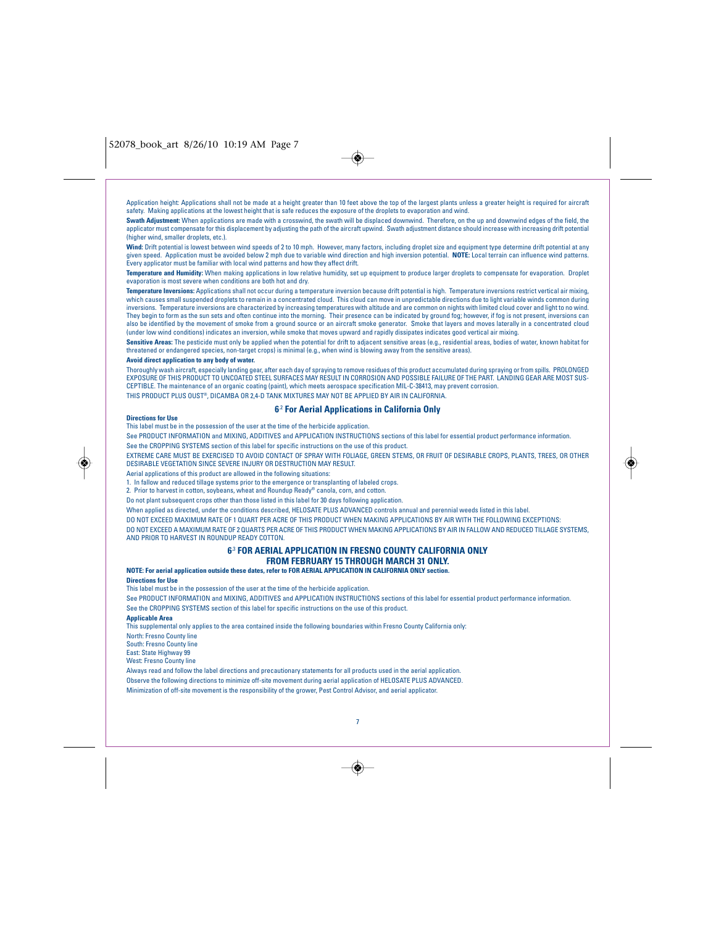

Application height: Applications shall not be made at a height greater than 10 feet above the top of the largest plants unless a greater height is required for aircraft safety. Making applications at the lowest height that is safe reduces the exposure of the droplets to evaporation and wind.

**Swath Adjustment:** When applications are made with a crosswind, the swath will be displaced downwind. Therefore, on the up and downwind edges of the field, the applicator must compensate for this displacement by adjusting the path of the aircraft upwind. Swath adjustment distance should increase with increasing drift potential (higher wind, smaller droplets, etc.).

**Wind:** Drift potential is lowest between wind speeds of 2 to 10 mph. However, many factors, including droplet size and equipment type determine drift potential at any given speed. Application must be avoided below 2 mph due to variable wind direction and high inversion potential. **NOTE:** Local terrain can influence wind patterns.<br>Every applicator must be familiar with local wind pattern

**Temperature and Humidity:** When making applications in low relative humidity, set up equipment to produce larger droplets to compensate for evaporation. Droplet evaporation is most severe when conditions are both hot and dry.

**Temperature Inversions:** Applications shall not occur during a temperature inversion because drift potential is high. Temperature inversions restrict vertical air mixing, which causes small suspended droplets to remain in a concentrated cloud. This cloud can move in unpredictable directions due to light variable winds common during inversions. Temperature inversions are characterized by increasing temperatures with altitude and are common on nights with limited cloud cover and light to no wind. They begin to form as the sun sets and often continue into the morning. Their presence can be indicated by ground fog; however, if fog is not present, inversions can<br>also be identified by the movement of smoke from a groun (under low wind conditions) indicates an inversion, while smoke that moves upward and rapidly dissipates indicates good vertical air mixing.

**Sensitive Areas:** The pesticide must only be applied when the potential for drift to adjacent sensitive areas (e.g., residential areas, bodies of water, known habitat for threatened or endangered species, non-target crops) is minimal (e.g., when wind is blowing away from the sensitive areas).

## **Avoid direct application to any body of water.**

Thoroughly wash aircraft, especially landing gear, after each day of spraying to remove residues of this product accumulated during spraying or from spills. PROLONGED<br>EXPOSURE OF THIS PRODUCT TO UNCOATED STEEL SURFACES MAY CEPTIBLE. The maintenance of an organic coating (paint), which meets aerospace specification MIL-C-38413, may prevent corrosion. THIS PRODUCT PLUS OUST®, DICAMBA OR 2,4-D TANK MIXTURES MAY NOT BE APPLIED BY AIR IN CALIFORNIA.

## **<sup>6</sup>**.2 **For Aerial Applications in California Only Directions for Use**

This label must be in the possession of the user at the time of the herbicide application.

See PRODUCT INFORMATION and MIXING, ADDITIVES and APPLICATION INSTRUCTIONS sections of this label for essential product performance information. See the CROPPING SYSTEMS section of this label for specific instructions on the use of this product.

EXTREME CARE MUST BE EXERCISED TO AVOID CONTACT OF SPRAY WITH FOLIAGE, GREEN STEMS, OR FRUIT OF DESIRABLE CROPS, PLANTS, TREES, OR OTHER DESIRABLE VEGETATION SINCE SEVERE INJURY OR DESTRUCTION MAY RESULT.

Aerial applications of this product are allowed in the following situations:

1. In fallow and reduced tillage systems prior to the emergence or transplanting of labeled crops.

2. Prior to harvest in cotton, soybeans, wheat and Roundup Ready® canola, corn, and cotton.

Do not plant subsequent crops other than those listed in this label for 30 days following application.

When applied as directed, under the conditions described, HELOSATE PLUS ADVANCED controls annual and perennial weeds listed in this label.

DO NOT EXCEED MAXIMUM RATE OF 1 QUART PER ACRE OF THIS PRODUCT WHEN MAKING APPLICATIONS BY AIR WITH THE FOLLOWING EXCEPTIONS: DO NOT EXCEED A MAXIMUM RATE OF 2 QUARTS PER ACRE OF THIS PRODUCT WHEN MAKING APPLICATIONS BY AIR IN FALLOW AND REDUCED TILLAGE SYSTEMS, AND PRIOR TO HARVEST IN ROUNDUP READY COTTON.

## **6**.3 **FOR AERIAL APPLICATION IN FRESNO COUNTY CALIFORNIA ONLY FROM FEBRUARY 15 THROUGH MARCH 31 ONLY.**

## **NOTE: For aerial application outside these dates, refer to FOR AERIAL APPLICATION IN CALIFORNIA ONLY section.**

#### **Directions for Use**

This label must be in the possession of the user at the time of the herbicide application.

See PRODUCT INFORMATION and MIXING, ADDITIVES and APPLICATION INSTRUCTIONS sections of this label for essential product performance information. See the CROPPING SYSTEMS section of this label for specific instructions on the use of this product.

#### **Applicable Area**

This supplemental only applies to the area contained inside the following boundaries within Fresno County California only:

North: Fresno County line

South: Fresno County line

East: State Highway 99 West: Fresno County line

Always read and follow the label directions and precautionary statements for all products used in the aerial application. Observe the following directions to minimize off-site movement during aerial application of HELOSATE PLUS ADVANCED. Minimization of off-site movement is the responsibility of the grower, Pest Control Advisor, and aerial applicator.



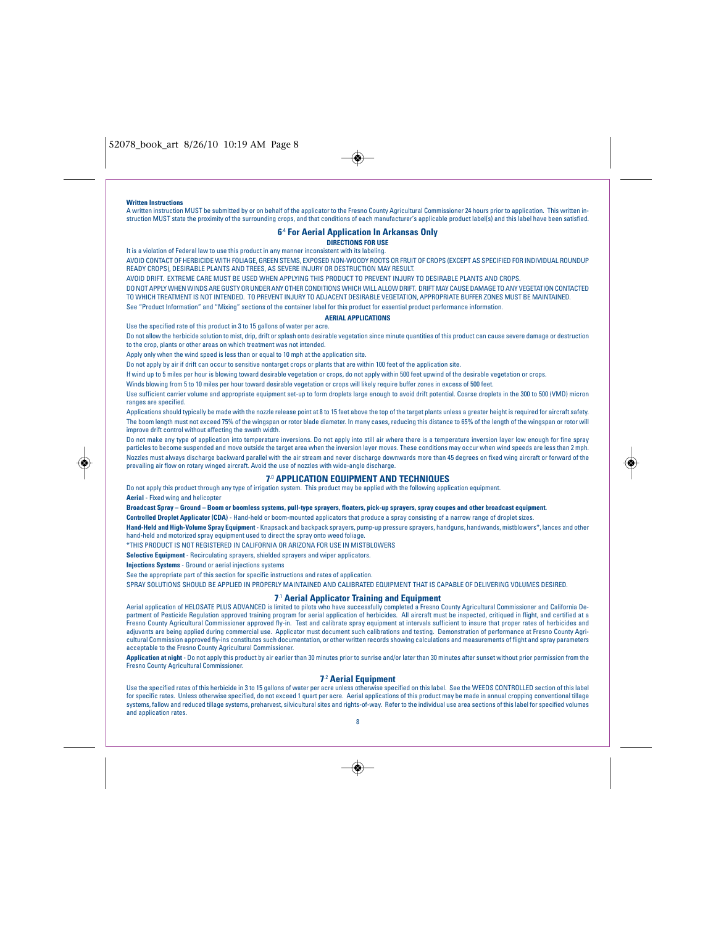#### **Written Instructions**

A written instruction MUST be submitted by or on behalf of the applicator to the Fresno County Agricultural Commissioner 24 hours prior to application. This written instruction MUST state the proximity of the surrounding crops, and that conditions of each manufacturer's applicable product label(s) and this label have been satisfied.

 $\bigcirc$ 

## **6**.4 **For Aerial Application In Arkansas Only**

**DIRECTIONS FOR USE**

It is a violation of Federal law to use this product in any manner inconsistent with its labeling.

AVOID CONTACT OF HERBICIDE WITH FOLIAGE, GREEN STEMS, EXPOSED NON-WOODY ROOTS OR FRUIT OF CROPS (EXCEPT AS SPECIFIED FOR INDIVIDUAL ROUNDUP READY CROPS), DESIRABLE PLANTS AND TREES, AS SEVERE INJURY OR DESTRUCTION MAY RESULT.

AVOID DRIFT. EXTREME CARE MUST BE USED WHEN APPLYING THIS PRODUCT TO PREVENT INJURY TO DESIRABLE PLANTS AND CROPS.

DO NOT APPLY WHEN WINDS ARE GUSTY OR UNDER ANY OTHER CONDITIONS WHICH WILL ALLOW DRIFT. DRIFT MAY CAUSE DAMAGE TO ANY VEGETATION CONTACTED TO WHICH TREATMENT IS NOT INTENDED. TO PREVENT INJURY TO ADJACENT DESIRABLE VEGETATION, APPROPRIATE BUFFER ZONES MUST BE MAINTAINED. See "Product Information" and "Mixing" sections of the container label for this product for essential product performance information.

## **AERIAL APPLICATIONS**

Use the specified rate of this product in 3 to 15 gallons of water per acre.

Do not allow the herbicide solution to mist, drip, drift or splash onto desirable vegetation since minute quantities of this product can cause severe damage or destruction to the crop, plants or other areas on which treatment was not intended.

Apply only when the wind speed is less than or equal to 10 mph at the application site.

Do not apply by air if drift can occur to sensitive nontarget crops or plants that are within 100 feet of the application site.

If wind up to 5 miles per hour is blowing toward desirable vegetation or crops, do not apply within 500 feet upwind of the desirable vegetation or crops.

Winds blowing from 5 to 10 miles per hour toward desirable vegetation or crops will likely require buffer zones in excess of 500 feet.

Use sufficient carrier volume and appropriate equipment set-up to form droplets large enough to avoid drift potential. Coarse droplets in the 300 to 500 (VMD) micron ranges are specified.

Applications should typically be made with the nozzle release point at 8 to 15 feet above the top of the target plants unless a greater height is required for aircraft safety. The boom length must not exceed 75% of the wingspan or rotor blade diameter. In many cases, reducing this distance to 65% of the length of the wingspan or rotor will improve drift control without affecting the swath width.

Do not make any type of application into temperature inversions. Do not apply into still air where there is a temperature inversion layer low enough for fine spray particles to become suspended and move outside the target area when the inversion layer moves. These conditions may occur when wind speeds are less than 2 mph. Nozzles must always discharge backward parallel with the air stream and never discharge downwards more than 45 degrees on fixed wing aircraft or forward of the prevailing air flow on rotary winged aircraft. Avoid the use of nozzles with wide-angle discharge.

### **7.**<sup>0</sup> **APPLICATION EQUIPMENT AND TECHNIQUES**

Do not apply this product through any type of irrigation system. This product may be applied with the following application equipment.

**Aerial** - Fixed wing and helicopter

**Broadcast Spray – Ground – Boom or boomless systems, pull-type sprayers, floaters, pick-up sprayers, spray coupes and other broadcast equipment.**

**Controlled Droplet Applicator (CDA)** - Hand-held or boom-mounted applicators that produce a spray consisting of a narrow range of droplet sizes.

**Hand-Held and High-Volume Spray Equipment** - Knapsack and backpack sprayers, pump-up pressure sprayers, handguns, handwands, mistblowers\*, lances and other hand-held and motorized spray equipment used to direct the spray onto weed foliage.

\*THIS PRODUCT IS NOT REGISTERED IN CALIFORNIA OR ARIZONA FOR USE IN MISTBLOWERS

**Selective Equipment** - Recirculating sprayers, shielded sprayers and wiper applicators.

**Injections Systems** - Ground or aerial injections systems

See the appropriate part of this section for specific instructions and rates of application.

SPRAY SOLUTIONS SHOULD BE APPLIED IN PROPERLY MAINTAINED AND CALIBRATED FOULPMENT THAT IS CAPABLE OF DELIVERING VOLUMES DESIRED.

## **7**.1 **Aerial Applicator Training and Equipment**

Aerial application of HELOSATE PLUS ADVANCED is limited to pilots who have successfully completed a Fresno County Agricultural Commissioner and California De-<br>partment of Pesticide Regulation approved training program for Fresno County Agricultural Commissioner approved fly-in. Test and calibrate spray equipment at intervals sufficient to insure that proper rates of herbicides and adjuvants are being applied during commercial use. Applicator must document such calibrations and testing. Demonstration of performance at Fresno County Agri-<br>cultural Commission approved fly-ins constitutes such documenta acceptable to the Fresno County Agricultural Commissioner.

**Application at night** - Do not apply this product by air earlier than 30 minutes prior to sunrise and/or later than 30 minutes after sunset without prior permission from the<br>Erespo County Agricultural Commissioner Fresno County Agricultural Com

## **7**.2 **Aerial Equipment**

Use the specified rates of this herbicide in 3 to 15 gallons of water per acre unless otherwise specified on this label. See the WEEDS CONTROLLED section of this label for specific rates. Unless otherwise specified, do not exceed 1 quart per acre. Aerial applications of this product may be made in annual cropping conventional tillage<br>systems, fallow and reduced tillage systems, preharves and application rates. 8

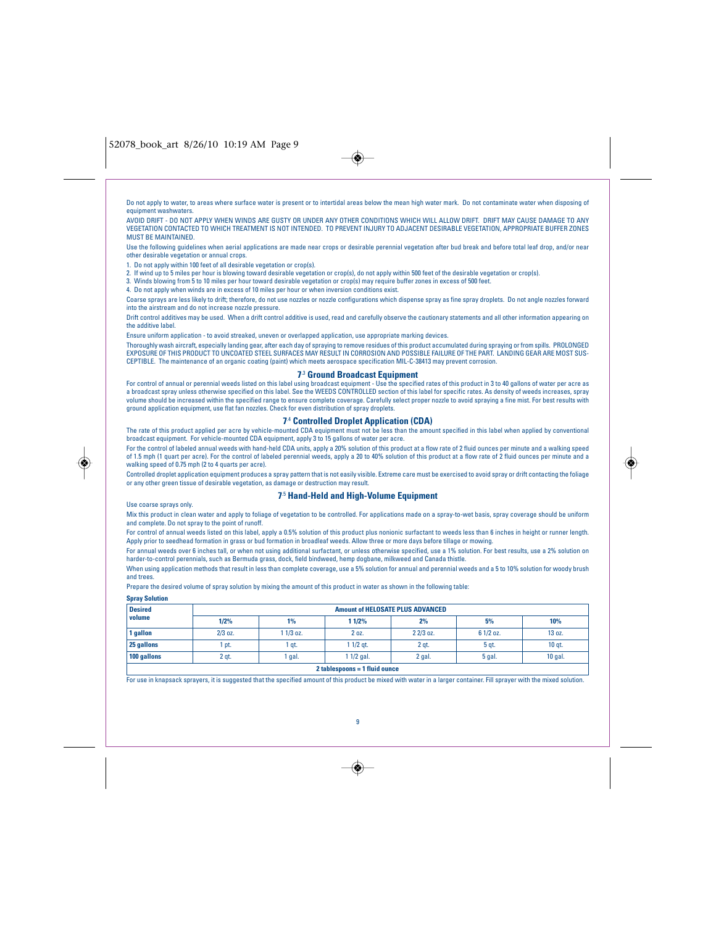Do not apply to water, to areas where surface water is present or to intertidal areas below the mean high water mark. Do not contaminate water when disposing of equipment washwaters.

AVOID DRIFT - DO NOT APPLY WHEN WINDS ARE GUSTY OR UNDER ANY OTHER CONDITIONS WHICH WILL ALLOW DRIFT. DRIFT MAY CAUSE DAMAGE TO ANY VEGETATION CONTACTED TO WHICH TREATMENT IS NOT INTENDED. TO PREVENT INJURY TO ADJACENT DESIRABLE VEGETATION, APPROPRIATE BUFFER ZONES MUST BE MAINTAINED.

Use the following guidelines when aerial applications are made near crops or desirable perennial vegetation after bud break and before total leaf drop, and/or near other desirable vegetation or annual crops.

1. Do not apply within 100 feet of all desirable vegetation or crop(s).

2. If wind up to 5 miles per hour is blowing toward desirable vegetation or crop(s), do not apply within 500 feet of the desirable vegetation or crop(s).

3. Winds blowing from 5 to 10 miles per hour toward desirable vegetation or crop(s) may require buffer zones in excess of 500 feet.

4. Do not apply when winds are in excess of 10 miles per hour or when inversion conditions exist.

Coarse sprays are less likely to drift; therefore, do not use nozzles or nozzle configurations which dispense spray as fine spray droplets. Do not angle nozzles forward into the airstream and do not increase nozzle pressure.

Drift control additives may be used. When a drift control additive is used, read and carefully observe the cautionary statements and all other information appearing on the additive label.

Ensure uniform application - to avoid streaked, uneven or overlapped application, use appropriate marking devices.

Thoroughly wash aircraft, especially landing gear, after each day of spraying to remove residues of this product accumulated during spraying or from spills. PROLONGED<br>EXPOSURE OF THIS PRODUCT TO UNCOATED STEEL SURFACES MAY CEPTIBLE. The maintenance of an organic coating (paint) which meets aerospace specification MIL-C-38413 may prevent corrosion.

## **7**.3 **Ground Broadcast Equipment**

For control of annual or perennial weeds listed on this label using broadcast equipment - Use the specified rates of this product in 3 to 40 gallons of water per acre as a broadcast spray unless otherwise specified on this label. See the WEEDS CONTROLLED section of this label for specific rates. As density of weeds increases, spray volume should be increased within the specified range to ensure complete coverage. Carefully select proper nozzle to avoid spraying a fine mist. For best results with<br>ground application equipment, use flat fan nozzles. Che

## **7**.4 **Controlled Droplet Application (CDA)**

The rate of this product applied per acre by vehicle-mounted CDA equipment must not be less than the amount specified in this label when applied by conventional broadcast equipment. For vehicle-mounted CDA equipment, apply 3 to 15 gallons of water per acre.

For the control of labeled annual weeds with hand-held CDA units, apply a 20% solution of this product at a flow rate of 2 fluid ounces per minute and a walking speed of 1.5 mph (1 quart per acre). For the control of labeled perennial weeds, apply a 20 to 40% solution of this product at a flow rate of 2 fluid ounces per minute and a walking speed of 0.75 mph (2 to 4 quarts per acre).

Controlled droplet application equipment produces a spray pattern that is not easily visible. Extreme care must be exercised to avoid spray or drift contacting the foliage or any other green tissue of desirable vegetation, as damage or destruction may result.

## **7**.5 **Hand-Held and High-Volume Equipment**

Use coarse sprays only.

Mix this product in clean water and apply to foliage of vegetation to be controlled. For applications made on a spray-to-wet basis, spray coverage should be uniform and complete. Do not spray to the point of runoff.

For control of annual weeds listed on this label, apply a 0.5% solution of this product plus nonionic surfactant to weeds less than 6 inches in height or runner length. Apply prior to seedhead formation in grass or bud formation in broadleaf weeds. Allow three or more days before tillage or mowing.

For annual weeds over 6 inches tall, or when not using additional surfactant, or unless otherwise specified, use a 1% solution. For best results, use a 2% solution on harder-to-control perennials, such as Bermuda grass, dock, field bindweed, hemp dogbane, milkweed and Canada thistle.

When using application methods that result in less than complete coverage, use a 5% solution for annual and perennial weeds and a 5 to 10% solution for woody brush and trees.

Prepare the desired volume of spray solution by mixing the amount of this product in water as shown in the following table:

| <b>Spray Solution</b>         |           |                                         |             |           |            |         |  |
|-------------------------------|-----------|-----------------------------------------|-------------|-----------|------------|---------|--|
| <b>Desired</b>                |           | <b>Amount of HELOSATE PLUS ADVANCED</b> |             |           |            |         |  |
| volume                        | 1/2%      | 1%                                      | 1 1/2%      | 2%        | 5%         | 10%     |  |
| 1 gallon                      | $2/3$ oz. | $11/3$ oz.                              | 20z         | 2 2/3 oz. | $61/2$ oz. | 13 oz.  |  |
| 25 gallons                    | l pt.     | 1 qt.                                   | $11/2$ qt.  | 2 gt.     | 5 gt.      | 10 gt.  |  |
| 100 gallons                   | 2 qt.     | 1 gal.                                  | $11/2$ gal. | 2 gal.    | 5 gal.     | 10 gal. |  |
| 2 tablespoons = 1 fluid ounce |           |                                         |             |           |            |         |  |

For use in knapsack sprayers, it is suggested that the specified amount of this product be mixed with water in a larger container. Fill sprayer with the mixed solution.

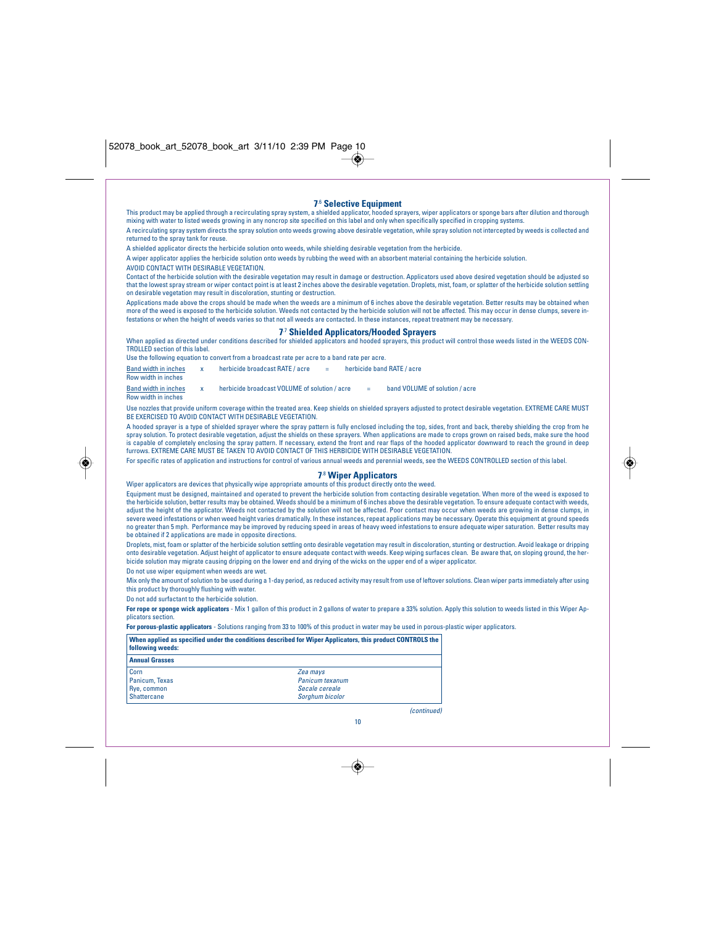r

| returned to the spray tank for reuse.<br>AVOID CONTACT WITH DESIRABLE VEGETATION.<br>on desirable vegetation may result in discoloration, stunting or destruction. | <b>7.6 Selective Equipment</b><br>This product may be applied through a recirculating spray system, a shielded applicator, hooded sprayers, wiper applicators or sponge bars after dilution and thorough<br>mixing with water to listed weeds growing in any noncrop site specified on this label and only when specifically specified in cropping systems.<br>A recirculating spray system directs the spray solution onto weeds growing above desirable vegetation, while spray solution not intercepted by weeds is collected and<br>A shielded applicator directs the herbicide solution onto weeds, while shielding desirable vegetation from the herbicide.<br>A wiper applicator applies the herbicide solution onto weeds by rubbing the weed with an absorbent material containing the herbicide solution.<br>Contact of the herbicide solution with the desirable vegetation may result in damage or destruction. Applicators used above desired vegetation should be adjusted so<br>that the lowest spray stream or wiper contact point is at least 2 inches above the desirable vegetation. Droplets, mist, foam, or splatter of the herbicide solution settling<br>Applications made above the crops should be made when the weeds are a minimum of 6 inches above the desirable vegetation. Better results may be obtained when |  |
|--------------------------------------------------------------------------------------------------------------------------------------------------------------------|-----------------------------------------------------------------------------------------------------------------------------------------------------------------------------------------------------------------------------------------------------------------------------------------------------------------------------------------------------------------------------------------------------------------------------------------------------------------------------------------------------------------------------------------------------------------------------------------------------------------------------------------------------------------------------------------------------------------------------------------------------------------------------------------------------------------------------------------------------------------------------------------------------------------------------------------------------------------------------------------------------------------------------------------------------------------------------------------------------------------------------------------------------------------------------------------------------------------------------------------------------------------------------------------------------------------------------------------------|--|
|                                                                                                                                                                    | more of the weed is exposed to the herbicide solution. Weeds not contacted by the herbicide solution will not be affected. This may occur in dense clumps, severe in-<br>festations or when the height of weeds varies so that not all weeds are contacted. In these instances, repeat treatment may be necessary.                                                                                                                                                                                                                                                                                                                                                                                                                                                                                                                                                                                                                                                                                                                                                                                                                                                                                                                                                                                                                            |  |
|                                                                                                                                                                    | 7 <sup>7</sup> Shielded Applicators/Hooded Sprayers                                                                                                                                                                                                                                                                                                                                                                                                                                                                                                                                                                                                                                                                                                                                                                                                                                                                                                                                                                                                                                                                                                                                                                                                                                                                                           |  |
| TROLLED section of this label.                                                                                                                                     | When applied as directed under conditions described for shielded applicators and hooded sprayers, this product will control those weeds listed in the WEEDS CON-                                                                                                                                                                                                                                                                                                                                                                                                                                                                                                                                                                                                                                                                                                                                                                                                                                                                                                                                                                                                                                                                                                                                                                              |  |
|                                                                                                                                                                    | Use the following equation to convert from a broadcast rate per acre to a band rate per acre.                                                                                                                                                                                                                                                                                                                                                                                                                                                                                                                                                                                                                                                                                                                                                                                                                                                                                                                                                                                                                                                                                                                                                                                                                                                 |  |
| <b>Band width in inches</b><br>$\mathbf{x}$<br>Row width in inches                                                                                                 | herbicide broadcast RATE / acre<br>herbicide band RATE / acre                                                                                                                                                                                                                                                                                                                                                                                                                                                                                                                                                                                                                                                                                                                                                                                                                                                                                                                                                                                                                                                                                                                                                                                                                                                                                 |  |
| <b>Band width in inches</b><br>$\mathbf{x}$<br>Row width in inches                                                                                                 | herbicide broadcast VOLUME of solution / acre<br>band VOLUME of solution / acre<br>$\overline{\phantom{a}}$                                                                                                                                                                                                                                                                                                                                                                                                                                                                                                                                                                                                                                                                                                                                                                                                                                                                                                                                                                                                                                                                                                                                                                                                                                   |  |
| BE EXERCISED TO AVOID CONTACT WITH DESIRABLE VEGETATION.                                                                                                           | Use nozzles that provide uniform coverage within the treated area. Keep shields on shielded sprayers adjusted to protect desirable vegetation. EXTREME CARE MUST                                                                                                                                                                                                                                                                                                                                                                                                                                                                                                                                                                                                                                                                                                                                                                                                                                                                                                                                                                                                                                                                                                                                                                              |  |
|                                                                                                                                                                    | A hooded sprayer is a type of shielded sprayer where the spray pattern is fully enclosed including the top, sides, front and back, thereby shielding the crop from he<br>spray solution. To protect desirable vegetation, adjust the shields on these sprayers. When applications are made to crops grown on raised beds, make sure the hood<br>is capable of completely enclosing the spray pattern. If necessary, extend the front and rear flaps of the hooded applicator downward to reach the ground in deep<br>furrows. EXTREME CARE MUST BE TAKEN TO AVOID CONTACT OF THIS HERBICIDE WITH DESIRABLE VEGETATION.<br>For specific rates of application and instructions for control of various annual weeds and perennial weeds, see the WEEDS CONTROLLED section of this label.                                                                                                                                                                                                                                                                                                                                                                                                                                                                                                                                                         |  |
| be obtained if 2 applications are made in opposite directions.                                                                                                     | <b>78 Wiper Applicators</b><br>Wiper applicators are devices that physically wipe appropriate amounts of this product directly onto the weed.<br>Equipment must be designed, maintained and operated to prevent the herbicide solution from contacting desirable vegetation. When more of the weed is exposed to<br>the herbicide solution, better results may be obtained. Weeds should be a minimum of 6 inches above the desirable vegetation. To ensure adequate contact with weeds,<br>adjust the height of the applicator. Weeds not contacted by the solution will not be affected. Poor contact may occur when weeds are growing in dense clumps, in<br>severe weed infestations or when weed height varies dramatically. In these instances, repeat applications may be necessary. Operate this equipment at ground speeds<br>no greater than 5 mph. Performance may be improved by reducing speed in areas of heavy weed infestations to ensure adequate wiper saturation. Better results may                                                                                                                                                                                                                                                                                                                                       |  |
| Do not use wiper equipment when weeds are wet.                                                                                                                     | Droplets, mist, foam or splatter of the herbicide solution settling onto desirable vegetation may result in discoloration, stunting or destruction. Avoid leakage or dripping<br>onto desirable vegetation. Adjust height of applicator to ensure adequate contact with weeds. Keep wiping surfaces clean. Be aware that, on sloping ground, the her-<br>bicide solution may migrate causing dripping on the lower end and drying of the wicks on the upper end of a wiper applicator.                                                                                                                                                                                                                                                                                                                                                                                                                                                                                                                                                                                                                                                                                                                                                                                                                                                        |  |
| this product by thoroughly flushing with water.                                                                                                                    | Mix only the amount of solution to be used during a 1-day period, as reduced activity may result from use of leftover solutions. Clean wiper parts immediately after using                                                                                                                                                                                                                                                                                                                                                                                                                                                                                                                                                                                                                                                                                                                                                                                                                                                                                                                                                                                                                                                                                                                                                                    |  |
| Do not add surfactant to the herbicide solution.<br>plicators section.                                                                                             | For rope or sponge wick applicators - Mix 1 gallon of this product in 2 gallons of water to prepare a 33% solution. Apply this solution to weeds listed in this Wiper Ap-                                                                                                                                                                                                                                                                                                                                                                                                                                                                                                                                                                                                                                                                                                                                                                                                                                                                                                                                                                                                                                                                                                                                                                     |  |
|                                                                                                                                                                    | For porous-plastic applicators - Solutions ranging from 33 to 100% of this product in water may be used in porous-plastic wiper applicators.                                                                                                                                                                                                                                                                                                                                                                                                                                                                                                                                                                                                                                                                                                                                                                                                                                                                                                                                                                                                                                                                                                                                                                                                  |  |
| following weeds:                                                                                                                                                   | When applied as specified under the conditions described for Wiper Applicators, this product CONTROLS the                                                                                                                                                                                                                                                                                                                                                                                                                                                                                                                                                                                                                                                                                                                                                                                                                                                                                                                                                                                                                                                                                                                                                                                                                                     |  |
| <b>Annual Grasses</b>                                                                                                                                              |                                                                                                                                                                                                                                                                                                                                                                                                                                                                                                                                                                                                                                                                                                                                                                                                                                                                                                                                                                                                                                                                                                                                                                                                                                                                                                                                               |  |
| Corn<br>Panicum, Texas<br>Rye, common<br><b>Shattercane</b>                                                                                                        | Zea mays<br>Panicum texanum<br>Secale cereale<br>Sorghum bicolor                                                                                                                                                                                                                                                                                                                                                                                                                                                                                                                                                                                                                                                                                                                                                                                                                                                                                                                                                                                                                                                                                                                                                                                                                                                                              |  |
|                                                                                                                                                                    | (continued)                                                                                                                                                                                                                                                                                                                                                                                                                                                                                                                                                                                                                                                                                                                                                                                                                                                                                                                                                                                                                                                                                                                                                                                                                                                                                                                                   |  |
|                                                                                                                                                                    |                                                                                                                                                                                                                                                                                                                                                                                                                                                                                                                                                                                                                                                                                                                                                                                                                                                                                                                                                                                                                                                                                                                                                                                                                                                                                                                                               |  |

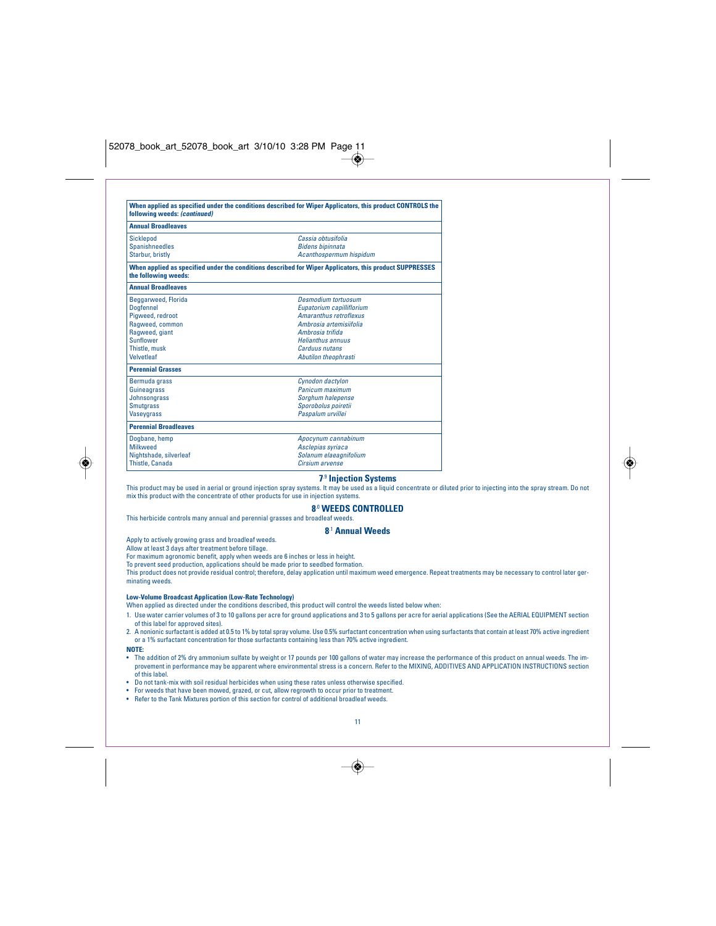| following weeds: (continued) | When applied as specified under the conditions described for Wiper Applicators, this product CONTROLS the |
|------------------------------|-----------------------------------------------------------------------------------------------------------|
| <b>Annual Broadleaves</b>    |                                                                                                           |
| <b>Sicklepod</b>             | Cassia obtusifolia                                                                                        |
| Spanishneedles               | <b>Bidens bipinnata</b>                                                                                   |
| Starbur, bristly             | Acanthospermum hispidum                                                                                   |
| the following weeds:         | When applied as specified under the conditions described for Wiper Applicators, this product SUPPRESSES   |
| <b>Annual Broadleaves</b>    |                                                                                                           |
| Beggarweed, Florida          | <b>Desmodium tortuosum</b>                                                                                |
| <b>Doafennel</b>             | Eupatorium capilliflorium                                                                                 |
| Pigweed, redroot             | <b>Amaranthus retroflexus</b>                                                                             |
| Ragweed, common              | Ambrosia artemisiifolia                                                                                   |
| Ragweed, giant               | Ambrosia trifida                                                                                          |
| Sunflower                    | <b>Helianthus annuus</b>                                                                                  |
| Thistle, musk                | Carduus nutans                                                                                            |
| <b>Velvetleaf</b>            | Abutilon theophrasti                                                                                      |
| <b>Perennial Grasses</b>     |                                                                                                           |
| Bermuda grass                | Cynodon dactylon                                                                                          |
| Guineagrass                  | Panicum maximum                                                                                           |
| Johnsongrass                 | Sorghum halepense                                                                                         |
| <b>Smutgrass</b>             | Sporobolus poiretii                                                                                       |
| <b>Vaseygrass</b>            | Paspalum urvillei                                                                                         |
| <b>Perennial Broadleaves</b> |                                                                                                           |
| Dogbane, hemp                | Apocynum cannabinum                                                                                       |
| <b>Milkweed</b>              | Asclepias syriaca                                                                                         |
| Nightshade, silverleaf       | Solanum elaeagnifolium                                                                                    |
| Thistle, Canada              | Cirsium arvense                                                                                           |

## **7**.9 **Injection Systems**

This product may be used in aerial or ground injection spray systems. It may be used as a liquid concentrate or diluted prior to injecting into the spray stream. Do not mix this product with the concentrate of other products for use in injection systems.

## **8**.0 **WEEDS CONTROLLED**

This herbicide controls many annual and perennial grasses and broadleaf weeds.

## **8**.1 **Annual Weeds**

Apply to actively growing grass and broadleaf weeds.

Allow at least 3 days after treatment before tillage. For maximum agronomic benefit, apply when weeds are 6 inches or less in height.

To prevent seed production, applications should be made prior to seedbed formation.

This product does not provide residual control; therefore, delay application until maximum weed emergence. Repeat treatments may be necessary to control later germinating weeds.

**Low-Volume Broadcast Application (Low-Rate Technology)** When applied as directed under the conditions described, this product will control the weeds listed below when:

1. Use water carrier volumes of 3 to 10 gallons per acre for ground applications and 3 to 5 gallons per acre for aerial applications (See the AERIAL EQUIPMENT section of this label for approved sites).

2. A nonionic surfactant is added at 0.5 to 1% by total spray volume. Use 0.5% surfactant concentration when using surfactants that contain at least 70% active ingredient or a 1% surfactant concentration for those surfactants containing less than 70% active ingredient.

**NOTE:**

◈

- The addition of 2% dry ammonium sulfate by weight or 17 pounds per 100 gallons of water may increase the performance of this product on annual weeds. The improvement in performance may be apparent where environmental stress is a concern. Refer to the MIXING, ADDITIVES AND APPLICATION INSTRUCTIONS section of this label.
- Do not tank-mix with soil residual herbicides when using these rates unless otherwise specified.
- For weeds that have been mowed, grazed, or cut, allow regrowth to occur prior to treatment.
- Refer to the Tank Mixtures portion of this section for control of additional broadleaf weeds.



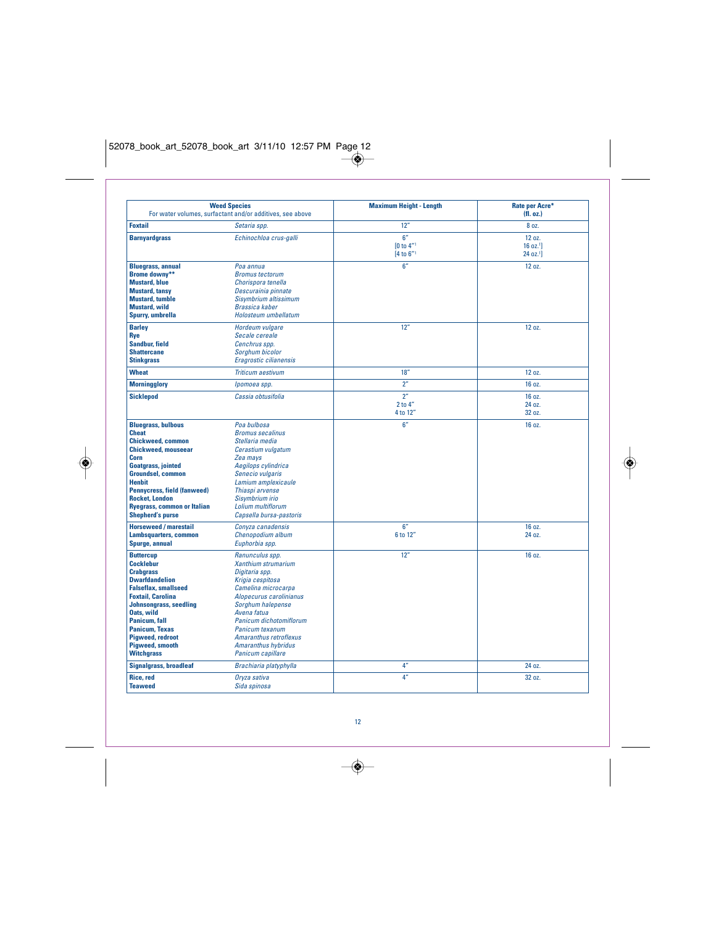$\bigcirc$ 

| <b>Weed Species</b><br>For water volumes, surfactant and/or additives, see above                                                                                                                                                                                                                                              |                                                                                                                                                                                                                                                                                               | <b>Maximum Height - Length</b>        | Rate per Acre*<br>(H. oz.)                             |
|-------------------------------------------------------------------------------------------------------------------------------------------------------------------------------------------------------------------------------------------------------------------------------------------------------------------------------|-----------------------------------------------------------------------------------------------------------------------------------------------------------------------------------------------------------------------------------------------------------------------------------------------|---------------------------------------|--------------------------------------------------------|
| <b>Foxtail</b>                                                                                                                                                                                                                                                                                                                | Setaria spp.                                                                                                                                                                                                                                                                                  | 12"                                   | 8 oz.                                                  |
| <b>Barnyardgrass</b>                                                                                                                                                                                                                                                                                                          | Echinochloa crus-galli                                                                                                                                                                                                                                                                        | 6''<br><b>[0 to 4"1</b><br>[4 to 6"1  | 12 oz.<br>16 oz. <sup>1</sup><br>24 oz. <sup>1</sup> ] |
| <b>Bluegrass, annual</b><br><b>Brome downy**</b><br><b>Mustard, blue</b><br><b>Mustard, tansy</b><br><b>Mustard, tumble</b><br><b>Mustard, wild</b><br>Spurry, umbrella                                                                                                                                                       | Poa annua<br><b>Bromus tectorum</b><br>Chorispora tenella<br>Descurainia pinnate<br>Sisymbrium altissimum<br>Brassica kaber<br>Holosteum umbellatum                                                                                                                                           | 6''                                   | 12 oz.                                                 |
| <b>Barley</b><br>Rye<br>Sandbur, field<br><b>Shattercane</b><br><b>Stinkgrass</b>                                                                                                                                                                                                                                             | Hordeum vulgare<br>Secale cereale<br>Cenchrus spp.<br>Sorghum bicolor<br>Eragrostic cilianensis                                                                                                                                                                                               | 12"                                   | 12 oz.                                                 |
| <b>Wheat</b>                                                                                                                                                                                                                                                                                                                  | <b>Triticum aestivum</b>                                                                                                                                                                                                                                                                      | 18"                                   | 12 oz.                                                 |
| <b>Morningglory</b>                                                                                                                                                                                                                                                                                                           | Ipomoea spp.                                                                                                                                                                                                                                                                                  | 2 <sup>n</sup>                        | 16 oz.                                                 |
| <b>Sicklepod</b>                                                                                                                                                                                                                                                                                                              | Cassia obtusifolia                                                                                                                                                                                                                                                                            | 2 <sup>n</sup><br>2 to 4"<br>4 to 12" | 16 oz.<br>24 oz.<br>32 oz.                             |
| <b>Bluegrass, bulbous</b><br><b>Cheat</b><br><b>Chickweed, common</b><br><b>Chickweed.</b> mouseear<br>Corn<br><b>Goatgrass, jointed</b><br><b>Groundsel, common</b><br><b>Henbit</b><br><b>Pennycress, field (fanweed)</b><br><b>Rocket, London</b><br><b>Ryegrass, common or Italian</b><br><b>Shepherd's purse</b>         | Poa bulbosa<br><b>Bromus secalinus</b><br>Stellaria media<br>Cerastium vulgatum<br>Zea mays<br>Aegilops cylindrica<br>Senecio vulgaris<br>Lamium amplexicaule<br>Thiaspi arvense<br>Sisvmbrium irio<br>Lolium multiflorum<br>Capsella bursa-pastoris                                          | 6''                                   | 16 oz.                                                 |
| <b>Horseweed / marestail</b><br><b>Lambsquarters, common</b><br>Spurge, annual                                                                                                                                                                                                                                                | Conyza canadensis<br>Chenopodium album<br>Euphorbia spp.                                                                                                                                                                                                                                      | 6''<br>6 to 12"                       | 16 oz.<br>24 07.                                       |
| <b>Buttercup</b><br><b>Cocklebur</b><br><b>Craburass</b><br><b>Dwarfdandelion</b><br><b>Falseflax, smallseed</b><br><b>Foxtail, Carolina</b><br><b>Johnsongrass, seedling</b><br><b>Oats, wild</b><br><b>Panicum, fall</b><br><b>Panicum, Texas</b><br><b>Pigweed, redroot</b><br><b>Pigweed, smooth</b><br><b>Witchgrass</b> | Ranunculus spp.<br>Xanthium strumarium<br>Digitaria spp.<br>Krigia cespitosa<br>Camelina microcarpa<br>Alopecurus carolinianus<br>Sorghum halepense<br>Avena fatua<br>Panicum dichotomiflorum<br>Panicum texanum<br>Amaranthus retroflexus<br><b>Amaranthus hybridus</b><br>Panicum capillare | 12"                                   | 16 oz.                                                 |
| <b>Signalgrass, broadleaf</b>                                                                                                                                                                                                                                                                                                 | Brachiaria platyphylla                                                                                                                                                                                                                                                                        | 4 <sup>n</sup>                        | 24 oz.                                                 |
| <b>Rice</b> , red<br><b>Teaweed</b>                                                                                                                                                                                                                                                                                           | Oryza sativa<br>Sida spinosa                                                                                                                                                                                                                                                                  | 4 <sup>n</sup>                        | 32 oz.                                                 |

12

 $\rightarrow$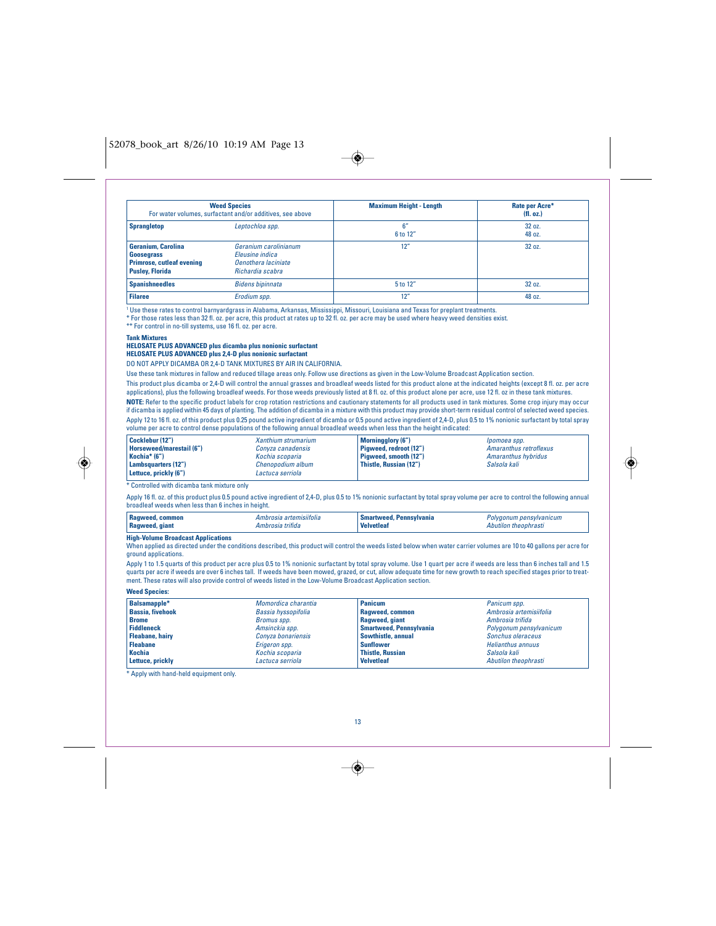$\overline{\bullet}$ 

| <b>Weed Species</b><br>For water volumes, surfactant and/or additives, see above                      |                                                                                            | <b>Maximum Height - Length</b> | Rate per Acre*<br>(H. oz.) |
|-------------------------------------------------------------------------------------------------------|--------------------------------------------------------------------------------------------|--------------------------------|----------------------------|
| <b>Sprangletop</b>                                                                                    | Leptochloa spp.                                                                            | 6″<br>6 to 12"                 | 32 oz.<br>48 oz.           |
| <b>Geranium, Carolina</b><br>Goosegrass<br><b>Primrose, cutleaf evening</b><br><b>Pusley, Florida</b> | Geranium carolinianum<br>Eleusine indica<br><b>Oenothera</b> laciniate<br>Richardia scabra | 12"                            | 32 oz.                     |
| <b>Spanishneedles</b>                                                                                 | <b>Bidens bipinnata</b>                                                                    | 5 to 12"                       | 32 oz.                     |
| <b>Filaree</b>                                                                                        | Erodium spp.                                                                               | 12"                            | 48 oz.                     |

<sup>1</sup> Use these rates to control barnyardgrass in Alabama, Arkansas, Mississippi, Missouri, Louisiana and Texas for preplant treatments.

\* For those rates less than 32 fl. oz. per acre, this product at rates up to 32 fl. oz. per acre may be used where heavy weed densities exist.

\*\* For control in no-till systems, use 16 fl. oz. per acre.

## **Tank Mixtures**

## **HELOSATE PLUS ADVANCED plus dicamba plus nonionic surfactant HELOSATE PLUS ADVANCED plus 2,4-D plus nonionic surfactant**

DO NOT APPLY DICAMBA OR 2,4-D TANK MIXTURES BY AIR IN CALIFORNIA.

Use these tank mixtures in fallow and reduced tillage areas only. Follow use directions as given in the Low-Volume Broadcast Application section.

This product plus dicamba or 2,4-D will control the annual grasses and broadleaf weeds listed for this product alone at the indicated heights (except 8 fl. oz. per acre applications), plus the following broadleaf weeds. For those weeds previously listed at 8 fl. oz. of this product alone per acre, use 12 fl. oz in these tank mixtures. **NOTE:** Refer to the specific product labels for crop rotation restrictions and cautionary statements for all products used in tank mixtures. Some crop injury may occur if dicamba is applied within 45 days of planting. The addition of dicamba in a mixture with this product may provide short-term residual control of selected weed species. Apply 12 to 16 fl. oz. of this product plus 0.25 pound active ingredient of dicamba or 0.5 pound active ingredient of 2,4-D, plus 0.5 to 1% nonionic surfactant by total spray volume per acre to control dense populations of the following annual broadleaf weeds when less than the height indicated:

| Cocklebur (12")<br>Xanthium strumarium<br><b>Horseweed/marestail (6")</b><br>Convza canadensis<br>Kochia* (6")<br>Kochia scoparia<br>Lambsquarters (12")<br>Chenopodium album<br>Lettuce, prickly (6")<br>Lactuca serriola | <b>Morningglory (6")</b><br>Pigweed, redroot (12")<br>Pigweed, smooth (12")<br>Thistle, Russian (12") | lpomoea spp.<br>Amaranthus retroflexus<br>Amaranthus hybridus<br>Salsola kali |
|----------------------------------------------------------------------------------------------------------------------------------------------------------------------------------------------------------------------------|-------------------------------------------------------------------------------------------------------|-------------------------------------------------------------------------------|
|----------------------------------------------------------------------------------------------------------------------------------------------------------------------------------------------------------------------------|-------------------------------------------------------------------------------------------------------|-------------------------------------------------------------------------------|

\* Controlled with dicamba tank mixture only

Apply 16 fl. oz. of this product plus 0.5 pound active ingredient of 2,4-D, plus 0.5 to 1% nonionic surfactant by total spray volume per acre to control the following annual broadleaf weeds when less than 6 inches in height.

| ' Ragweed, common<br>Ambrosia artemisiitolia<br>Ragweed, giant<br>Ambrosia trifida | Smartweed.<br>Pennsylvania<br><b>Velvetleat</b> | Polvaonum pensvlvanıcum<br>Abutılon<br>ı theophrastı |
|------------------------------------------------------------------------------------|-------------------------------------------------|------------------------------------------------------|
|------------------------------------------------------------------------------------|-------------------------------------------------|------------------------------------------------------|

## **High-Volume Broadcast Applications**

When applied as directed under the conditions described, this product will control the weeds listed below when water carrier volumes are 10 to 40 gallons per acre for ground applications.

Apply 1 to 1.5 quarts of this product per acre plus 0.5 to 1% nonionic surfactant by total spray volume. Use 1 quart per acre if weeds are less than 6 inches tall and 1.5 quarts per acre if weeds are over 6 inches tall. If weeds have been mowed, grazed, or cut, allow adequate time for new growth to reach specified stages prior to treatment. These rates will also provide control of weeds listed in the Low-Volume Broadcast Application section.

## **Weed Species:**

| Balsamapple*            | Momordica charantia | Panicum                        | Panicum spp.             |
|-------------------------|---------------------|--------------------------------|--------------------------|
| <b>Bassia, fivehook</b> | Bassia hyssopifolia | Ragweed, common                | Ambrosia artemisiifolia  |
| <b>Brome</b>            | Bromus spp.         | Ragweed, giant                 | Ambrosia trifida         |
| <b>Fiddleneck</b>       | Amsinckia spp.      | <b>Smartweed, Pennsylvania</b> | Polygonum pensylvanicum  |
| <b>Fleabane, hairy</b>  | Conyza bonariensis  | Sowthistle, annual             | Sonchus oleraceus        |
| <b>Fleabane</b>         | Erigeron spp.       | <b>Sunflower</b>               | <b>Helianthus annuus</b> |
| <b>Kochia</b>           | Kochia scoparia     | <b>Thistle, Russian</b>        | Salsola kali             |
| Lettuce, prickly        | Lactuca serriola    | <b>Velvetleaf</b>              | Abutilon theophrasti     |

\* Apply with hand-held equipment only.

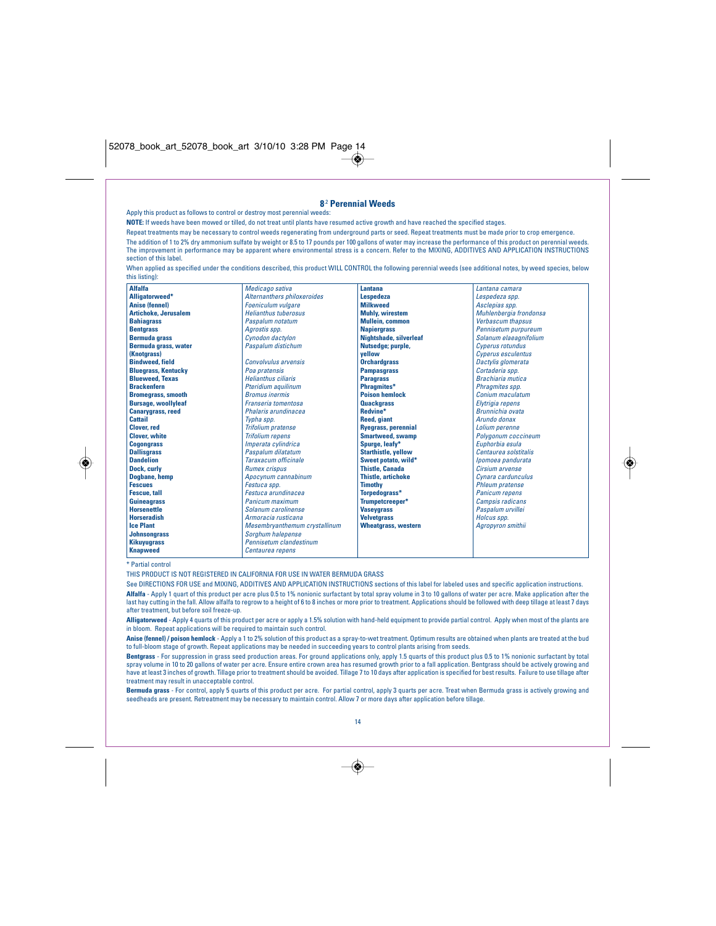|                             | Apply this product as follows to control or destroy most perennial weeds:                                                                                | 8 <sup>2</sup> Perennial Weeds |                                                                                                                                                                      |
|-----------------------------|----------------------------------------------------------------------------------------------------------------------------------------------------------|--------------------------------|----------------------------------------------------------------------------------------------------------------------------------------------------------------------|
|                             |                                                                                                                                                          |                                |                                                                                                                                                                      |
|                             | NOTE: If weeds have been mowed or tilled, do not treat until plants have resumed active growth and have reached the specified stages.                    |                                |                                                                                                                                                                      |
|                             | Repeat treatments may be necessary to control weeds regenerating from underground parts or seed. Repeat treatments must be made prior to crop emergence. |                                |                                                                                                                                                                      |
|                             |                                                                                                                                                          |                                | The addition of 1 to 2% dry ammonium sulfate by weight or 8.5 to 17 pounds per 100 gallons of water may increase the performance of this product on perennial weeds. |
|                             |                                                                                                                                                          |                                | The improvement in performance may be apparent where environmental stress is a concern. Refer to the MIXING, ADDITIVES AND APPLICATION INSTRUCTIONS                  |
| section of this label.      |                                                                                                                                                          |                                |                                                                                                                                                                      |
|                             |                                                                                                                                                          |                                | When applied as specified under the conditions described, this product WILL CONTROL the following perennial weeds (see additional notes, by weed species, below      |
| this listing):              |                                                                                                                                                          |                                |                                                                                                                                                                      |
| <b>Alfalfa</b>              | Medicago sativa                                                                                                                                          | Lantana                        | Lantana camara                                                                                                                                                       |
| Alligatorweed*              | Alternanthers philoxeroides                                                                                                                              | <b>Lespedeza</b>               | Lespedeza spp.                                                                                                                                                       |
| <b>Anise (fennel)</b>       | <b>Foeniculum vulgare</b>                                                                                                                                | <b>Milkweed</b>                | Asclepias spp.                                                                                                                                                       |
| <b>Artichoke, Jerusalem</b> | <b>Helianthus tuberosus</b>                                                                                                                              | <b>Muhly, wirestem</b>         | Muhlenbergia frondonsa                                                                                                                                               |
| <b>Bahiagrass</b>           | Paspalum notatum                                                                                                                                         | <b>Mullein, common</b>         | Verbascum thapsus                                                                                                                                                    |
| <b>Bentgrass</b>            | Agrostis spp.                                                                                                                                            | <b>Napiergrass</b>             | Pennisetum purpureum                                                                                                                                                 |
| <b>Bermuda grass</b>        | Cynodon dactylon                                                                                                                                         | Nightshade, silverleaf         | Solanum elaeagnifolium                                                                                                                                               |
| <b>Bermuda grass, water</b> | Paspalum distichum                                                                                                                                       | Nutsedae: purple.              | <b>Cyperus rotundus</b>                                                                                                                                              |
| (Knotarass)                 |                                                                                                                                                          | vellow                         | <b>Cyperus esculentus</b>                                                                                                                                            |
| <b>Bindweed, field</b>      | Convolvulus arvensis                                                                                                                                     | <b>Orchardgrass</b>            | Dactylis glomerata                                                                                                                                                   |
| <b>Bluegrass, Kentucky</b>  | Poa pratensis                                                                                                                                            | <b>Pampasgrass</b>             | Cortaderia spp.                                                                                                                                                      |
| <b>Blueweed, Texas</b>      | <b>Helianthus ciliaris</b>                                                                                                                               | <b>Paragrass</b>               | <b>Brachiaria</b> mutica                                                                                                                                             |
| <b>Brackenfern</b>          | Pteridium aquilinum                                                                                                                                      | Phragmites*                    | Phragmites spp.                                                                                                                                                      |
| <b>Bromegrass, smooth</b>   | <b>Bromus inermis</b>                                                                                                                                    | <b>Poison hemlock</b>          | Conjum maculatum                                                                                                                                                     |
| <b>Bursage, woollyleaf</b>  | Franseria tomentosa                                                                                                                                      | <b>Quackgrass</b>              | Elytrigia repens                                                                                                                                                     |
| <b>Canarygrass, reed</b>    | Phalaris arundinacea                                                                                                                                     | Redvine*                       | <b>Brunnichia</b> ovata                                                                                                                                              |
| Cattail                     | Typha spp.                                                                                                                                               | <b>Reed.</b> giant             | Arundo donax                                                                                                                                                         |
| <b>Clover</b> , red         | <b>Trifolium pratense</b>                                                                                                                                | <b>Ryegrass, perennial</b>     | Lolium perenne                                                                                                                                                       |
| <b>Clover, white</b>        | <b>Trifolium repens</b>                                                                                                                                  | <b>Smartweed, swamp</b>        | Polygonum coccineum                                                                                                                                                  |
| <b>Cogongrass</b>           | Imperata cylindrica                                                                                                                                      | Spurge, leafy*                 | Euphorbia esula                                                                                                                                                      |
| <b>Dallisgrass</b>          | Paspalum dilatatum                                                                                                                                       | <b>Starthistle, yellow</b>     | Centaurea solstitalis                                                                                                                                                |
| <b>Dandelion</b>            | Taraxacum officinale                                                                                                                                     | Sweet potato, wild*            | Ipomoea pandurata                                                                                                                                                    |
| Dock, curly                 | <b>Rumex crispus</b>                                                                                                                                     | <b>Thistle, Canada</b>         | Cirsium arvense                                                                                                                                                      |
| <b>Doabane</b> , hemp       | Apocynum cannabinum                                                                                                                                      | <b>Thistle, artichoke</b>      | Cynara cardunculus                                                                                                                                                   |
| <b>Fescues</b>              | Festuca spp.                                                                                                                                             | <b>Timothy</b>                 | <b>Phleum pratense</b>                                                                                                                                               |
| <b>Fescue, tall</b>         | Festuca arundinacea                                                                                                                                      | Torpedograss*                  | <b>Panicum repens</b>                                                                                                                                                |
| <b>Guineagrass</b>          | Panicum maximum                                                                                                                                          | Trumpetcreeper*                | <b>Campsis radicans</b>                                                                                                                                              |
| <b>Horsenettle</b>          | Solanum carolinense                                                                                                                                      | <b>Vaseygrass</b>              | Paspalum urvillei                                                                                                                                                    |
| <b>Horseradish</b>          | Armoracia rusticana                                                                                                                                      | <b>Velvetarass</b>             | Holcus spp.                                                                                                                                                          |
| <b>Ice Plant</b>            | Mesembryanthemum crystallinum                                                                                                                            | <b>Wheatgrass, western</b>     | Agropyron smithii                                                                                                                                                    |
| <b>Johnsonarass</b>         | Sorghum halepense                                                                                                                                        |                                |                                                                                                                                                                      |
| <b>Kikuyugrass</b>          | Pennisetum clandestinum                                                                                                                                  |                                |                                                                                                                                                                      |
| <b>Knapweed</b>             | Centaurea repens                                                                                                                                         |                                |                                                                                                                                                                      |

◈

## \* Partial control

◈

THIS PRODUCT IS NOT REGISTERED IN CALIFORNIA FOR USE IN WATER BERMUDA GRASS

See DIRECTIONS FOR USE and MIXING, ADDITIVES AND APPLICATION INSTRUCTIONS sections of this label for labeled uses and specific application instructions. **Alfalfa** - Apply 1 quart of this product per acre plus 0.5 to 1% nonionic surfactant by total spray volume in 3 to 10 gallons of water per acre. Make application after the last hay cutting in the fall. Allow alfalfa to regrow to a height of 6 to 8 inches or more prior to treatment. Applications should be followed with deep tillage at least 7 days after treatment, but before soil freeze-up.

**Alligatorweed** - Apply 4 quarts of this product per acre or apply a 1.5% solution with hand-held equipment to provide partial control. Apply when most of the plants are in bloom. Repeat applications will be required to maintain such control.

**Anise (fennel) / poison hemlock** - Apply a 1 to 2% solution of this product as a spray-to-wet treatment. Optimum results are obtained when plants are treated at the bud to full-bloom stage of growth. Repeat applications may be needed in succeeding years to control plants arising from seeds.

**Bentgrass** - For suppression in grass seed production areas. For ground applications only, apply 1.5 quarts of this product plus 0.5 to 1% nonionic surfactant by total spray volume in 10 to 20 gallons of water per acre. Ensure entire crown area has resumed growth prior to a fall application. Bentgrass should be actively growing and have at least 3 inches of growth. Tillage prior to treatment should be avoided. Tillage 7 to 10 days after application is specified for best results. Failure to use tillage after treatment may result in unacceptable control.

**Bermuda grass** - For control, apply 5 quarts of this product per acre. For partial control, apply 3 quarts per acre. Treat when Bermuda grass is actively growing and<br>seedheads are present. Retreatment may be necessary to



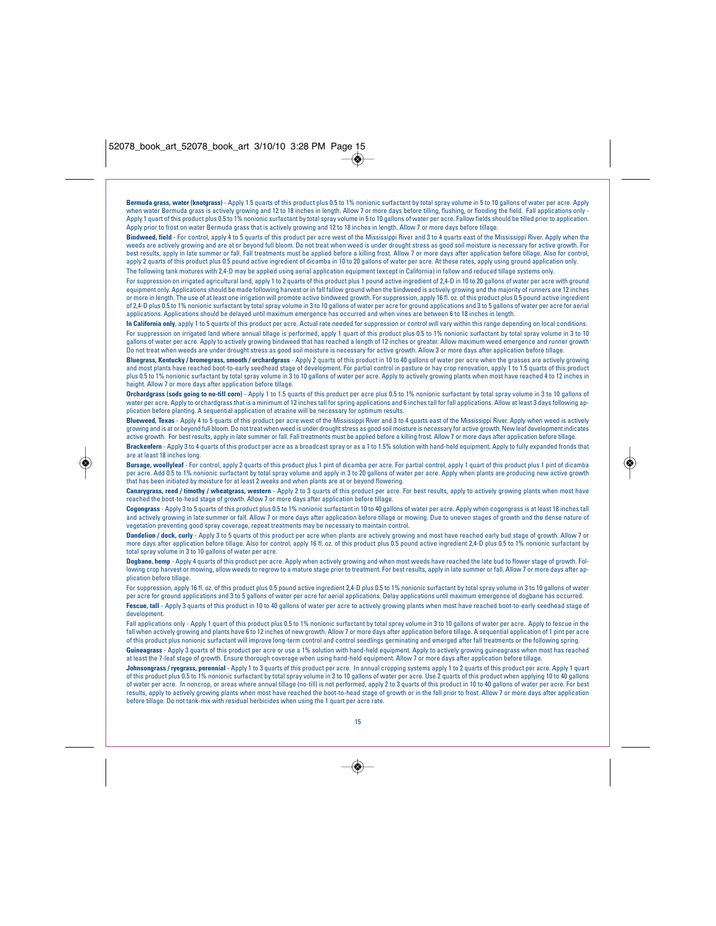◈

**Bermuda grass, water (knotgrass)** - Apply 1.5 quarts of this product plus 0.5 to 1% nonionic surfactant by total spray volume in 5 to 10 gallons of water per acre. Apply when water Bermuda grass is actively growing and 12 to 18 inches in length. Allow 7 or more days before tilling, flushing, or flooding the field. Fall applications only - Apply 1 quart of this product plus 0.5 to 1% nonionic surfactant by total spray volume in 5 to 10 gallons of water per acre. Fallow fields should be tilled prior to application. Apply prior to frost on water Bermuda grass that is actively growing and 12 to 18 inches in length. Allow 7 or more days before tillage.

**Bindweed, field** - For control, apply 4 to 5 quarts of this product per acre west of the Mississippi River and 3 to 4 quarts east of the Mississippi River. Apply when the weeds are actively growing and are at or beyond full bloom. Do not treat when weed is under drought stress as good soil moisture is necessary for active growth. For<br>best results, apply in late summer or fall. Fall treatmen apply 2 quarts of this product plus 0.5 pound active ingredient of dicamba in 10 to 20 gallons of water per acre. At these rates, apply using ground application only. The following tank mixtures with 2,4-D may be applied using aerial application equipment (except in California) in fallow and reduced tillage systems only.

For suppression on irrigated agricultural land, apply 1 to 2 quarts of this product plus 1 pound active ingredient of 2,4-D in 10 to 20 gallons of water per acre with ground equipment only. Applications should be made following harvest or in fall fallow ground when the bindweed is actively growing and the majority of runners are 12 inches or more in length. The use of at least one irrigation will promote active bindweed growth. For suppression, apply 16 fl. oz. of this product plus 0.5 pound active ingredient of 2,4-D plus 0.5 to 1% nonionic surfactant by total spray volume in 3 to 10 gallons of water per acre for ground applications and 3 to 5 gallons of water per acre for aerial applications. Applications should be delayed until maximum emergence has occurred and when vines are between 6 to 18 inches in length.

**In California only**, apply 1 to 5 quarts of this product per acre. Actual rate needed for suppression or control will vary within this range depending on local conditions. For suppression on irrigated land where annual tillage is performed, apply 1 quart of this product plus 0.5 to 1% nonionic surfactant by total spray volume in 3 to 10 gallons of water per acre. Apply to actively growing bindweed that has reached a length of 12 inches or greater. Allow maximum weed emergence and runner growth<br>Do not treat when weeds are under drought stress as good soil

**Bluegrass, Kentucky / bromegrass, smooth / orchardgrass** - Apply 2 quarts of this product in 10 to 40 gallons of water per acre when the grasses are actively growing and most plants have reached boot-to-early seedhead stage of development. For partial control in pasture or hay crop renovation, apply 1 to 1.5 quarts of this product plus 0.5 to 1% nonionic surfactant by total spray volume in 3 to 10 gallons of water per acre. Apply to actively growing plants when most have reached 4 to 12 inches in height. Allow 7 or more days after application before tillage.

**Orchardgrass (sods going to no-till corn)** - Apply 1 to 1.5 quarts of this product per acre plus 0.5 to 1% nonionic surfactant by total spray volume in 3 to 10 gallons of water per acre. Apply to orchardgrass that is a minimum of 12 inches tall for spring applications and 6 inches tall for fall applications. Allow at least 3 days following ap-<br>plication before planting. A sequential applica

**Blueweed, Texas** - Apply 4 to 5 quarts of this product per acre west of the Mississippi River and 3 to 4 quarts east of the Mississippi River. Apply when weed is actively growing and is at or beyond full bloom. Do not treat when weed is under drought stress as good soil moisture is necessary for active growth. New leaf development indicates active growth. For best results, apply in late summer or fall. Fall treatments must be applied before a killing frost. Allow 7 or more days after application before tillage.

**Brackenfern** - Apply 3 to 4 quarts of this product per acre as a broadcast spray or as a 1 to 1.5% solution with hand-held equipment. Apply to fully expanded fronds that are at least 18 inches long.

**Bursage, woollyleaf** - For control, apply 2 quarts of this product plus 1 pint of dicamba per acre. For partial control, apply 1 quart of this product plus 1 pint of dicamba per acre. Add 0.5 to 1% nonionic surfactant by total spray volume and apply in 3 to 20 gallons of water per acre. Apply when plants are producing new active growth that has been initiated by moisture for at least 2 weeks and when plants are at or beyond flowering.

**Canarygrass, reed / timothy / wheatgrass, western** - Apply 2 to 3 quarts of this product per acre. For best results, apply to actively growing plants when most have reached the boot-to-head stage of growth. Allow 7 or more days after application before tillage.

**Cogongrass** - Apply 3 to 5 quarts of this product plus 0.5 to 1% nonionic surfactant in 10 to 40 gallons of water per acre. Apply when cogongrass is at least 18 inches tall and actively growing in late summer or fall. Allow 7 or more days after application before tillage or mowing. Due to uneven stages of growth and the dense nature of vegetation preventing good spray coverage, repeat treatments may be necessary to maintain control.

**Dandelion / dock, curly** - Apply 3 to 5 quarts of this product per acre when plants are actively growing and most have reached early bud stage of growth. Allow 7 or more days after application before tillage. Also for control, apply 16 fl. oz. of this product plus 0.5 pound active ingredient 2,4-D plus 0.5 to 1% nonionic surfactant by total spray volume in 3 to 10 gallons of water per acre.

**Dogbane, hemp** - Apply 4 quarts of this product per acre. Apply when actively growing and when most weeds have reached the late bud to flower stage of growth. Following crop harvest or mowing, allow weeds to regrow to a mature stage prior to treatment. For best results, apply in late summer or fall. Allow 7 or more days after application before tillage.

For suppression, apply 16 fl. oz. of this product plus 0.5 pound active ingredient 2,4-D plus 0.5 to 1% nonionic surfactant by total spray volume in 3 to 10 gallons of water per acre for ground applications and 3 to 5 gallons of water per acre for aerial applications. Delay applications until maximum emergence of dogbane has occurred. **Fescue, tall** - Apply 3 quarts of this product in 10 to 40 gallons of water per acre to actively growing plants when most have reached boot-to-early seedhead stage of developme

Fall applications only - Apply 1 quart of this product plus 0.5 to 1% nonionic surfactant by total spray volume in 3 to 10 gallons of water per acre. Apply to fescue in the fall when actively growing and plants have 6 to 12 inches of new growth. Allow 7 or more days after application before tillage. A sequential applicati of this product plus nonionic surfactant will improve long-term control and control seedlings germinating and emerged after fall treatments or the following spring. **Guineagrass** - Apply 3 quarts of this product per acre or use a 1% solution with hand-held equipment. Apply to actively growing guineagrass when most has reached<br>at least the 7-leaf stage of growth. Ensure thorough covera

**Johnsongrass / ryegrass, perennial** - Apply 1 to 3 quarts of this product per acre. In annual cropping systems apply 1 to 2 quarts of this product per acre. Apply 1 quart of this product plus 0.5 to 1% nonionic surfactant by total spray volume in 3 to 10 gallons of water per acre. Use 2 quarts of this product when applying 10 to 40 gallons of water per acre. In noncrop, or areas where annual tillage (no-till) is not performed, apply 2 to 3 quarts of this product in 10 to 40 gallons of water per acre. For best results, apply to actively growing plants when most have reached the boot-to-head stage of growth or in the fall prior to frost. Allow 7 or more days after application before tillage. Do not tank-mix with residual herbicides when using the 1 quart per acre rate.



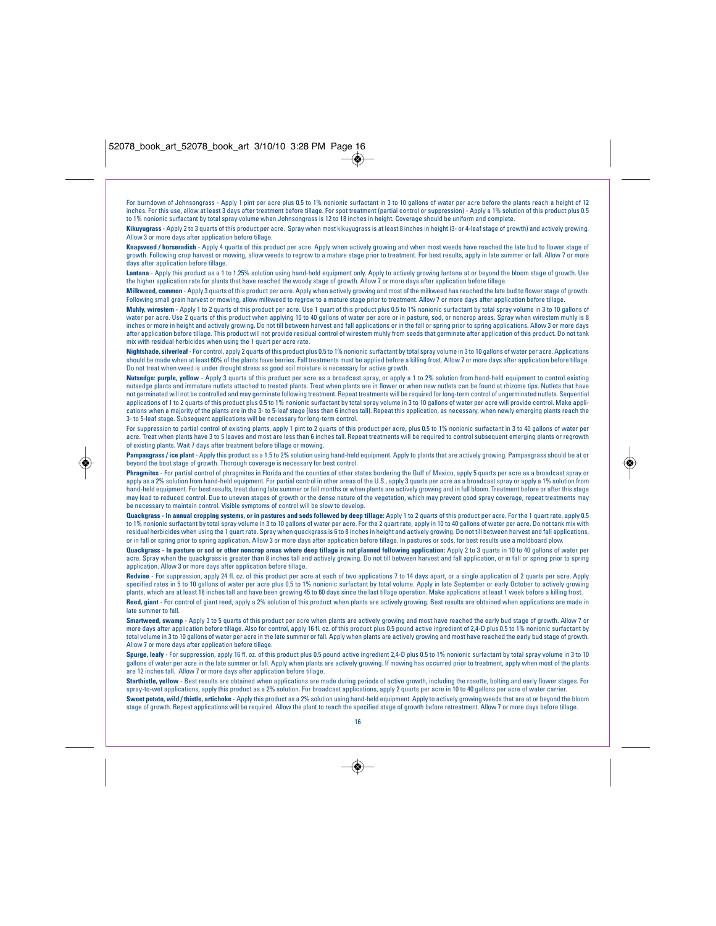◈

For burndown of Johnsongrass - Apply 1 pint per acre plus 0.5 to 1% nonionic surfactant in 3 to 10 gallons of water per acre before the plants reach a height of 12 inches. For this use, allow at least 3 days after treatment before tillage. For spot treatment (partial control or suppression) - Apply a 1% solution of this product plus 0.5 to 1% nonionic surfactant by total spray volume when Johnsongrass is 12 to 18 inches in height. Coverage should be uniform and complete.

**Kikuyugrass** - Apply 2 to 3 quarts of this product per acre. Spray when most kikuyugrass is at least 8 inches in height (3- or 4-leaf stage of growth) and actively growing. Allow 3 or more days after application before tillage.

**Knapweed / horseradish** - Apply 4 quarts of this product per acre. Apply when actively growing and when most weeds have reached the late bud to flower stage of growth. Following crop harvest or mowing, allow weeds to regrow to a mature stage prior to treatment. For best results, apply in late summer or fall. Allow 7 or more days after application before tillage.

**Lantana** - Apply this product as a 1 to 1.25% solution using hand-held equipment only. Apply to actively growing lantana at or beyond the bloom stage of growth. Use the higher application rate for plants that have reached the woody stage of growth. Allow 7 or more days after application before tillage.

**Milkweed, common** - Apply 3 quarts of this product per acre. Apply when actively growing and most of the milkweed has reached the late bud to flower stage of growth. Following small grain harvest or mowing, allow milkweed to regrow to a mature stage prior to treatment. Allow 7 or more days after application before tillage.

**Muhly, wirestem** - Apply 1 to 2 quarts of this product per acre. Use 1 quart of this product plus 0.5 to 1% nonionic surfactant by total spray volume in 3 to 10 gallons of water per acre. Use 2 quarts of this product when applying 10 to 40 gallons of water per acre or in pasture, sod, or noncrop areas. Spray when wirestem muhly is 8 inches or more in height and actively growing. Do not till between harvest and fall applications or in the fall or spring prior to spring applications. Allow 3 or more days after application before tillage. This product will not provide residual control of wirestem muhly from seeds that germinate after application of this product. Do not tank mix with residual herbicides when using the 1 quart per acre rate.

**Nightshade, silverleaf** - For control, apply 2 quarts of this product plus 0.5 to 1% nonionic surfactant by total spray volume in 3 to 10 gallons of water per acre. Applications should be made when at least 60% of the plants have berries. Fall treatments must be applied before a killing frost. Allow 7 or more days after application before tillage. Do not treat when weed is under drought stress as good soil moisture is necessary for active growth.

**Nutsedge: purple, yellow** - Apply 3 quarts of this product per acre as a broadcast spray, or apply a 1 to 2% solution from hand-held equipment to control existing nutsedge plants and immature nutlets attached to treated plants. Treat when plants are in flower or when new nutlets can be found at rhizome tips. Nutlets that have not germinated will not be controlled and may germinate following treatment. Repeat treatments will be required for long-term control of ungerminated nutlets. Sequential applications of 1 to 2 quarts of this product plus 0.5 to 1% nonionic surfactant by total spray volume in 3 to 10 gallons of water per acre will provide control. Make appli-<br>cations when a majority of the plants are in the 3- to 5-leaf stage. Subsequent applications will be necessary for long-term control.

For suppression to partial control of existing plants, apply 1 pint to 2 quarts of this product per acre, plus 0.5 to 1% nonionic surfactant in 3 to 40 gallons of water per acre. Treat when plants have 3 to 5 leaves and most are less than 6 inches tall. Repeat treatments will be required to control subsequent emerging plants or regrowth of existing plants. Wait 7 days after treatment before tillage or mowing.

Pampasgrass / ice plant - Apply this product as a 1.5 to 2% solution using hand-held equipment. Apply to plants that are actively growing. Pampasgrass should be at or beyond the boot stage of growth. Thorough coverage is necessary for best control.

**Phragmites** - For partial control of phragmites in Florida and the counties of other states bordering the Gulf of Mexico, apply 5 quarts per acre as a broadcast spray or apply as a 2% solution from hand-held equipment. For partial control in other areas of the U.S., apply 3 quarts per acre as a broadcast spray or apply a 1% solution from hand-held equipment. For best results, treat during late summer or fall months or when plants are actively growing and in full bloom. Treatment before or after this stage may lead to reduced control. Due to uneven stages of growth or the dense nature of the vegetation, which may prevent good spray coverage, repeat treatments may may be a control. Due to uneven stages of growth or the dense be necessary to maintain control. Visible symptoms of control will be slow to develop.

**Quackgrass - In annual cropping systems, or in pastures and sods followed by deep tillage:** Apply 1 to 2 quarts of this product per acre. For the 1 quart rate, apply 0.5 to 1% nonionic surfactant by total spray volume in 3 to 10 gallons of water per acre. For the 2 quart rate, apply in 10 to 40 gallons of water per acre. Do not tank mix with residual herbicides when using the 1 quart rate. Spray when quackgrass is 6 to 8 inches in height and actively growing. Do not till between harvest and fall applications,<br>or in fall or spring prior to spring application. A

**Quackgrass - In pasture or sod or other noncrop areas where deep tillage is not planned following application:** Apply 2 to 3 quarts in 10 to 40 gallons of water per acre. Spray when the quackgrass is greater than 8 inches tall and actively growing. Do not till between harvest and fall application, or in fall or spring prior to spring application. Allow 3 or more days after application before tillage.

**Redvine** - For suppression, apply 24 fl. oz. of this product per acre at each of two applications 7 to 14 days apart, or a single application of 2 quarts per acre. Apply specified rates in 5 to 10 gallons of water per acre plus 0.5 to 1% nonionic surfactant by total volume. Apply in late September or early October to actively growing plants, which are at least 18 inches tall and have been growing 45 to 60 days since the last tillage operation. Make applications at least 1 week before a killing frost. **Reed, giant** - For control of giant reed, apply a 2% solution of this product when plants are actively growing. Best results are obtained when applications are made in late roof all.

**Smartweed, swamp** - Apply 3 to 5 quarts of this product per acre when plants are actively growing and most have reached the early bud stage of growth. Allow 7 or more days after application before tillage. Also for control, apply 16 fl. oz. of this product plus 0.5 pound active ingredient of 2,4-D plus 0.5 to 1% nonionic surfactant by total volume in 3 to 10 gallons of water per acre in the late summer or fall. Apply when plants are actively growing and most have reached the early bud stage of growth. Allow 7 or more days after application before tillage.

**Spurge, leafy** - For suppression, apply 16 fl. oz. of this product plus 0.5 pound active ingredient 2,4-D plus 0.5 to 1% nonionic surfactant by total spray volume in 3 to 10 is of water per acre in the late summer or fall. Apply when plants are actively growing. If mowing has occurred prior to treatment, apply when most of the plants are 12 inches tall. Allow 7 or more days after application before tillage.

**Starthistle, yellow** - Best results are obtained when applications are made during periods of active growth, including the rosette, bolting and early flower stages. For spray-to-wet applications, apply this product as a 2% solution. For broadcast applications, apply 2 quarts per acre in 10 to 40 gallons per acre of water carrier. **Sweet potato, wild / thistle, artichoke** - Apply this product as a 2% solution using hand-held equipment. Apply to actively growing weeds that are at or beyond the bloom stage of growth. Repeat applications will be required. Allow the plant to reach the specified stage of growth before retreatment. Allow 7 or more days before tillage.



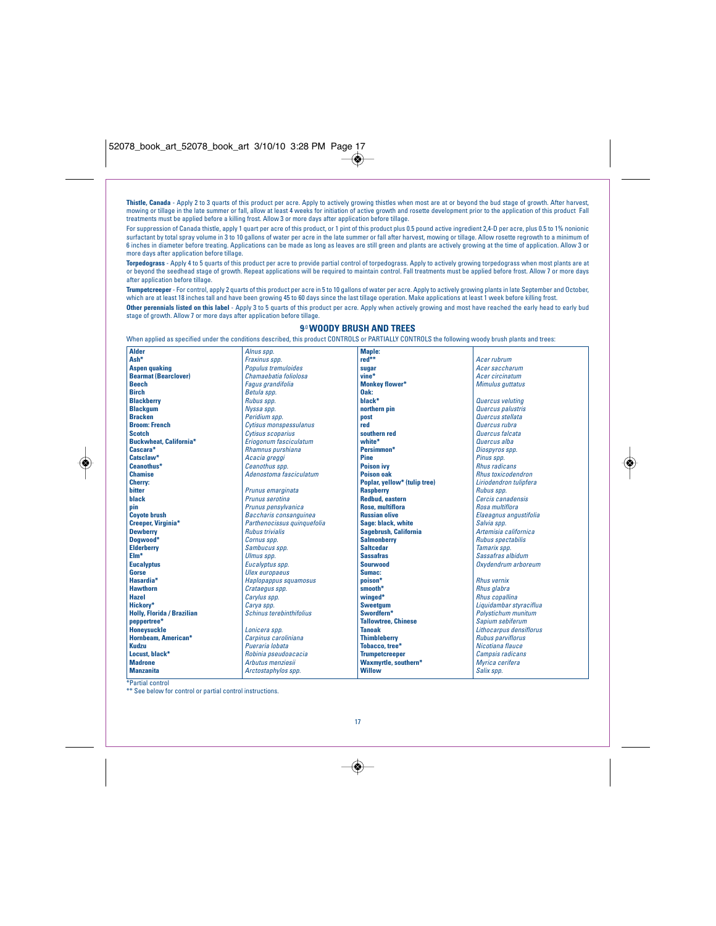**Thistle, Canada** - Apply 2 to 3 quarts of this product per acre. Apply to actively growing thistles when most are at or beyond the bud stage of growth. After harvest,<br>mowing or tillage in the late summer or fall, allow at treatments must be applied before a killing frost. Allow 3 or more days after application before tillage.

For suppression of Canada thistle, apply 1 quart per acre of this product, or 1 pint of this product plus 0.5 pound active ingredient 2,4-D per acre, plus 0.5 to 1% nonionic surfactant by total spray volume in 3 to 10 gallons of water per acre in the late summer or fall after harvest, mowing or tillage. Allow rosette regrowth to a minimum of 6 inches in diameter before treating. Applications can be made as long as leaves are still green and plants are actively growing at the time of application. Allow 3 or more days after application before tillage.

**Torpedograss** - Apply 4 to 5 quarts of this product per acre to provide partial control of torpedograss. Apply to actively growing torpedograss when most plants are at or beyond the seedhead stage of growth. Repeat applications will be required to maintain control. Fall treatments must be applied before frost. Allow 7 or more days after application before tillage.

**Trumpetcreeper** - For control, apply 2 quarts of this product per acre in 5 to 10 gallons of water per acre. Apply to actively growing plants in late September and October,<br>which are at least 18 inches tall and have been **Other perennials listed on this label** - Apply 3 to 5 quarts of this product per acre. Apply when actively growing and most have reached the early head to early bud stage of growth. Allow 7 or more days after application before tillage.

## **9**.0**WOODY BRUSH AND TREES**

When applied as specified under the conditions described, this product CONTROLS or PARTIALLY CONTROLS the following woody brush plants and trees: Alnus spp. **Maple:**

| <b>Alder</b>                      | Alnus spp.                      | Maple:                       |                            |
|-----------------------------------|---------------------------------|------------------------------|----------------------------|
| Ash*                              | Fraxinus spp.                   | red**                        | Acer rubrum                |
| <b>Aspen quaking</b>              | Populus tremuloides             | sugar                        | Acer saccharum             |
| <b>Bearmat (Bearclover)</b>       | Chamaebatia foliolosa           | vine*                        | Acer circinatum            |
| <b>Beech</b>                      | <b>Fagus grandifolia</b>        | <b>Monkey flower*</b>        | Mimulus guttatus           |
| <b>Birch</b>                      | Betula spp.                     | Oak:                         |                            |
| <b>Blackberry</b>                 | Rubus spp.                      | black*                       | Quercus veluting           |
| <b>Blackgum</b>                   | Nyssa spp.                      | northern pin                 | Quercus palustris          |
| <b>Bracken</b>                    | Peridium spp.                   | post                         | Quercus stellata           |
| <b>Broom: French</b>              | Cytisus monspessulanus          | red                          | Quercus rubra              |
| <b>Scotch</b>                     | Cytisus scoparius               | southern red                 | Quercus falcata            |
| <b>Buckwheat, California*</b>     | Eriogonum fasciculatum          | white*                       | Quercus alba               |
| Cascara*                          | Rhamnus purshiana               | Persimmon*                   | Diospyros spp.             |
| Catsclaw*                         | Acacia greggi                   | Pine                         | Pinus spp.                 |
| Ceanothus*                        | Ceanothus spp.                  | <b>Poison ivy</b>            | <b>Rhus radicans</b>       |
| <b>Chamise</b>                    | Adenostoma fasciculatum         | <b>Poison oak</b>            | <b>Rhus toxicodendron</b>  |
| <b>Cherry:</b>                    |                                 | Poplar, yellow* (tulip tree) | Liriodendron tulipfera     |
| <b>bitter</b>                     | Prunus emarginata               | <b>Raspberry</b>             | Rubus spp.                 |
| black                             | Prunus serotina                 | <b>Redbud, eastern</b>       | Cercis canadensis          |
| pin                               | Prunus pensylvanica             | <b>Rose, multiflora</b>      | Rosa multiflora            |
| <b>Coyote brush</b>               | Baccharis consanguinea          | <b>Russian olive</b>         | Elaeagnus angustifolia     |
| <b>Creeper, Virginia*</b>         | Parthenocissus quinquefolia     | Sage: black, white           | Salvia spp.                |
| <b>Dewberry</b>                   | <b>Rubus trivialis</b>          | Sagebrush, California        | Artemisia californica      |
| Dogwood*                          | Cornus spp.                     | <b>Salmonberry</b>           | <b>Rubus spectabilis</b>   |
| <b>Elderberry</b>                 | Sambucus spp.                   | <b>Saltcedar</b>             | Tamarix spp.               |
| $EIm*$                            | Ulmus spp.                      | <b>Sassafras</b>             | Sassafras albidum          |
| <b>Eucalyptus</b>                 | Eucalyptus spp.                 | <b>Sourwood</b>              | Oxydendrum arboreum        |
| Gorse                             | <b>Ulex</b> europaeus           | Sumac:                       |                            |
| Hasardia*                         | Haplopappus squamosus           | poison*                      | <b>Rhus vernix</b>         |
| <b>Hawthorn</b>                   | Crataegus spp.                  | smooth*                      | Rhus glabra                |
| <b>Hazel</b>                      | Carylus spp.                    | winged*                      | <b>Rhus copallina</b>      |
| Hickorv*                          | Carya spp.                      | <b>Sweetaum</b>              | Liquidambar styraciflua    |
| <b>Holly, Florida / Brazilian</b> | <b>Schinus terebinthifolius</b> | Swordfern*                   | <b>Polystichum munitum</b> |
| peppertree*                       |                                 | <b>Tallowtree, Chinese</b>   | Sapium sebiferum           |
| <b>Honeysuckle</b>                | Lonicera spp.                   | <b>Tanoak</b>                | Lithocarpus densiflorus    |
| <b>Hornbeam, American*</b>        | Carpinus caroliniana            | <b>Thimbleberry</b>          | <b>Rubus parviflorus</b>   |
| <b>Kudzu</b>                      | Pueraria lobata                 | Tobacco.tree*                | Nicotiana flauce           |
| Locust, black*                    | Robinia pseudoacacia            | <b>Trumpetcreeper</b>        | <b>Campsis radicans</b>    |
| <b>Madrone</b>                    | Arbutus menziesii               | Waxmyrtle, southern*         | Myrica cerifera            |
| <b>Manzanita</b>                  | Arctostaphylos spp.             | <b>Willow</b>                | Salix spp.                 |
|                                   |                                 |                              |                            |

\*Partial control

◈

\*\* See below for control or partial control instructions.



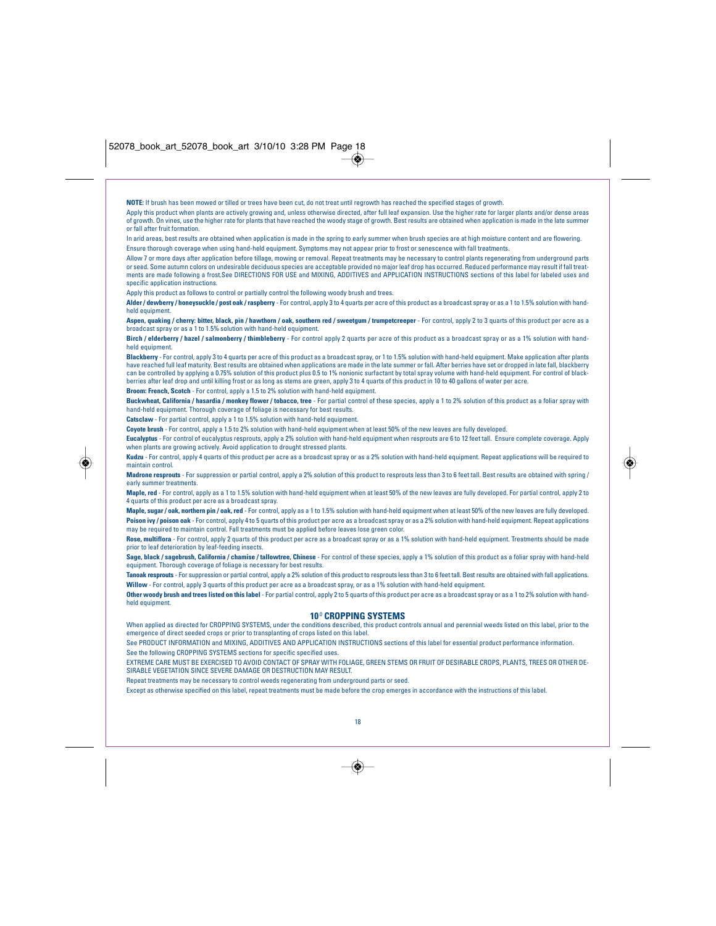**NOTE:** If brush has been mowed or tilled or trees have been cut, do not treat until regrowth has reached the specified stages of growth.

Apply this product when plants are actively growing and, unless otherwise directed, after full leaf expansion. Use the higher rate for larger plants and/or dense areas of growth. On vines, use the higher rate for plants that have reached the woody stage of growth. Best results are obtained when application is made in the late summer or fall after fruit formation.

In arid areas, best results are obtained when application is made in the spring to early summer when brush species are at high moisture content and are flowering. Ensure thorough coverage when using hand-held equipment. Symptoms may not appear prior to frost or senescence with fall treatments.

Allow 7 or more days after application before tillage, mowing or removal. Repeat treatments may be necessary to control plants regenerating from underground parts or seed. Some autumn colors on undesirable deciduous species are acceptable provided no major leaf drop has occurred. Reduced performance may result if fall treatments are made following a frost.See DIRECTIONS FOR USE and MIXING, ADDITIVES and APPLICATION INSTRUCTIONS sections of this label for labeled uses and specific application instructions.

Apply this product as follows to control or partially control the following woody brush and trees.

**Alder / dewberry / honeysuckle / post oak / raspberry** - For control, apply 3 to 4 quarts per acre of this product as a broadcast spray or as a 1 to 1.5% solution with handheld equipme

**Aspen, quaking / cherry: bitter, black, pin / hawthorn / oak, southern red / sweetgum / trumpetcreeper** - For control, apply 2 to 3 quarts of this product per acre as a broadcast spray or as a 1 to 1.5% solution with hand-held equipment.

**Birch / elderberry / hazel / salmonberry / thimbleberry** - For control apply 2 quarts per acre of this product as a broadcast spray or as a 1% solution with handheld equipment.

**Blackberry** - For control, apply 3 to 4 quarts per acre of this product as a broadcast spray, or 1 to 1.5% solution with hand-held equipment. Make application after plants<br>have reached full leaf maturity. Best results are can be controlled by applying a 0.75% solution of this product plus 0.5 to 1% nonionic surfactant by total spray volume with hand-held equipment. For control of blackberries after leaf drop and until killing frost or as long as stems are green, apply 3 to 4 quarts of this product in 10 to 40 gallons of water per acre.

**Broom: French, Scotch** - For control, apply a 1.5 to 2% solution with hand-held equipment.

**Buckwheat, California / hasardia / monkey flower / tobacco, tree** - For partial control of these species, apply a 1 to 2% solution of this product as a foliar spray with hand-held equipment. Thorough coverage of foliage is necessary for best results.

**Catsclaw** - For partial control, apply a 1 to 1.5% solution with hand-held equipment.

**Coyote brush** - For control, apply a 1.5 to 2% solution with hand-held equipment when at least 50% of the new leaves are fully developed.

**Eucalyptus** - For control of eucalyptus resprouts, apply a 2% solution with hand-held equipment when resprouts are 6 to 12 feet tall. Ensure complete coverage. Apply

when plants are growing actively. Avoid application to drought stressed plants. **Kudzu** - For control, apply 4 quarts of this product per acre as a broadcast spray or as a 2% solution with hand-held equipment. Repeat applications will be required to

maintain control. **Madrone resprouts** - For suppression or partial control, apply a 2% solution of this product to resprouts less than 3 to 6 feet tall. Best results are obtained with spring / early summer treatments.

**Maple, red** - For control, apply as a 1 to 1.5% solution with hand-held equipment when at least 50% of the new leaves are fully developed. For partial control, apply 2 to 4 quarts of this product per acre as a broadcast spray.

**Maple, sugar / oak, northern pin / oak, red** - For control, apply as a 1 to 1.5% solution with hand-held equipment when at least 50% of the new leaves are fully developed. **Poison ivy / poison oak** - For control, apply 4 to 5 quarts of this product per acre as a broadcast spray or as a 2% solution with hand-held equipment. Repeat applications<br>may be required to maintain control. Fall treatme

**Rose, multiflora** - For control, apply 2 quarts of this product per acre as a broadcast spray or as a 1% solution with hand-held equipment. Treatments should be made prior to leaf deterioration by leaf-feeding insects.

**Sage, black / sagebrush, California / chamise / tallowtree, Chinese** - For control of these species, apply a 1% solution of this product as a foliar spray with hand-held equipment. Thorough coverage of foliage is necessary for best results.

**Tanoak resprouts** - For suppression or partial control, apply a 2% solution of this product to resprouts less than 3 to 6 feet tall. Best results are obtained with fall applications. **Willow** - For control, apply 3 quarts of this product per acre as a broadcast spray, or as a 1% solution with hand-held equipment.

**Other woody brush and trees listed on this label** - For partial control, apply 2 to 5 quarts of this product per acre as a broadcast spray or as a 1 to 2% solution with handheld equipment

## **10**.0 **CROPPING SYSTEMS**

When applied as directed for CROPPING SYSTEMS, under the conditions described, this product controls annual and perennial weeds listed on this label, prior to the emergence of direct seeded crops or prior to transplanting of crops listed on this label.

See PRODUCT INFORMATION and MIXING, ADDITIVES AND APPLICATION INSTRUCTIONS sections of this label for essential product performance information. See the following CROPPING SYSTEMS sections for specific specified uses.

EXTREME CARE MUST BE EXERCISED TO AVOID CONTACT OF SPRAY WITH FOLIAGE, GREEN STEMS OR FRUIT OF DESIRABLE CROPS, PLANTS, TREES OR OTHER DE-SIRABLE VEGETATION SINCE SEVERE DAMAGE OR DESTRUCTION MAY RESULT.

Repeat treatments may be necessary to control weeds regenerating from underground parts or seed.

Except as otherwise specified on this label, repeat treatments must be made before the crop emerges in accordance with the instructions of this label.



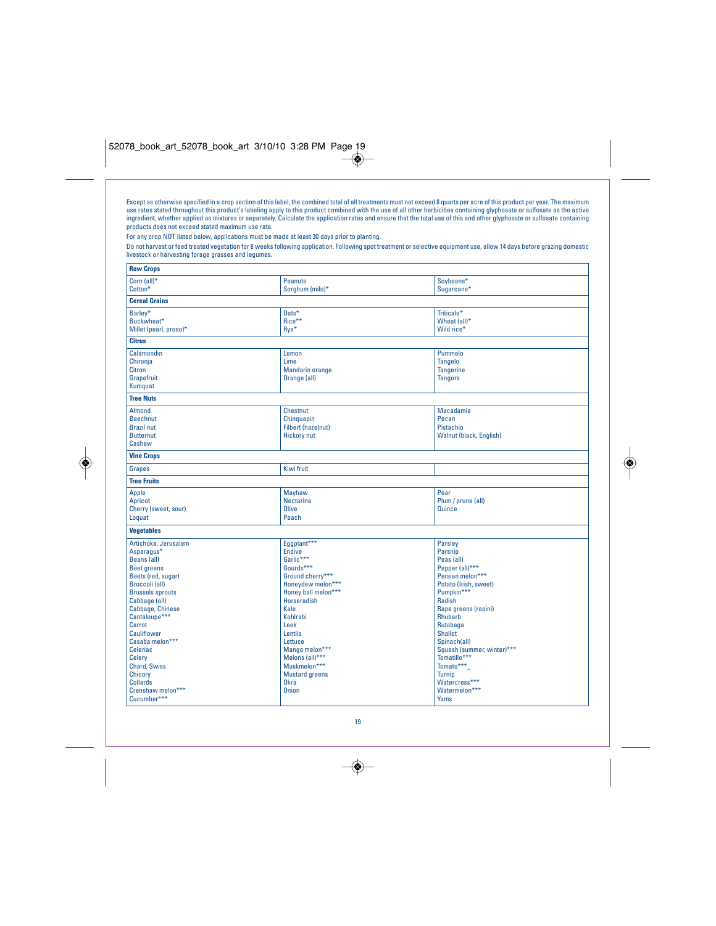Except as otherwise specified in a crop section of this label, the combined total of all treatments must not exceed 8 quarts per acre of this product per year. The maximum<br>use rates stated throughout this product's labelin

◈

For any crop NOT listed below, applications must be made at least 30 days prior to planting.

◈

Do not harvest or feed treated vegetation for 8 weeks following application. Following spot treatment or selective equipment use, allow 14 days before grazing domestic livestock or harvesting forage grasses and legumes.

| <b>Peanuts</b><br>Sorghum (milo)*                                                                                                                                                                                                                                                            | Soybeans*<br>Sugarcane*                                                                                                                                                                                                                                                                                                         |
|----------------------------------------------------------------------------------------------------------------------------------------------------------------------------------------------------------------------------------------------------------------------------------------------|---------------------------------------------------------------------------------------------------------------------------------------------------------------------------------------------------------------------------------------------------------------------------------------------------------------------------------|
|                                                                                                                                                                                                                                                                                              |                                                                                                                                                                                                                                                                                                                                 |
| $0$ ats*<br>Rice**<br>Rve*                                                                                                                                                                                                                                                                   | Triticale*<br>Wheat (all)*<br>Wild rice*                                                                                                                                                                                                                                                                                        |
|                                                                                                                                                                                                                                                                                              |                                                                                                                                                                                                                                                                                                                                 |
| Lemon<br>Lime<br>Mandarin orange<br>Orange (all)                                                                                                                                                                                                                                             | Pummelo<br><b>Tangelo</b><br><b>Tangerine</b><br><b>Tangors</b>                                                                                                                                                                                                                                                                 |
|                                                                                                                                                                                                                                                                                              |                                                                                                                                                                                                                                                                                                                                 |
| <b>Chestnut</b><br>Chinguapin<br><b>Filbert (hazelnut)</b><br><b>Hickory nut</b>                                                                                                                                                                                                             | <b>Macadamia</b><br>Pecan<br>Pistachio<br>Walnut (black, English)                                                                                                                                                                                                                                                               |
|                                                                                                                                                                                                                                                                                              |                                                                                                                                                                                                                                                                                                                                 |
| Kiwi fruit                                                                                                                                                                                                                                                                                   |                                                                                                                                                                                                                                                                                                                                 |
|                                                                                                                                                                                                                                                                                              |                                                                                                                                                                                                                                                                                                                                 |
| Mayhaw<br><b>Nectarine</b><br><b>Olive</b><br>Peach                                                                                                                                                                                                                                          | Pear<br>Plum / prune (all)<br>Quince                                                                                                                                                                                                                                                                                            |
|                                                                                                                                                                                                                                                                                              |                                                                                                                                                                                                                                                                                                                                 |
| <b>Endive</b><br>Garlic***<br>Gourds***<br>Ground cherry***<br>Honeydew melon***<br>Honey ball melon***<br><b>Horseradish</b><br>Kale<br>Kohlrabi<br>Leek<br>Lentils<br>Lettuce<br>Mango melon***<br>Melons (all)***<br>Muskmelon***<br><b>Mustard greens</b><br><b>Okra</b><br><b>Onion</b> | Parsley<br>Parsnip<br>Peas (all)<br>Pepper (all)***<br>Persian melon***<br>Potato (Irish, sweet)<br>Pumpkin***<br>Radish<br>Rape greens (rapini)<br>Rhubarb<br>Rutabaga<br><b>Shallot</b><br>Spinach(all)<br>Squash (summer, winter)***<br>Tomatillo***<br>Tomato***<br><b>Turnip</b><br>Watercress***<br>Watermelon***<br>Yams |
|                                                                                                                                                                                                                                                                                              | Eqqplant***                                                                                                                                                                                                                                                                                                                     |

19

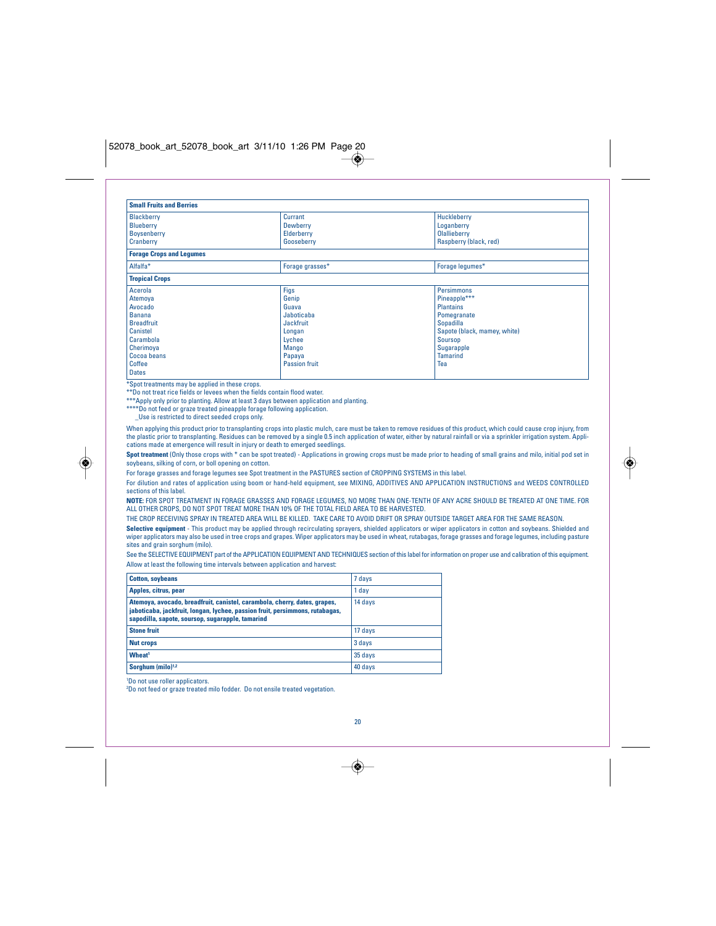| <b>Small Fruits and Berries</b> |                     |                              |
|---------------------------------|---------------------|------------------------------|
| <b>Blackberry</b><br>Blueberry  | Currant<br>Dewberry | Huckleberry<br>Loganberry    |
| Boysenberry                     | Elderberry          | <b>Olallieberry</b>          |
| Cranberry                       | Gooseberry          | Raspberry (black, red)       |
| <b>Forage Crops and Legumes</b> |                     |                              |
| Alfalfa <sup>*</sup>            | Forage grasses*     | Forage lequmes*              |
| <b>Tropical Crops</b>           |                     |                              |
| Acerola                         | <b>Figs</b>         | <b>Persimmons</b>            |
| Atemoya                         | Genip               | Pineapple***                 |
| Avocado                         | Guava               | <b>Plantains</b>             |
| <b>Banana</b>                   | Jaboticaba          | Pomegranate                  |
| <b>Breadfruit</b>               | Jackfruit           | Sopadilla                    |
| <b>Canistel</b>                 | Longan              | Sapote (black, mamey, white) |
| Carambola                       | Lychee              | Soursop                      |
| Cherimoya                       | Mango               | Sugarapple                   |
| Cocoa beans                     | Papaya              | <b>Tamarind</b>              |
| Coffee                          | Passion fruit       | Tea                          |
| <b>Dates</b>                    |                     |                              |

\*Spot treatments may be applied in these crops.

\*\*Do not treat rice fields or levees when the fields contain flood water.

\*\*\*Apply only prior to planting. Allow at least 3 days between application and planting. \*\*\*\*Do not feed or graze treated pineapple forage following application.

\_Use is restricted to direct seeded crops only.

When applying this product prior to transplanting crops into plastic mulch, care must be taken to remove residues of this product, which could cause crop injury, from the plastic prior to transplanting. Residues can be removed by a single 0.5 inch application of water, either by natural rainfall or via a sprinkler irrigation system. Appli-<br>cations made at emergence will result in injury

**Spot treatment** (Only those crops with \* can be spot treated) - Applications in growing crops must be made prior to heading of small grains and milo, initial pod set in soybeans, silking of corn, or boll opening on cotton.

For forage grasses and forage legumes see Spot treatment in the PASTURES section of CROPPING SYSTEMS in this label.

For dilution and rates of application using boom or hand-held equipment, see MIXING, ADDITIVES AND APPLICATION INSTRUCTIONS and WEEDS CONTROLLED sections of this label.

**NOTE:** FOR SPOT TREATMENT IN FORAGE GRASSES AND FORAGE LEGUMES, NO MORE THAN ONE-TENTH OF ANY ACRE SHOULD BE TREATED AT ONE TIME. FOR ALL OTHER CROPS, DO NOT SPOT TREAT MORE THAN 10% OF THE TOTAL FIELD AREA TO BE HARVESTED.

THE CROP RECEIVING SPRAY IN TREATED AREA WILL BE KILLED. TAKE CARE TO AVOID DRIFT OR SPRAY OUTSIDE TARGET AREA FOR THE SAME REASON. **Selective equipment** - This product may be applied through recirculating sprayers, shielded applicators or wiper applicators in cotton and soybeans. Shielded and<br>wiper applicators may also be used in tree crops and grapes sites and grain sorghum (milo).

See the SELECTIVE EQUIPMENT part of the APPLICATION EQUIPMENT AND TECHNIQUES section of this label for information on proper use and calibration of this equipment. Allow at least the following time intervals between application and harvest:

| i 7 days |
|----------|
| 1 day    |
| 14 days  |
| 17 days  |
| 3 days   |
| 35 days  |
| 40 days  |
|          |

1 Do not use roller applicators.

2 Do not feed or graze treated milo fodder. Do not ensile treated vegetation.



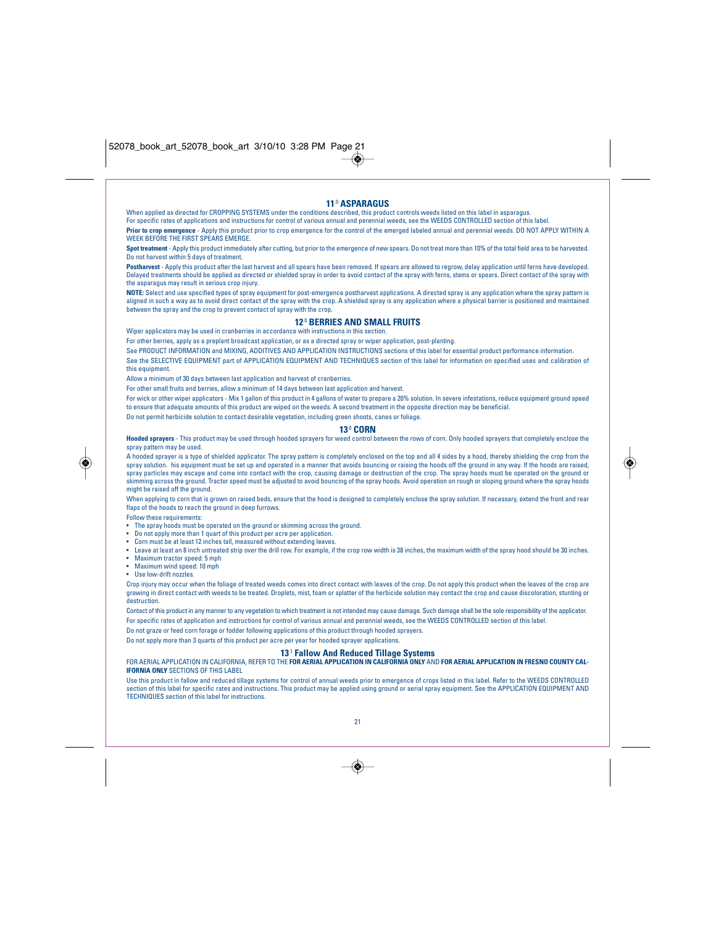## **11**.0 **ASPARAGUS**

When applied as directed for CROPPING SYSTEMS under the conditions described, this product controls weeds listed on this label in asparagus. For specific rates of applications and instructions for control of various annual and perennial weeds, see the WEEDS CONTROLLED section of this label. **Prior to crop emergence** - Apply this product prior to crop emergence for the control of the emerged labeled annual and perennial weeds. DO NOT APPLY WITHIN A WEEK BEFORE THE FIRST SPEARS EMERGE.

**Spot treatment** - Apply this product immediately after cutting, but prior to the emergence of new spears. Do not treat more than 10% of the total field area to be harvested. Do not harvest within 5 days of treatment.

Postharvest - Apply this product after the last harvest and all spears have been removed. If spears are allowed to regrow, delay application until ferns have developed. Delayed treatments should be applied as directed or shielded spray in order to avoid contact of the spray with ferns, stems or spears. Direct contact of the spray with the asparagus may result in serious crop injury.

**NOTE:** Select and use specified types of spray equipment for post-emergence postharvest applications. A directed spray is any application where the spray pattern is aligned in such a way as to avoid direct contact of the spray with the crop. A shielded spray is any application where a physical barrier is positioned and maintained between the spray and the crop to prevent contact of spray with the crop.

## **12**.0 **BERRIES AND SMALL FRUITS**

Wiper applicators may be used in cranberries in accordance with instructions in this section.

For other berries, apply as a preplant broadcast application, or as a directed spray or wiper application, post-planting.

See PRODUCT INFORMATION and MIXING, ADDITIVES AND APPLICATION INSTRUCTIONS sections of this label for essential product performance information. See the SELECTIVE EQUIPMENT part of APPLICATION EQUIPMENT AND TECHNIQUES section of this label for information on specified uses and calibration of this equipment.

Allow a minimum of 30 days between last application and harvest of cranberries.

For other small fruits and berries, allow a minimum of 14 days between last application and harvest.

For wick or other wiper applicators - Mix 1 gallon of this product in 4 gallons of water to prepare a 20% solution. In severe infestations, reduce equipment ground speed to ensure that adequate amounts of this product are wiped on the weeds. A second treatment in the opposite direction may be beneficial.

Do not permit herbicide solution to contact desirable vegetation, including green shoots, canes or foliage.

## **13**.0 **CORN**

**Hooded sprayers** - This product may be used through hooded sprayers for weed control between the rows of corn. Only hooded sprayers that completely enclose the spray pattern may be used.

A hooded sprayer is a type of shielded applicator. The spray pattern is completely enclosed on the top and all 4 sides by a hood, thereby shielding the crop from the spray solution. his equipment must be set up and operated in a manner that avoids bouncing or raising the hoods off the ground in any way. If the hoods are raised,<br>spray particles may escape and come into contact with the skimming across the ground. Tractor speed must be adjusted to avoid bouncing of the spray hoods. Avoid operation on rough or sloping ground where the spray hoods might be raised off the ground.

When applying to corn that is grown on raised beds, ensure that the hood is designed to completely enclose the spray solution. If necessary, extend the front and rear flaps of the hoods to reach the ground in deep furrows.

Follow these requirements:

- The spray hoods must be operated on the ground or skimming across the ground.
- Do not apply more than 1 quart of this product per acre per application.
- Corn must be at least 12 inches tall, measured without extending leaves.
- Leave at least an 8 inch untreated strip over the drill row. For example, if the crop row width is 38 inches, the maximum width of the spray hood should be 30 inches. • Maximum tractor speed: 5 mph
- Maximum wind speed: 10 mph
- Use low-drift nozzles.

Crop injury may occur when the foliage of treated weeds comes into direct contact with leaves of the crop. Do not apply this product when the leaves of the crop are growing in direct contact with weeds to be treated. Droplets, mist, foam or splatter of the herbicide solution may contact the crop and cause discoloration, stunting or destruction.

Contact of this product in any manner to any vegetation to which treatment is not intended may cause damage. Such damage shall be the sole responsibility of the applicator. For specific rates of application and instructions for control of various annual and perennial weeds, see the WEEDS CONTROLLED section of this label.

Do not graze or feed corn forage or fodder following applications of this product through hooded sprayers.

Do not apply more than 3 quarts of this product per acre per year for hooded sprayer applications.

## **13**.1 **Fallow And Reduced Tillage Systems** FOR AERIAL APPLICATION IN CALIFORNIA, REFER TO THE **FOR AERIAL APPLICATION IN CALIFORNIA ONLY** AND **FOR AERIAL APPLICATION IN FRESNO COUNTY CAL-**

**IFORNIA ONLY** SECTIONS OF THIS LABEL

Use this product in fallow and reduced tillage systems for control of annual weeds prior to emergence of crops listed in this label. Refer to the WEEDS CONTROLLED section of this label for specific rates and instructions. This product may be applied using ground or aerial spray equipment. See the APPLICATION EQUIPMENT AND TECHNIQUES section of this label for instructions.



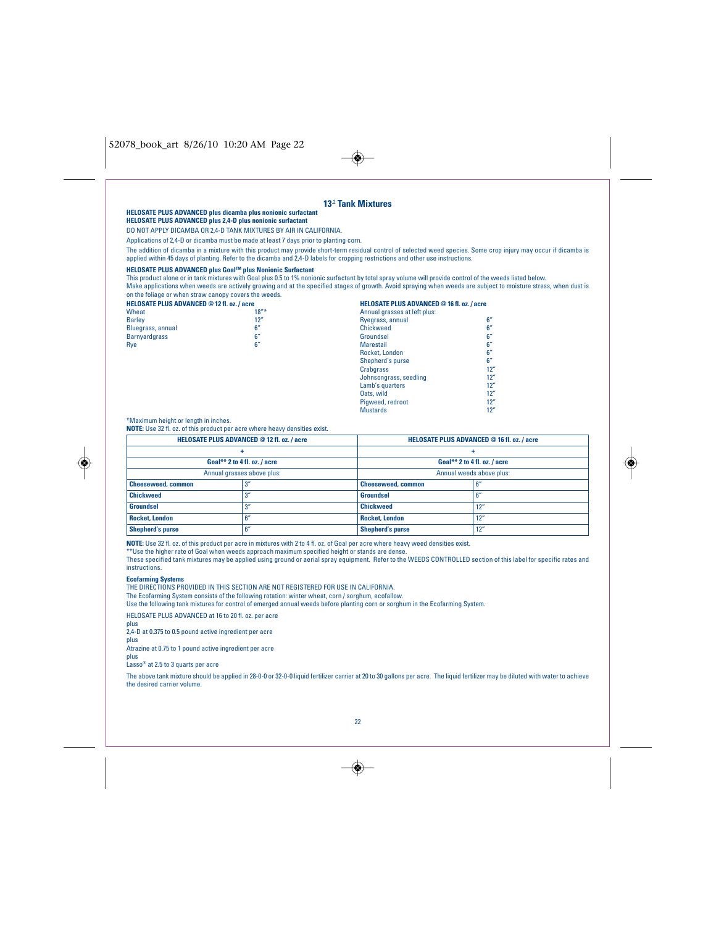## 52078\_book\_art 8/26/10 10:20 AM Page 22

|                                                                                                                                                                                                                                                                                                                                | <b>HELOSATE PLUS ADVANCED plus dicamba plus nonionic surfactant</b><br><b>HELOSATE PLUS ADVANCED plus 2,4-D plus nonionic surfactant</b><br>DO NOT APPLY DICAMBA OR 2,4-D TANK MIXTURES BY AIR IN CALIFORNIA.<br>Applications of 2,4-D or dicamba must be made at least 7 days prior to planting corn.                                                                                                                                                                                                                                                           | 13 <sup>2</sup> Tank Mixtures                                                     |                                                                                                                                                                                                                                                                                                                                                    |
|--------------------------------------------------------------------------------------------------------------------------------------------------------------------------------------------------------------------------------------------------------------------------------------------------------------------------------|------------------------------------------------------------------------------------------------------------------------------------------------------------------------------------------------------------------------------------------------------------------------------------------------------------------------------------------------------------------------------------------------------------------------------------------------------------------------------------------------------------------------------------------------------------------|-----------------------------------------------------------------------------------|----------------------------------------------------------------------------------------------------------------------------------------------------------------------------------------------------------------------------------------------------------------------------------------------------------------------------------------------------|
|                                                                                                                                                                                                                                                                                                                                | applied within 45 days of planting. Refer to the dicamba and 2,4-D labels for cropping restrictions and other use instructions.                                                                                                                                                                                                                                                                                                                                                                                                                                  |                                                                                   | The addition of dicamba in a mixture with this product may provide short-term residual control of selected weed species. Some crop injury may occur if dicamba is                                                                                                                                                                                  |
| on the foliage or when straw canopy covers the weeds.<br><b>HELOSATE PLUS ADVANCED @ 12 fl. oz. / acre</b><br>Wheat                                                                                                                                                                                                            | HELOSATE PLUS ADVANCED plus Goal™ plus Nonionic Surfactant<br>This product alone or in tank mixtures with Goal plus 0.5 to 1% nonionic surfactant by total spray volume will provide control of the weeds listed below.<br>$18''*$                                                                                                                                                                                                                                                                                                                               | <b>HELOSATE PLUS ADVANCED @ 16 fl. oz. / acre</b><br>Annual grasses at left plus: | Make applications when weeds are actively growing and at the specified stages of growth. Avoid spraying when weeds are subject to moisture stress, when dust is                                                                                                                                                                                    |
| <b>Barley</b>                                                                                                                                                                                                                                                                                                                  | 12"                                                                                                                                                                                                                                                                                                                                                                                                                                                                                                                                                              | Ryegrass, annual                                                                  | 6''                                                                                                                                                                                                                                                                                                                                                |
| Bluegrass, annual<br><b>Barnyardgrass</b>                                                                                                                                                                                                                                                                                      | 6''<br>6''                                                                                                                                                                                                                                                                                                                                                                                                                                                                                                                                                       | <b>Chickweed</b><br>Groundsel                                                     | 6''<br>6''                                                                                                                                                                                                                                                                                                                                         |
| Rye                                                                                                                                                                                                                                                                                                                            | 6''                                                                                                                                                                                                                                                                                                                                                                                                                                                                                                                                                              | <b>Marestail</b>                                                                  | 6''                                                                                                                                                                                                                                                                                                                                                |
|                                                                                                                                                                                                                                                                                                                                |                                                                                                                                                                                                                                                                                                                                                                                                                                                                                                                                                                  | Rocket, London                                                                    | 6''                                                                                                                                                                                                                                                                                                                                                |
|                                                                                                                                                                                                                                                                                                                                |                                                                                                                                                                                                                                                                                                                                                                                                                                                                                                                                                                  | Shepherd's purse                                                                  | 6''                                                                                                                                                                                                                                                                                                                                                |
|                                                                                                                                                                                                                                                                                                                                |                                                                                                                                                                                                                                                                                                                                                                                                                                                                                                                                                                  | <b>Crabgrass</b>                                                                  | 12"                                                                                                                                                                                                                                                                                                                                                |
|                                                                                                                                                                                                                                                                                                                                |                                                                                                                                                                                                                                                                                                                                                                                                                                                                                                                                                                  | Johnsongrass, seedling<br>Lamb's quarters                                         | 12"<br>12"                                                                                                                                                                                                                                                                                                                                         |
|                                                                                                                                                                                                                                                                                                                                |                                                                                                                                                                                                                                                                                                                                                                                                                                                                                                                                                                  | Oats, wild                                                                        | 12"                                                                                                                                                                                                                                                                                                                                                |
|                                                                                                                                                                                                                                                                                                                                |                                                                                                                                                                                                                                                                                                                                                                                                                                                                                                                                                                  | Pigweed, redroot                                                                  | 12"                                                                                                                                                                                                                                                                                                                                                |
|                                                                                                                                                                                                                                                                                                                                |                                                                                                                                                                                                                                                                                                                                                                                                                                                                                                                                                                  | <b>Mustards</b>                                                                   | 12"                                                                                                                                                                                                                                                                                                                                                |
| *Maximum height or length in inches.                                                                                                                                                                                                                                                                                           | NOTE: Use 32 fl. oz. of this product per acre where heavy densities exist.                                                                                                                                                                                                                                                                                                                                                                                                                                                                                       |                                                                                   |                                                                                                                                                                                                                                                                                                                                                    |
|                                                                                                                                                                                                                                                                                                                                | <b>HELOSATE PLUS ADVANCED @ 12 fl. oz. / acre</b>                                                                                                                                                                                                                                                                                                                                                                                                                                                                                                                |                                                                                   | <b>HELOSATE PLUS ADVANCED @ 16 fl. oz. / acre</b>                                                                                                                                                                                                                                                                                                  |
|                                                                                                                                                                                                                                                                                                                                | ÷                                                                                                                                                                                                                                                                                                                                                                                                                                                                                                                                                                |                                                                                   | ÷                                                                                                                                                                                                                                                                                                                                                  |
|                                                                                                                                                                                                                                                                                                                                | Goal** 2 to 4 fl. oz. / acre                                                                                                                                                                                                                                                                                                                                                                                                                                                                                                                                     |                                                                                   | Goal** 2 to 4 fl. oz. / acre                                                                                                                                                                                                                                                                                                                       |
|                                                                                                                                                                                                                                                                                                                                | Annual grasses above plus:                                                                                                                                                                                                                                                                                                                                                                                                                                                                                                                                       |                                                                                   | Annual weeds above plus:                                                                                                                                                                                                                                                                                                                           |
| <b>Cheeseweed, common</b>                                                                                                                                                                                                                                                                                                      | 3''                                                                                                                                                                                                                                                                                                                                                                                                                                                                                                                                                              | <b>Cheeseweed, common</b>                                                         | 6''                                                                                                                                                                                                                                                                                                                                                |
| <b>Chickweed</b>                                                                                                                                                                                                                                                                                                               | 3''                                                                                                                                                                                                                                                                                                                                                                                                                                                                                                                                                              | <b>Groundsel</b>                                                                  | 6''                                                                                                                                                                                                                                                                                                                                                |
| <b>Groundsel</b>                                                                                                                                                                                                                                                                                                               | 3''                                                                                                                                                                                                                                                                                                                                                                                                                                                                                                                                                              | <b>Chickweed</b>                                                                  | 12"                                                                                                                                                                                                                                                                                                                                                |
| <b>Rocket, London</b>                                                                                                                                                                                                                                                                                                          | 6''                                                                                                                                                                                                                                                                                                                                                                                                                                                                                                                                                              | <b>Rocket, London</b>                                                             | 12"                                                                                                                                                                                                                                                                                                                                                |
| <b>Shepherd's purse</b>                                                                                                                                                                                                                                                                                                        | 6''                                                                                                                                                                                                                                                                                                                                                                                                                                                                                                                                                              | <b>Shepherd's purse</b>                                                           | 12"                                                                                                                                                                                                                                                                                                                                                |
| instructions.<br><b>Ecofarming Systems</b><br>HELOSATE PLUS ADVANCED at 16 to 20 fl. oz. per acre<br>plus<br>2,4-D at 0.375 to 0.5 pound active ingredient per acre<br>plus<br>Atrazine at 0.75 to 1 pound active ingredient per acre<br>plus<br>Lasso <sup>®</sup> at 2.5 to 3 quarts per acre<br>the desired carrier volume. | NOTE: Use 32 fl. oz. of this product per acre in mixtures with 2 to 4 fl. oz. of Goal per acre where heavy weed densities exist.<br>** Use the higher rate of Goal when weeds approach maximum specified height or stands are dense.<br>THE DIRECTIONS PROVIDED IN THIS SECTION ARE NOT REGISTERED FOR USE IN CALIFORNIA.<br>The Ecofarming System consists of the following rotation: winter wheat, corn / sorghum, ecofallow.<br>Use the following tank mixtures for control of emerged annual weeds before planting corn or sorghum in the Ecofarming System. |                                                                                   | These specified tank mixtures may be applied using ground or aerial spray equipment. Refer to the WEEDS CONTROLLED section of this label for specific rates and<br>The above tank mixture should be applied in 28-0-0 or 32-0-0 liquid fertilizer carrier at 20 to 30 gallons per acre. The liquid fertilizer may be diluted with water to achieve |
|                                                                                                                                                                                                                                                                                                                                |                                                                                                                                                                                                                                                                                                                                                                                                                                                                                                                                                                  | 22                                                                                |                                                                                                                                                                                                                                                                                                                                                    |

 $\rightarrow$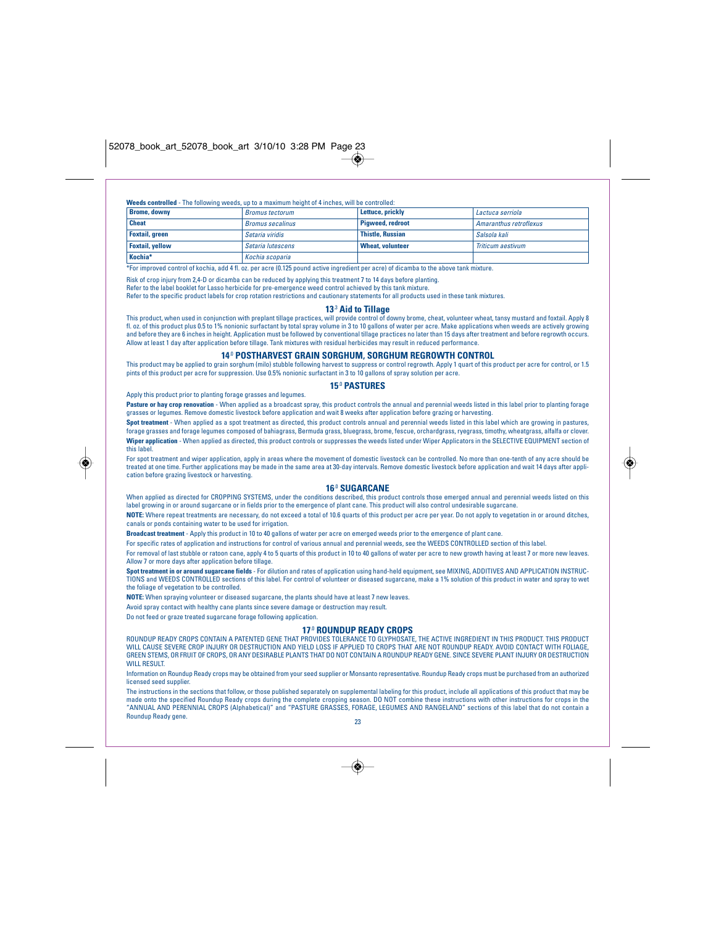## **Weeds controlled** - The following weeds, up to a maximum height of 4 inches, will be controlled:

| <b>Brome, downy</b>    | <b>Bromus tectorum</b>  | Lettuce, prickly        | Lactuca serriola       |
|------------------------|-------------------------|-------------------------|------------------------|
| <b>Cheat</b>           | <b>Bromus secalinus</b> | Piaweed, redroot        | Amaranthus retroflexus |
| <b>Foxtail, green</b>  | Setaria viridis         | <b>Thistle, Russian</b> | Salsola kali           |
| <b>Foxtail, yellow</b> | Setaria lutescens       | <b>Wheat, volunteer</b> | Triticum aestivum      |
| Kochia*                | Kochia scoparia         |                         |                        |

\*For improved control of kochia, add 4 fl. oz. per acre (0.125 pound active ingredient per acre) of dicamba to the above tank mixture.

Risk of crop injury from 2,4-D or dicamba can be reduced by applying this treatment 7 to 14 days before planting. Refer to the label booklet for Lasso herbicide for pre-emergence weed control achieved by this tank mixture.

Refer to the specific product labels for crop rotation restrictions and cautionary statements for all products used in these tank mixtures.

## **13**.3 **Aid to Tillage**

This product, when used in conjunction with preplant tillage practices, will provide control of downy brome, cheat, volunteer wheat, tansy mustard and foxtail. Apply 8 fl. oz. of this product plus 0.5 to 1% nonionic surfactant by total spray volume in 3 to 10 gallons of water per acre. Make applications when weeds are actively growing<br>and before they are 6 inches in height. Application m Allow at least 1 day after application before tillage. Tank mixtures with residual herbicides may result in reduced performance.

## **14**.0 **POSTHARVEST GRAIN SORGHUM, SORGHUM REGROWTH CONTROL**

This product may be applied to grain sorghum (milo) stubble following harvest to suppress or control regrowth. Apply 1 quart of this product per acre for control, or 1.5 pints of this product per acre for suppression. Use 0.5% nonionic surfactant in 3 to 10 gallons of spray solution per acre.

## **15**.0 **PASTURES**

Apply this product prior to planting forage grasses and legumes.

◈

Pasture or hay crop renovation - When applied as a broadcast spray, this product controls the annual and perennial weeds listed in this label prior to planting forage grasses or legumes. Remove domestic livestock before application and wait 8 weeks after application before grazing or harvesting.

**Spot treatment** - When applied as a spot treatment as directed, this product controls annual and perennial weeds listed in this label which are growing in pastures, forage grasses and forage legumes composed of bahiagrass, Bermuda grass, bluegrass, brome, fescue, orchardgrass, ryegrass, timothy, wheatgrass, alfalfa or clover. **Wiper application** - When applied as directed, this product controls or suppresses the weeds listed under Wiper Applicators in the SELECTIVE EQUIPMENT section of this label.

For spot treatment and wiper application, apply in areas where the movement of domestic livestock can be controlled. No more than one-tenth of any acre should be<br>treated at one time. Further applications may be made in the cation before grazing livestock or harvesting.

## **16**.0 **SUGARCANE**

When applied as directed for CROPPING SYSTEMS, under the conditions described, this product controls those emerged annual and perennial weeds listed on this label growing in or around sugarcane or in fields prior to the emergence of plant cane. This product will also control undesirable sugarcane.

**NOTE:** Where repeat treatments are necessary, do not exceed a total of 10.6 quarts of this product per acre per year. Do not apply to vegetation in or around ditches, canals or ponds containing water to be used for irrigation.

**Broadcast treatment** - Apply this product in 10 to 40 gallons of water per acre on emerged weeds prior to the emergence of plant cane.

For specific rates of application and instructions for control of various annual and perennial weeds, see the WEEDS CONTROLLED section of this label.

For removal of last stubble or ratoon cane, apply 4 to 5 quarts of this product in 10 to 40 gallons of water per acre to new growth having at least 7 or more new leaves. Allow 7 or more days after application before tillage.

**Spot treatment in or around sugarcane fields** - For dilution and rates of application using hand-held equipment, see MIXING, ADDITIVES AND APPLICATION INSTRUC-TIONS and WEEDS CONTROLLED sections of this label. For control of volunteer or diseased sugarcane, make a 1% solution of this product in water and spray to wet the foliage of vegetation to be controlled.

**NOTE:** When spraying volunteer or diseased sugarcane, the plants should have at least 7 new leaves.

Avoid spray contact with healthy cane plants since severe damage or destruction may result.

Do not feed or graze treated sugarcane forage following application.

## **17**.0 **ROUNDUP READY CROPS**

ROUNDUP READY CROPS CONTAIN A PATENTED GENE THAT PROVIDES TOLERANCE TO GLYPHOSATE, THE ACTIVE INGREDIENT IN THIS PRODUCT. THIS PRODUCT WILL CAUSE SEVERE CROP INJURY OR DESTRUCTION AND YIELD LOSS IF APPLIED TO CROPS THAT ARE NOT ROUNDUP READY. AVOID CONTACT WITH FOLIAGE GREEN STEMS, OR FRUIT OF CROPS, OR ANY DESIRABLE PLANTS THAT DO NOT CONTAIN A ROUNDUP READY GENE. SINCE SEVERE PLANT INJURY OR DESTRUCTION WILL RESULT.

Information on Roundup Ready crops may be obtained from your seed supplier or Monsanto representative. Roundup Ready crops must be purchased from an authorized licensed seed supplier.

The instructions in the sections that follow, or those published separately on supplemental labeling for this product, include all applications of this product that may be made onto the specified Roundup Ready crops during the complete cropping season. DO NOT combine these instructions with other instructions for crops in the<br>"ANNUAL AND PERENNIAL CROPS (Alphabetical)" and "PASTURE GRASSES, Roundup Ready gene. 23



◈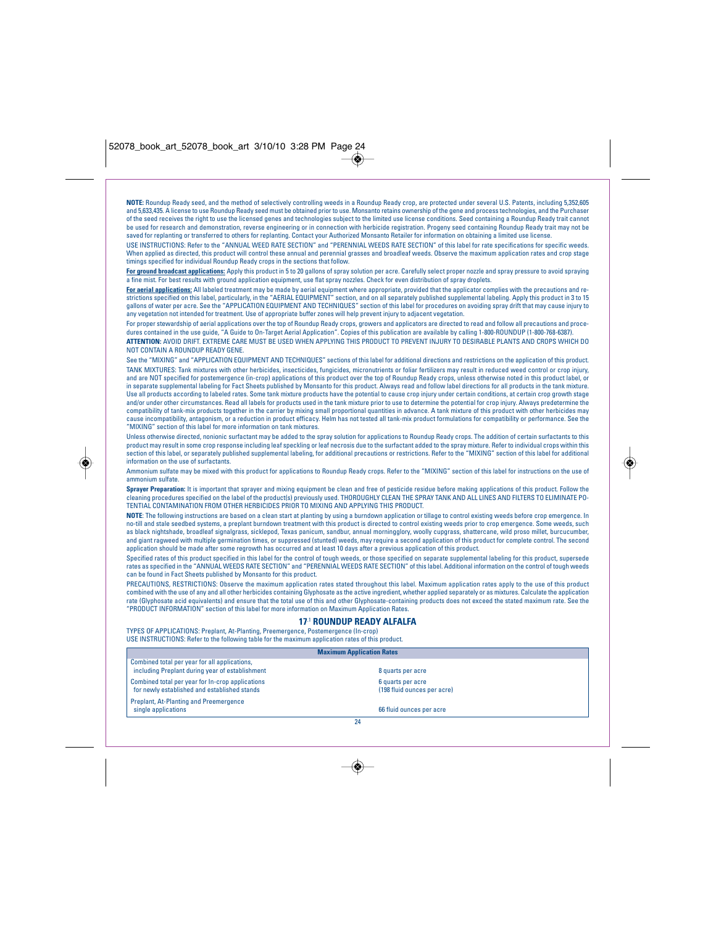**NOTE:** Roundup Ready seed, and the method of selectively controlling weeds in a Roundup Ready crop, are protected under several U.S. Patents, including 5,352,605 and 5,633,435. A license to use Roundup Ready seed must be obtained prior to use. Monsanto retains ownership of the gene and process technologies, and the Purchaser of the seed receives the right to use the licensed genes and technologies subject to the limited use license conditions. Seed containing a Roundup Ready trait cannot be used for research and demonstration, reverse engineering or in connection with herbicide registration. Progeny seed containing Roundup Ready trait may not be<br>saved for replanting or transferred to others for replanting.

USE INSTRUCTIONS: Refer to the "ANNUAL WEED RATE SECTION" and "PERENNIAL WEEDS RATE SECTION" of this label for rate specifications for specific weeds. When applied as directed, this product will control these annual and perennial grasses and broadleaf weeds. Observe the maximum application rates and crop stage timings specified for individual Roundup Ready crops in the sections that follow.

For ground broadcast applications: Apply this product in 5 to 20 gallons of spray solution per acre. Carefully select proper nozzle and spray pressure to avoid spraying a fine mist. For best results with ground application equipment, use flat spray nozzles. Check for even distribution of spray droplets.

<mark>For aerial applications:</mark> All labeled treatment may be made by aerial equipment where appropriate, provided that the applicator complies with the precautions and re-<br>strictions specified on this label, particularly, in th gallons of water per acre. See the "APPLICATION EQUIPMENT AND TECHNIQUES" section of this label for procedures on avoiding spray drift that may cause injury to any vegetation not intended for treatment. Use of appropriate buffer zones will help prevent injury to adjacent vegetation.

For proper stewardship of aerial applications over the top of Roundup Ready crops, growers and applicators are directed to read and follow all precautions and procedures contained in the use guide, "A Guide to On-Target Aerial Application". Copies of this publication are available by calling 1-800-ROUNDUP (1-800-768-6387). **ATTENTION:** AVOID DRIFT. EXTREME CARE MUST BE USED WHEN APPLYING THIS PRODUCT TO PREVENT INJURY TO DESIRABLE PLANTS AND CROPS WHICH DO NOT CONTAIN A ROUNDUP READY GENE.

See the "MIXING" and "APPLICATION EQUIPMENT AND TECHNIQUES" sections of this label for additional directions and restrictions on the application of this product. TANK MIXTURES: Tank mixtures with other herbicides, insecticides, fungicides, micronutrients or foliar fertilizers may result in reduced weed control or crop injury, and are NOT specified for postemergence (in-crop) applications of this product over the top of Roundup Ready crops, unless otherwise noted in this product label, or<br>in separate supplemental labeling for Fact Sheets publish Use all products according to labeled rates. Some tank mixture products have the potential to cause crop injury under certain conditions, at certain crop growth stage and/or under other circumstances. Read all labels for products used in the tank mixture prior to use to determine the potential for crop injury. Always predetermine the<br>compatibility of tank-mix products together in the ca cause incompatibility, antagonism, or a reduction in product efficacy. Helm has not tested all tank-mix product formulations for compatibility or performance. See the "MIXING" section of this label for more information on tank mixtures.

Unless otherwise directed, nonionic surfactant may be added to the spray solution for applications to Roundup Ready crops. The addition of certain surfactants to this product may result in some crop response including leaf speckling or leaf necrosis due to the surfactant added to the spray mixture. Refer to individual crops within this section of this label, or separately published supplemental labeling, for additional precautions or restrictions. Refer to the "MIXING" section of this label for additional information on the use of surfactants.

Ammonium sulfate may be mixed with this product for applications to Roundup Ready crops. Refer to the "MIXING" section of this label for instructions on the use of ammonium sulfate.

**Sprayer Preparation**: It is important that sprayer and mixing equipment be clean and free of pesticide residue before making applications of this product. Follow the<br>cleaning procedures specified on the label of the produ TENTIAL CONTAMINATION FROM OTHER HERBICIDES PRIOR TO MIXING AND APPLYING THIS PRODUCT.

**NOTE**: The following instructions are based on a clean start at planting by using a burndown application or tillage to control existing weeds before crop emergence. In no-till and stale seedbed systems, a preplant burndown treatment with this product is directed to control existing weeds prior to crop emergence. Some weeds, such as black nightshade, broadleaf signalgrass, sicklepod, Texas panicum, sandbur, annual morningglory, woolly cupgrass, shattercane, wild proso millet, burcucumber,<br>and giant ragweed with multiple germination times, or suppre application should be made after some regrowth has occurred and at least 10 days after a previous application of this product.

Specified rates of this product specified in this label for the control of tough weeds, or those specified on separate supplemental labeling for this product, supersede rates as specified in the "ANNUAL WEEDS RATE SECTION" and "PERENNIAL WEEDS RATE SECTION" of this label. Additional information on the control of tough weeds can be found in Fact Sheets published by Monsanto for this product.

PRECAUTIONS, RESTRICTIONS: Observe the maximum application rates stated throughout this label. Maximum application rates apply to the use of this product combined with the use of any and all other herbicides containing Glyphosate as the active ingredient, whether applied separately or as mixtures. Calculate the application rate (Glyphosate acid equivalents) and ensure that the total use of this and other Glyphosate-containing products does not exceed the stated maximum rate. See the "PRODUCT INFORMATION" section of this label for more information on Maximum Application Rates.

## **17**.1 **ROUNDUP READY ALFALFA**

TYPES OF APPLICATIONS: Preplant, At-Planting, Preemergence, Postemergence (In-crop) USE INSTRUCTIONS: Refer to the following table for the maximum application rates of this product.

◈

| <b>Maximum Application Rates</b>                                                                 |                                                  |  |
|--------------------------------------------------------------------------------------------------|--------------------------------------------------|--|
| Combined total per year for all applications,<br>including Preplant during year of establishment | 8 quarts per acre                                |  |
| Combined total per year for In-crop applications<br>for newly established and established stands | 6 quarts per acre<br>(198 fluid ounces per acre) |  |
| <b>Preplant, At-Planting and Preemergence</b><br>single applications                             | 66 fluid ounces per acre                         |  |
|                                                                                                  | 24                                               |  |

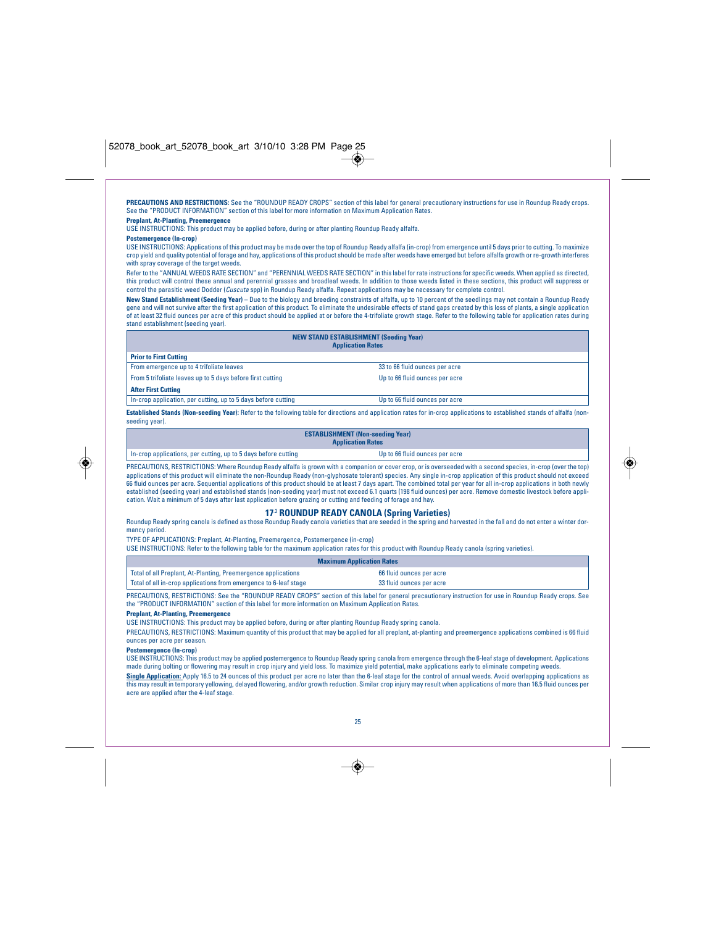**PRECAUTIONS AND RESTRICTIONS:** See the "ROUNDUP READY CROPS" section of this label for general precautionary instructions for use in Roundup Ready crops. See the "PRODUCT INFORMATION" section of this label for more information on Maximum Application Rates.

## **Preplant, At-Planting, Preemergence**

USE INSTRUCTIONS: This product may be applied before, during or after planting Roundup Ready alfalfa.

## **Postemergence (In-crop)**

USE INSTRUCTIONS: Applications of this product may be made over the top of Roundup Ready alfalfa (in-crop) from emergence until 5 days prior to cutting. To maximize crop yield and quality potential of forage and hay, applications of this product should be made after weeds have emerged but before alfalfa growth or re-growth interferes with spray coverage of the target weeds.

Refer to the "ANNUAL WEEDS RATE SECTION" and "PERENNIAL WEEDS RATE SECTION" in this label for rate instructions for specific weeds. When applied as directed, this product will control these annual and perennial grasses and broadleaf weeds. In addition to those weeds listed in these sections, this product will suppress or control the parasitic weed Dodder (Cuscuta spp) in Roundup Ready alfalfa. Repeat applications may be necessary for complete control.

**New Stand Establishment (Seeding Year)** – Due to the biology and breeding constraints of alfalfa, up to 10 percent of the seedlings may not contain a Roundup Ready gene and will not survive after the first application of this product. To eliminate the undesirable effects of stand gaps created by this loss of plants, a single application of at least 32 fluid ounces per acre of this product should be applied at or before the 4-trifoliate growth stage. Refer to the following table for application rates during stand establishment (seeding year).

## **NEW STAND ESTABLISHMENT (Seeding Year)**

| <b>Application Rates</b>                                                                     |                                |  |
|----------------------------------------------------------------------------------------------|--------------------------------|--|
| <b>Prior to First Cutting</b>                                                                |                                |  |
| From emergence up to 4 trifoliate leaves                                                     | 33 to 66 fluid ounces per acre |  |
| From 5 trifoliate leaves up to 5 days before first cutting<br>Up to 66 fluid ounces per acre |                                |  |
| <b>After First Cutting</b>                                                                   |                                |  |
| In-crop application, per cutting, up to 5 days before cutting                                | Up to 66 fluid ounces per acre |  |

Established Stands (Non-seeding Year): Refer to the following table for directions and application rates for in-crop applications to established stands of alfalfa (nonseeding year).

#### **ESTABLISHMENT (Non-seeding Year) Application Rates**



◈

In-crop applications, per cutting, up to 5 days before cutting Up to 66 fluid ounces per acre

PRECAUTIONS, RESTRICTIONS: Where Roundup Ready alfalfa is grown with a companion or cover crop, or is overseeded with a second species, in-crop (over the top) applications of this product will eliminate the non-Roundup Ready (non-glyphosate tolerant) species. Any single in-crop application of this product should not exceed 66 fluid ounces per acre. Sequential applications of this product should be at least 7 days apart. The combined total per year for all in-crop applications in both newly<br>established (seeding year) and established stands (n cation. Wait a minimum of 5 days after last application before grazing or cutting and feeding of forage and hay.

## **17**.2 **ROUNDUP READY CANOLA (Spring Varieties)**

Roundup Ready spring canola is defined as those Roundup Ready canola varieties that are seeded in the spring and harvested in the fall and do not enter a winter dormancy period.

TYPE OF APPLICATIONS: Preplant, At-Planting, Preemergence, Postemergence (in-crop)

USE INSTRUCTIONS: Refer to the following table for the maximum application rates for this product with Roundup Ready canola (spring varieties).

| <b>Maximum Application Rates</b>                                 |                          |  |
|------------------------------------------------------------------|--------------------------|--|
| Total of all Preplant, At-Planting, Preemergence applications    | 66 fluid ounces per acre |  |
| Total of all in-crop applications from emergence to 6-leaf stage | 33 fluid ounces per acre |  |

PRECAUTIONS, RESTRICTIONS: See the "ROUNDUP READY CROPS" section of this label for general precautionary instruction for use in Roundup Ready crops. See the "PRODUCT INFORMATION" section of this label for more information on Maximum Application Rates.

#### **Preplant, At-Planting, Preemergence**

USE INSTRUCTIONS: This product may be applied before, during or after planting Roundup Ready spring canola.

PRECAUTIONS, RESTRICTIONS: Maximum quantity of this product that may be applied for all preplant, at-planting and preemergence applications combined is 66 fluid ounces per acre per season.

## **Postemergence (In-crop)**

USE INSTRUCTIONS: This product may be applied postemergence to Roundup Ready spring canola from emergence through the 6-leaf stage of development. Applications made during bolting or flowering may result in crop injury and yield loss. To maximize yield potential, make applications early to eliminate competing weeds.

**Single Application:** Apply 16.5 to 24 ounces of this product per acre no later than the 6-leaf stage for the control of annual weeds. Avoid overlapping applications as this may result in temporary yellowing, delayed flowering, and/or growth reduction. Similar crop injury may result when applications of more than 16.5 fluid ounces per acre are applied after the 4-leaf stage.

## 25

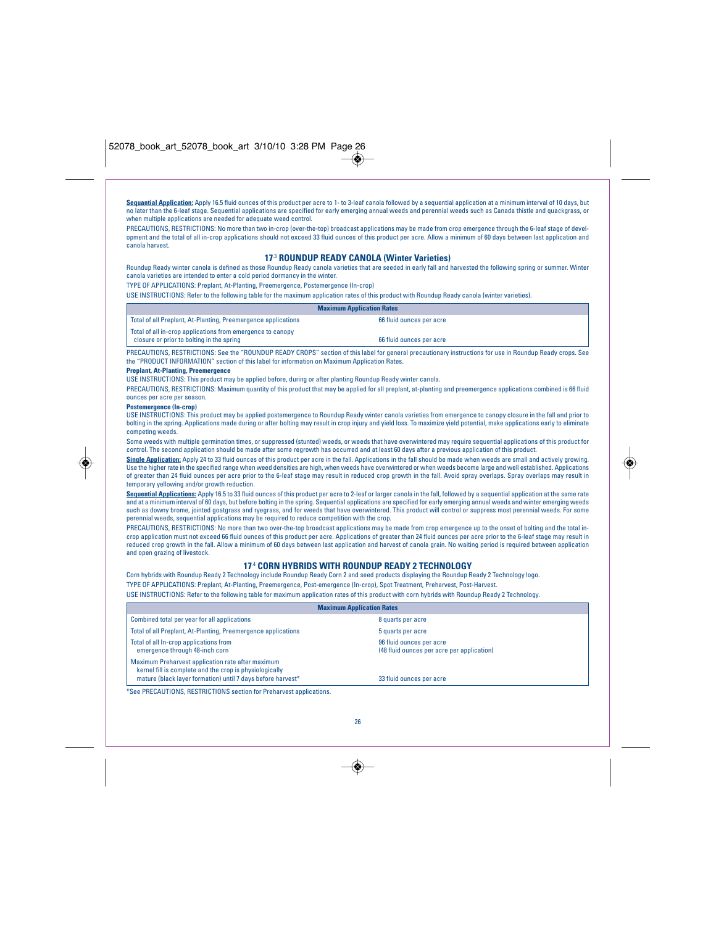**Sequantial Application:** Apply 16.5 fluid ounces of this product per acre to 1- to 3-leaf canola followed by a sequential application at a minimum interval of 10 days, but no later than the 6-leaf stage. Sequential applications are specified for early emerging annual weeds and perennial weeds such as Canada thistle and quackgrass, or when multiple applications are needed for adequate weed control.

PRECAUTIONS, RESTRICTIONS: No more than two in-crop (over-the-top) broadcast applications may be made from crop emergence through the 6-leaf stage of development and the total of all in-crop applications should not exceed 33 fluid ounces of this product per acre. Allow a minimum of 60 days between last application and canola harvest.

## **17**.3 **ROUNDUP READY CANOLA (Winter Varieties)**

Roundup Ready winter canola is defined as those Roundup Ready canola varieties that are seeded in early fall and harvested the following spring or summer. Winter<br>canola varieties are intended to enter a cold period dormanc

TYPE OF APPLICATIONS: Preplant, At-Planting, Preemergence, Postemergence (In-crop)

USE INSTRUCTIONS: Refer to the following table for the maximum application rates of this product with Roundup Ready canola (winter varieties).

## **Maximum Application Rates**

| Total of all Preplant, At-Planting, Preemergence applications | 66 fluid ounces per acre |
|---------------------------------------------------------------|--------------------------|
| Total of all in-crop applications from emergence to canopy    |                          |
| closure or prior to bolting in the spring                     | 66 fluid ounces per acre |

PRECAUTIONS, RESTRICTIONS: See the "ROUNDUP READY CROPS" section of this label for general precautionary instructions for use in Roundup Ready crops. See the "PRODUCT INFORMATION" section of this label for information on Maximum Application Rates.

## **Preplant, At-Planting, Preemergence**

USE INSTRUCTIONS: This product may be applied before, during or after planting Roundup Ready winter canola.

PRECAUTIONS, RESTRICTIONS: Maximum quantity of this product that may be applied for all preplant, at-planting and preemergence applications combined is 66 fluid ounces per acre per season.

#### **Postemergence (In-crop)**

◈

USE INSTRUCTIONS: This product may be applied postemergence to Roundup Ready winter canola varieties from emergence to canopy closure in the fall and prior to bolting in the spring. Applications made during or after bolting may result in crop injury and yield loss. To maximize yield potential, make applications early to eliminate competing weeds.

Some weeds with multiple germination times, or suppressed (stunted) weeds, or weeds that have overwintered may require sequential applications of this product for control. The second application should be made after some regrowth has occurred and at least 60 days after a previous application of this product.

**Single Application:** Apply 24 to 33 fluid ounces of this product per acre in the fall. Applications in the fall should be made when weeds are small and actively growing. Use the higher rate in the specified range when weed densities are high, when weeds have overwintered or when weeds become large and well established. Applications of greater than 24 fluid ounces per acre prior to the 6-leaf stage may result in reduced crop growth in the fall. Avoid spray overlaps. Spray overlaps may result in temporary yellowing and/or growth reduction.

Sequential Applications: Apply 16.5 to 33 fluid ounces of this product per acre to 2-leaf or larger canola in the fall, followed by a sequential application at the same rate and at a minimum interval of 60 days, but before bolting in the spring. Sequential applications are specified for early emerging annual weeds and winter emerging weeds<br>such as downy brome, jointed goatgrass and ryegrass, a perennial weeds, sequential applications may be required to reduce competition with the crop.

PRECAUTIONS, RESTRICTIONS: No more than two over-the-top broadcast applications may be made from crop emergence up to the onset of bolting and the total incrop application must not exceed 66 fluid ounces of this product per acre. Applications of greater than 24 fluid ounces per acre prior to the 6-leaf stage may result in reduced crop growth in the fall. Allow a minimum of 60 days between last application and harvest of canola grain. No waiting period is required between application and open grazing of livestock.

## **17**.4 **CORN HYBRIDS WITH ROUNDUP READY 2 TECHNOLOGY**

Corn hybrids with Roundup Ready 2 Technology include Roundup Ready Corn 2 and seed products displaying the Roundup Ready 2 Technology logo. TYPE OF APPLICATIONS: Preplant, At-Planting, Preemergence, Post-emergence (In-crop), Spot Treatment, Preharvest, Post-Harvest.

USE INSTRUCTIONS: Refer to the following table for maximum application rates of this product with corn hybrids with Roundup Ready 2 Technology.

|                                                                                                                                                                             | <b>Maximum Application Rates</b>                                       |
|-----------------------------------------------------------------------------------------------------------------------------------------------------------------------------|------------------------------------------------------------------------|
| Combined total per year for all applications                                                                                                                                | 8 quarts per acre                                                      |
| Total of all Preplant, At-Planting, Preemergence applications                                                                                                               | 5 quarts per acre                                                      |
| Total of all In-crop applications from<br>emergence through 48-inch corn                                                                                                    | 96 fluid ounces per acre<br>(48 fluid ounces per acre per application) |
| Maximum Preharvest application rate after maximum<br>kernel fill is complete and the crop is physiologically<br>mature (black layer formation) until 7 days before harvest* | 33 fluid ounces per acre                                               |
| *See PRECAUTIONS, RESTRICTIONS section for Preharvest applications.                                                                                                         |                                                                        |



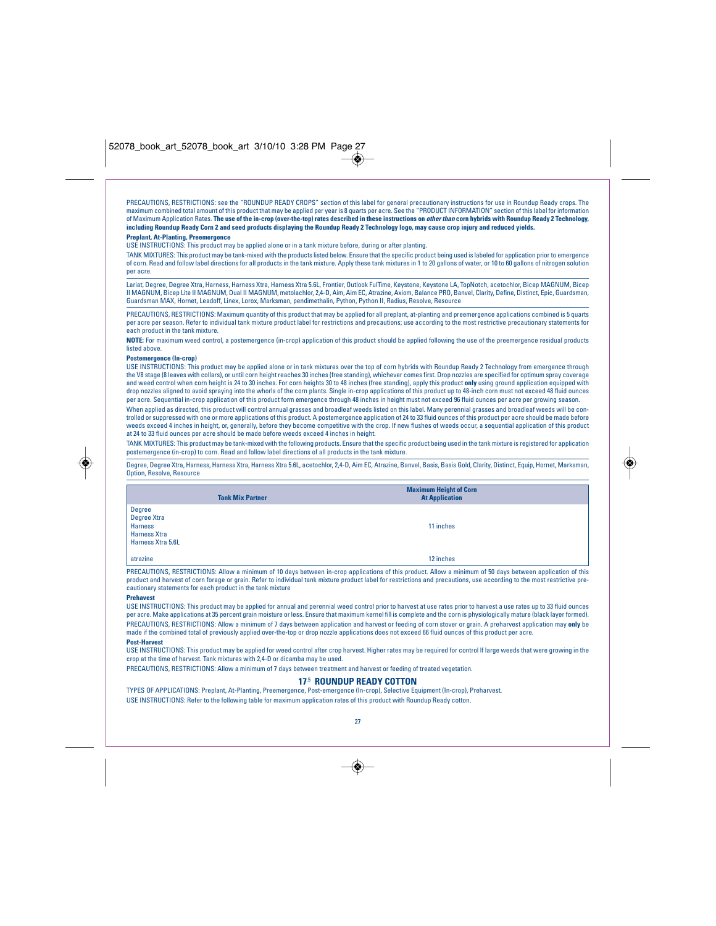PRECAUTIONS, RESTRICTIONS: see the "ROUNDUP READY CROPS" section of this label for general precautionary instructions for use in Roundup Ready crops. The<br>maximum combined total amount of this product that may be applied pe of Maximum Application Rates. **The use of the in-crop (over-the-top) rates described in these instructions on other than corn hybrids with Roundup Ready 2 Technology, including Roundup Ready Corn 2 and seed products displaying the Roundup Ready 2 Technology logo, may cause crop injury and reduced yields. Preplant, At-Planting, Preemergence**

USE INSTRUCTIONS: This product may be applied alone or in a tank mixture before, during or after planting.

TANK MIXTURES: This product may be tank-mixed with the products listed below. Ensure that the specific product being used is labeled for application prior to emergence of corn. Read and follow label directions for all products in the tank mixture. Apply these tank mixtures in 1 to 20 gallons of water, or 10 to 60 gallons of nitrogen solution per acre.

Lariat, Degree, Degree Xtra, Harness, Harness Xtra, Harness Xtra 5.6L, Frontier, Outlook FulTime, Keystone, Keystone LA, TopNotch, acetochlor, Bicep MAGNUM, Bicep II MAGNUM, Bicep Lite II MAGNUM, Dual II MAGNUM, metolachlor, 2,4-D, Aim, Aim EC, Atrazine, Axiom, Balance PRO, Banvel, Clarity, Define, Distinct, Epic, Guardsman, Guardsman MAX, Hornet, Leadoff, Linex, Lorox, Marksman, pendimethalin, Python, Python II, Radius, Resolve, Resource

PRECAUTIONS, RESTRICTIONS: Maximum quantity of this product that may be applied for all preplant, at-planting and preemergence applications combined is 5 quarts per acre per season. Refer to individual tank mixture product label for restrictions and precautions; use according to the most restrictive precautionary statements for each product in the tank mixture.

**NOTE:** For maximum weed control, a postemergence (in-crop) application of this product should be applied following the use of the preemergence residual products listed above.

#### **Postemergence (In-crop)**

USE INSTRUCTIONS: This product may be applied alone or in tank mixtures over the top of corn hybrids with Roundup Ready 2 Technology from emergence through the V8 stage (8 leaves with collars), or until corn height reaches 30 inches (free standing), whichever comes first. Drop nozzles are specified for optimum spray coverage and weed control when corn height is 24 to 30 inches. For corn heights 30 to 48 inches (free standing), apply this product **only** using ground application equipped with drop nozzles aligned to avoid spraying into the whorls of the corn plants. Single in-crop applications of this product up to 48-inch corn must not exceed 48 fluid ounces per acre. Sequential in-crop application of this product form emergence through 48 inches in height must not exceed 96 fluid ounces per acre per growing season.

When applied as directed, this product will control annual grasses and broadleaf weeds listed on this label. Many perennial grasses and broadleaf weeds will be controlled or suppressed with one or more applications of this product. A postemergence application of 24 to 33 fluid ounces of this product per acre should be made before weeds exceed 4 inches in height, or, generally, before they become competitive with the crop. If new flushes of weeds occur, a sequential application of this product at 24 to 33 fluid ounces per acre should be made before weeds exceed 4 inches in height.

TANK MIXTURES: This product may be tank-mixed with the following products. Ensure that the specific product being used in the tank mixture is registered for application postemergence (in-crop) to corn. Read and follow label directions of all products in the tank mixture.

Degree, Degree Xtra, Harness, Harness Xtra, Harness Xtra 5.6L, acetochlor, 2,4-D, Aim EC, Atrazine, Banvel, Basis, Basis Gold, Clarity, Distinct, Equip, Hornet, Marksman, Option, Resolve, Resource

|                                                                                            | <b>Tank Mix Partner</b> | <b>Maximum Height of Corn</b><br><b>At Application</b> |
|--------------------------------------------------------------------------------------------|-------------------------|--------------------------------------------------------|
| <b>Degree</b><br>Degree Xtra<br><b>Harness</b><br><b>Harness Xtra</b><br>Harness Xtra 5.6L |                         | 11 inches                                              |
| atrazine                                                                                   |                         | 12 inches                                              |

PRECAUTIONS, RESTRICTIONS: Allow a minimum of 10 days between in-crop applications of this product. Allow a minimum of 50 days between application of this product and harvest of corn forage or grain. Refer to individual tank mixture product label for restrictions and precautions, use according to the most restrictive precautionary statements for each product in the tank mixture

## **Prehavest**

USE INSTRUCTIONS: This product may be applied for annual and perennial weed control prior to harvest at use rates prior to harvest a use rates up to 33 fluid ounces per acre. Make applications at 35 percent grain moisture or less. Ensure that maximum kernel fill is complete and the corn is physiologically mature (black layer formed). PRECAUTIONS, RESTRICTIONS: Allow a minimum of 7 days between application and harvest or feeding of corn stover or grain. A preharvest application may **only** be ined total of previously applied over-the-top or drop nozzle applications does not exceed 66 fluid ounces of this product per acre **Post-Harvest**

USE INSTRUCTIONS: This product may be applied for weed control after crop harvest. Higher rates may be required for control lf large weeds that were growing in the crop at the time of harvest. Tank mixtures with 2,4-D or dicamba may be used.

PRECAUTIONS, RESTRICTIONS: Allow a minimum of 7 days between treatment and harvest or feeding of treated vegetation.

## **17**.5 **ROUNDUP READY COTTON**

TYPES OF APPLICATIONS: Preplant, At-Planting, Preemergence, Post-emergence (In-crop), Selective Equipment (In-crop), Preharvest. USE INSTRUCTIONS: Refer to the following table for maximum application rates of this product with Roundup Ready cotton.



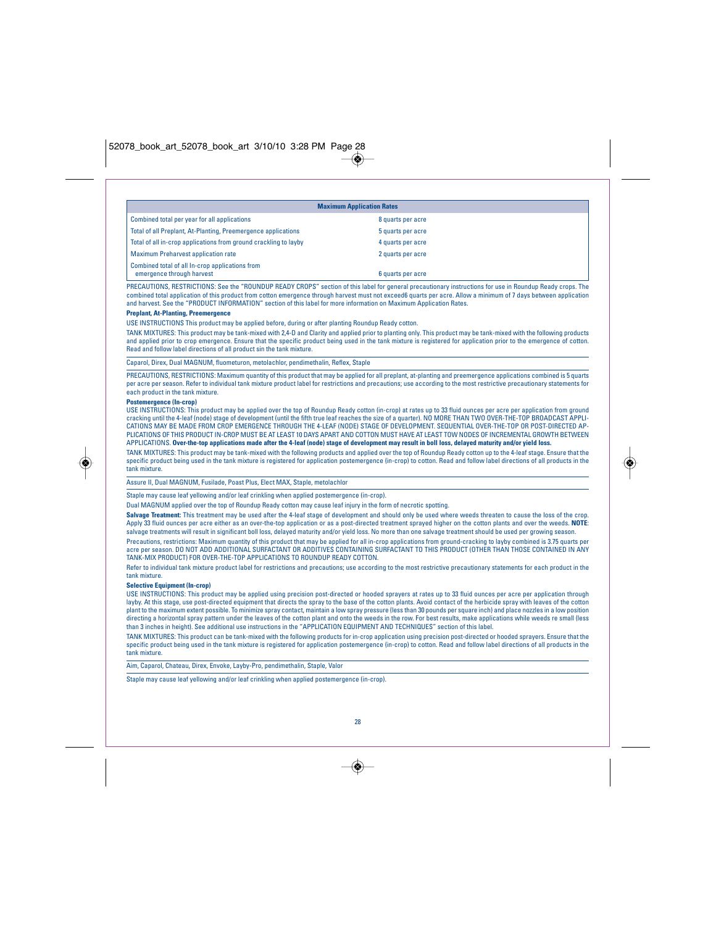|                                                                              | <b>Maximum Application Rates</b> |  |
|------------------------------------------------------------------------------|----------------------------------|--|
| Combined total per year for all applications                                 | 8 quarts per acre                |  |
| Total of all Preplant, At-Planting, Preemergence applications                | 5 quarts per acre                |  |
| Total of all in-crop applications from ground crackling to layby             | 4 quarts per acre                |  |
| <b>Maximum Preharvest application rate</b>                                   | 2 quarts per acre                |  |
| Combined total of all In-crop applications from<br>emergence through harvest | 6 quarts per acre                |  |

PRECAUTIONS, RESTRICTIONS: See the "ROUNDUP READY CROPS" section of this label for general precautionary instructions for use in Roundup Ready crops. The combined total application of this product from cotton emergence through harvest must not exceed6 quarts per acre. Allow a minimum of 7 days between application and harvest. See the "PRODUCT INFORMATION" section of this label for more information on Maximum Application Rates.

## **Preplant, At-Planting, Preemergence**

USE INSTRUCTIONS This product may be applied before, during or after planting Roundup Ready cotton.

TANK MIXTURES: This product may be tank-mixed with 2,4-D and Clarity and applied prior to planting only. This product may be tank-mixed with the following products and applied prior to crop emergence. Ensure that the specific product being used in the tank mixture is registered for application prior to the emergence of cotton.<br>Read and follow label directions of all product sin the t

Caparol, Direx, Dual MAGNUM, fluometuron, metolachlor, pendimethalin, Reflex, Staple

PRECAUTIONS, RESTRICTIONS: Maximum quantity of this product that may be applied for all preplant, at-planting and preemergence applications combined is 5 quarts per acre per season. Refer to individual tank mixture product label for restrictions and precautions; use according to the most restrictive precautionary statements for each product in the tank mixture.

#### **Postemergence (In-crop)**

USE INSTRUCTIONS: This product may be applied over the top of Roundup Ready cotton (in-crop) at rates up to 33 fluid ounces per acre per application from ground cracking until the 4-leaf (node) stage of development (until the fifth true leaf reaches the size of a quarter). NO MORE THAN TWO OVER-THE-TOP BROADCAST APPLI-CATIONS MAY BE MADE FROM CROP EMERGENCE THROUGH THE 4-LEAF (NODE) STAGE OF DEVELOPMENT. SEQUENTIAL OVER-THE-TOP OR POST-DIRECTED AP-PLICATIONS OF THIS PRODUCT IN-CROP MUST BE AT LEAST 10 DAYS APART AND COTTON MUST HAVE AT LEAST TOW NODES OF INCREMENTAL GROWTH BETWEEN APPLICATIONS. **Over-the-top applications made after the 4-leaf (node) stage of development may result in boll loss, delayed maturity and/or yield loss.**

TANK MIXTURES: This product may be tank-mixed with the following products and applied over the top of Roundup Ready cotton up to the 4-leaf stage. Ensure that the<br>specific product being used in the tank mixture is register tank mixture.

Assure II, Dual MAGNUM, Fusilade, Poast Plus, Elect MAX, Staple, metolachlor

Staple may cause leaf yellowing and/or leaf crinkling when applied postemergence (in-crop).

Dual MAGNUM applied over the top of Roundup Ready cotton may cause leaf injury in the form of necrotic spotting.

Salvage Treatment: This treatment may be used after the 4-leaf stage of development and should only be used where weeds threaten to cause the loss of the crop. Apply 33 fluid ounces per acre either as an over-the-top application or as a post-directed treatment sprayed higher on the cotton plants and over the weeds. **NOTE**:<br>salvage treatments will result in significant boll loss, Precautions, restrictions: Maximum quantity of this product that may be applied for all in-crop applications from ground-cracking to layby combined is 3.75 quarts per

acre per season. DO NOT ADD ADDITIONAL SURFACTANT OR ADDITIVES CONTAINING SURFACTANT TO THIS PRODUCT (OTHER THAN THOSE CONTAINED IN ANY TANK-MIX PRODUCT) FOR OVER-THE-TOP APPLICATIONS TO ROUNDUP READY COTTON.

Refer to individual tank mixture product label for restrictions and precautions; use according to the most restrictive precautionary statements for each product in the tank mixture.

## **Selective Equipment (In-crop)**

USE INSTRUCTIONS: This product may be applied using precision post-directed or hooded sprayers at rates up to 33 fluid ounces per acre per application through layby. At this stage, use post-directed equipment that directs the spray to the base of the cotton plants. Avoid contact of the herbicide spray with leaves of the cotton plant to the maximum extent possible. To minimize spray contact, maintain a low spray pressure (less than 30 pounds per square inch) and place nozzles in a low position directing a horizontal spray pattern under the leaves of the cotton plant and onto the weeds in the row. For best results, make applications while weeds re small (less than 3 inches in height). See additional use instructions in the "APPLICATION EQUIPMENT AND TECHNIQUES" section of this label.

TANK MIXTURES: This product can be tank-mixed with the following products for in-crop application using precision post-directed or hooded sprayers. Ensure that the specific product being used in the tank mixture is registered for application postemergence (in-crop) to cotton. Read and follow label directions of all products in the tank mixture.

Aim, Caparol, Chateau, Direx, Envoke, Layby-Pro, pendimethalin, Staple, Valor

Staple may cause leaf yellowing and/or leaf crinkling when applied postemergence (in-crop).

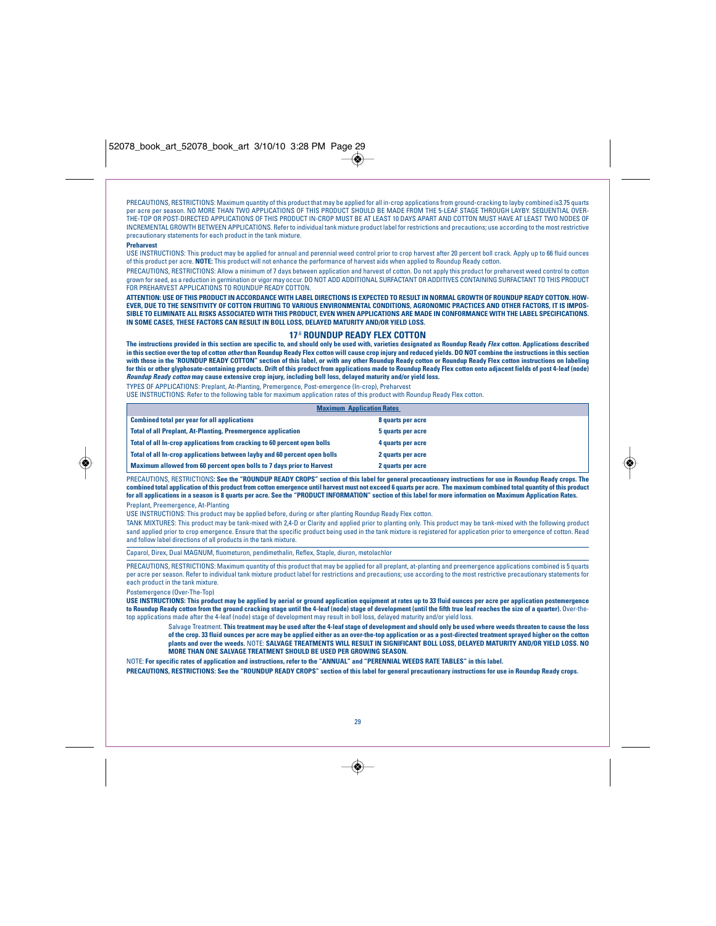PRECAUTIONS, RESTRICTIONS: Maximum quantity of this product that may be applied for all in-crop applications from ground-cracking to layby combined is3.75 quarts<br>per acre per season. NO MORE THAN TWO APPLICATIONS OF THIS P THE-TOP OR POST-DIRECTED APPLICATIONS OF THIS PRODUCT IN-CROP MUST BE AT LEAST 10 DAYS APART AND COTTON MUST HAVE AT LEAST TWO NODES OF INCREMENTAL GROWTH BETWEEN APPLICATIONS. Refer to individual tank mixture product label for restrictions and precautions; use according to the most restrictive precautionary statements for each product in the tank mixture.

#### **Preharvest**

◈

USE INSTRUCTIONS: This product may be applied for annual and perennial weed control prior to crop harvest after 20 percent boll crack. Apply up to 66 fluid ounces of this product per acre. **NOTE:** This product will not enhance the performance of harvest aids when applied to Roundup Ready cotton.

PRECAUTIONS, RESTRICTIONS: Allow a minimum of 7 days between application and harvest of cotton. Do not apply this product for preharvest weed control to cotton grown for seed, as a reduction in germination or vigor may occur. DO NOT ADD ADDITIONAL SURFACTANT OR ADDITIVES CONTAINING SURFACTANT TO THIS PRODUCT<br>FOR PREHARVEST APPLICATIONS TO ROUNDUP READY COTTON.

**ATTENTION: USE OF THIS PRODUCT IN ACCORDANCE WITH LABEL DIRECTIONS IS EXPECTED TO RESULT IN NORMAL GROWTH OF ROUNDUP READY COTTON. HOW-EVER, DUE TO THE SENSITIVITY OF COTTON FRUITING TO VARIOUS ENVIRONMENTAL CONDITIONS, AGRONOMIC PRACTICES AND OTHER FACTORS, IT IS IMPOS-SIBLE TO ELIMINATE ALL RISKS ASSOCIATED WITH THIS PRODUCT, EVEN WHEN APPLICATIONS ARE MADE IN CONFORMANCE WITH THE LABEL SPECIFICATIONS. IN SOME CASES, THESE FACTORS CAN RESULT IN BOLL LOSS, DELAYED MATURITY AND/OR YIELD LOSS.**

## **17**.6 **ROUNDUP READY FLEX COTTON**

**The instructions provided in this section are specific to, and should only be used with, varieties designated as Roundup Ready Flex cotton. Applications described in this section over the top of cotton other than Roundup Ready Flex cotton will cause crop injury and reduced yields. DO NOT combine the instructions in this section** with those in the 'ROUNDUP READY COTTON" section of this label, or with any other Roundup Ready cotton or Roundup Ready Flex cotton instructions on labeling<br>for this or other glyphosate-containing products. Drift of this p **Roundup Ready cotton may cause extensive crop injury, including boll loss, delayed maturity and/or yield loss.**

TYPES OF APPLICATIONS: Preplant, At-Planting, Premergence, Post-emergence (In-crop), Preharvest

USE INSTRUCTIONS: Refer to the following table for maximum application rates of this product with Roundup Ready Flex cotton.

| <b>Maximum Application Rates</b>                                          |                   |
|---------------------------------------------------------------------------|-------------------|
| <b>Combined total per year for all applications</b>                       | 8 quarts per acre |
| <b>Total of all Preplant, At-Planting, Preemergence application</b>       | 5 quarts per acre |
| Total of all In-crop applications from cracking to 60 percent open bolls  | 4 quarts per acre |
| Total of all In-crop applications between layby and 60 percent open bolls | 2 quarts per acre |
| Maximum allowed from 60 percent open bolls to 7 days prior to Harvest     | 2 quarts per acre |

PRECAUTIONS, RESTRICTIONS**: See the "ROUNDUP READY CROPS" section of this label for general precautionary instructions for use in Roundup Ready crops. The** combined total application of this product from cotton emergence until harvest must not exceed 6 quarts per acre. The maximum combined total quantity of this product<br>for all applications in a season is 8 quarts per acre. S Preplant, Preemergence, At-Planting

USE INSTRUCTIONS: This product may be applied before, during or after planting Roundup Ready Flex cotton.

TANK MIXTURES: This product may be tank-mixed with 2,4-D or Clarity and applied prior to planting only. This product may be tank-mixed with the following product sand applied prior to crop emergence. Ensure that the specific product being used in the tank mixture is registered for application prior to emergence of cotton. Read and follow label directions of all products in the tank mixture.

Caparol, Direx, Dual MAGNUM, fluometuron, pendimethalin, Reflex, Staple, diuron, metolachlor

PRECAUTIONS, RESTRICTIONS: Maximum quantity of this product that may be applied for all preplant, at-planting and preemergence applications combined is 5 quarts per acre per season. Refer to individual tank mixture product label for restrictions and precautions; use according to the most restrictive precautionary statements for each product in the tank mixture.

rgence (Over-The-Top)

USE INSTRUCTIONS: This product may be applied by aerial or ground application equipment at rates up to 33 fluid ounces per acre per application postemergence<br>to Roundup Ready cotton from the ground cracking stage until the top applications made after the 4-leaf (node) stage of development may result in boll loss, delayed maturity and/or yield loss.

Salvage Treatment. **This treatment may be used after the 4-leaf stage of development and should only be used where weeds threaten to cause the loss** of the crop. 33 fluid ounces per acre may be applied either as an over-the-top application or as a post-directed treatment sprayed higher on the cotton<br>plants and over the weeds. NOTE: SALVAGE TREATMENTS WILL RESULT IN SIG **MORE THAN ONE SALVAGE TREATMENT SHOULD BE USED PER GROWING SEASON.**

NOTE: **For specific rates of application and instructions, refer to the "ANNUAL" and "PERENNIAL WEEDS RATE TABLES" in this label.** 

**PRECAUTIONS, RESTRICTIONS: See the "ROUNDUP READY CROPS" section of this label for general precautionary instructions for use in Roundup Ready crops.**



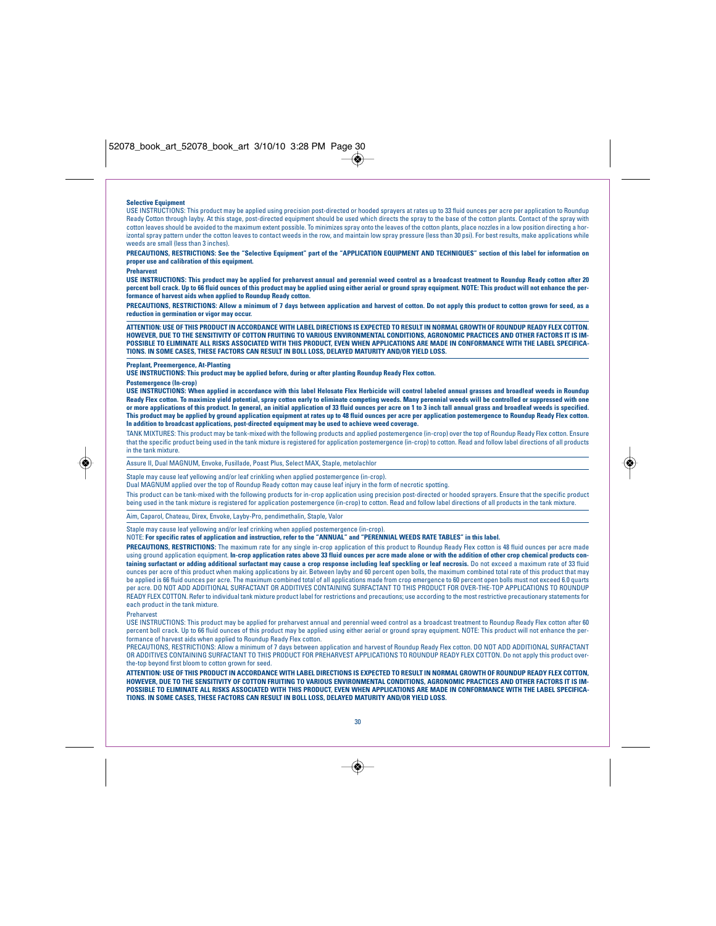#### **Selective Equipment**

USE INSTRUCTIONS: This product may be applied using precision post-directed or hooded sprayers at rates up to 33 fluid ounces per acre per application to Roundup Ready Cotton through layby. At this stage, post-directed equipment should be used which directs the spray to the base of the cotton plants. Contact of the spray with cotton leaves should be avoided to the maximum extent possible. To minimizes spray onto the leaves of the cotton plants, place nozzles in a low position directing a horizontal spray pattern under the cotton leaves to contact weeds in the row, and maintain low spray pressure (less than 30 psi). For best results, make applications while weeds are small (less than 3 inches).

**PRECAUTIONS, RESTRICTIONS: See the "Selective Equipment" part of the "APPLICATION EQUIPMENT AND TECHNIQUES" section of this label for information on proper use and calibration of this equipment.**

#### **Preharvest**

USE INSTRUCTIONS: This product may be applied for preharvest annual and perennial weed control as a broadcast treatment to Roundup Ready cotton after 20<br>percent boll crack. Up to 66 filuid ounces of this product may be app

**PRECAUTIONS, RESTRICTIONS: Allow a minimum of 7 days between application and harvest of cotton. Do not apply this product to cotton grown for seed, as a reduction in germination or vigor may occur.**

**ATTENTION: USE OF THIS PRODUCT IN ACCORDANCE WITH LABEL DIRECTIONS IS EXPECTED TO RESULT IN NORMAL GROWTH OF ROUNDUP READY FLEX COTTON. HOWEVER, DUE TO THE SENSITIVITY OF COTTON FRUITING TO VARIOUS ENVIRONMENTAL CONDITIONS, AGRONOMIC PRACTICES AND OTHER FACTORS IT IS IM-POSSIBLE TO ELIMINATE ALL RISKS ASSOCIATED WITH THIS PRODUCT, EVEN WHEN APPLICATIONS ARE MADE IN CONFORMANCE WITH THE LABEL SPECIFICA-TIONS. IN SOME CASES, THESE FACTORS CAN RESULT IN BOLL LOSS, DELAYED MATURITY AND/OR YIELD LOSS.**

## **Preplant, Preemergence, At-Planting**

**USE INSTRUCTIONS: This product may be applied before, during or after planting Roundup Ready Flex cotton.**

#### **Postemergence (In-crop)**

**USE INSTRUCTIONS: When applied in accordance with this label Helosate Flex Herbicide will control labeled annual grasses and broadleaf weeds in Roundup Ready Flex cotton. To maximize yield potential, spray cotton early to eliminate competing weeds. Many perennial weeds will be controlled or suppressed with one or more applications of this product. In general, an initial application of 33 fluid ounces per acre on 1 to 3 inch tall annual grass and broadleaf weeds is specified.** This product may be applied by ground application equipment at rates up to 48 fluid ounces per ace per application postemergence to Roundup Ready Flex cotton.<br>In addition to broadcast applications, post-directed equipment

TANK MIXTURES: This product may be tank-mixed with the following products and applied postemergence (in-crop) over the top of Roundup Ready Flex cotton. Ensure that the specific product being used in the tank mixture is registered for application postemergence (in-crop) to cotton. Read and follow label directions of all products in the tank mixture.

Assure II, Dual MAGNUM, Envoke, Fusillade, Poast Plus, Select MAX, Staple, metolachlor

Staple may cause leaf yellowing and/or leaf crinkling when applied postemergence (in-crop).

Dual MAGNUM applied over the top of Roundup Ready cotton may cause leaf injury in the form of necrotic spotting.

This product can be tank-mixed with the following products for in-crop application using precision post-directed or hooded sprayers. Ensure that the specific product being used in the tank mixture is registered for application postemergence (in-crop) to cotton. Read and follow label directions of all products in the tank mixture.

## Aim, Caparol, Chateau, Direx, Envoke, Layby-Pro, pendimethalin, Staple, Valor

Staple may cause leaf yellowing and/or leaf crinking when applied postemergence (in-crop).

NOTE: **For specific rates of application and instruction, refer to the "ANNUAL" and "PERENNIAL WEEDS RATE TABLES" in this label.**

**PRECAUTIONS, RESTRICTIONS:** The maximum rate for any single in-crop application of this product to Roundup Ready Flex cotton is 48 fluid ounces per acre made<br>using ground application equipment. In-crop application rates a using ground application equipment. **In-crop application rates above 33 fluid ounces per acre made alone or with the addition of other crop chemical products con**taining surfactant or adding additional surfactant may cause a crop response including leaf speckling or leaf necrosis. Do not exceed a maximum rate of 33 fluid ounces per acre of this product when making applications by air. Between layby and 60 percent open bolls, the maximum combined total rate of this product that may be applied is 66 fluid ounces per acre. The maximum combine .<br>I ces per acre. The maximum combined total of all applications made from crop emergence to 60 percent open bolls must not exceed 6.0 quarts per acre. DO NOT ADD ADDITIONAL SURFACTANT OR ADDITIVES CONTAINING SURFACTANT TO THIS PRODUCT FOR OVER-THE-TOP APPLICATIONS TO ROUNDUP READY FLEX COTTON. Refer to individual tank mixture product label for restrictions and precautions; use according to the most restrictive precautionary statements for each product in the tank mixture.

#### Preharvest

◈

USE INSTRUCTIONS: This product may be applied for preharvest annual and perennial weed control as a broadcast treatment to Roundup Ready Flex cotton after 60 percent boll crack. Up to 66 fluid ounces of this product may be applied using either aerial or ground spray equipment. NOTE: This product will not enhance the performance of harvest aids when applied to Roundup Ready Flex cotton.

PRECAUTIONS, RESTRICTIONS: Allow a minimum of 7 days between application and harvest of Roundup Ready Flex cotton. DO NOT ADD ADDITIONAL SURFACTANT<br>OR ADDITIVES CONTAINING SURFACTANT TO THIS PRODUCT FOR PREHARVEST APPLICAT the-top beyond first bloom to cotton grown for seed.

**ATTENTION: USE OF THIS PRODUCT IN ACCORDANCE WITH LABEL DIRECTIONS IS EXPECTED TO RESULT IN NORMAL GROWTH OF ROUNDUP READY FLEX COTTON,** HOWEVER, DUE TO THE SENSITIVITY OF COTTON FRUITING TO VARIOUS ENVIRONMENTAL CONDITIONS, AGRONOMIC PRACTICES AND OTHER FACTORS IT IS IM-<br>POSSIBLE TO ELIMINATE ALL RISKS ASSOCIATED WITH THIS PRODUCT, EVEN WHEN APPLICATIONS A **TIONS. IN SOME CASES, THESE FACTORS CAN RESULT IN BOLL LOSS, DELAYED MATURITY AND/OR YIELD LOSS.**



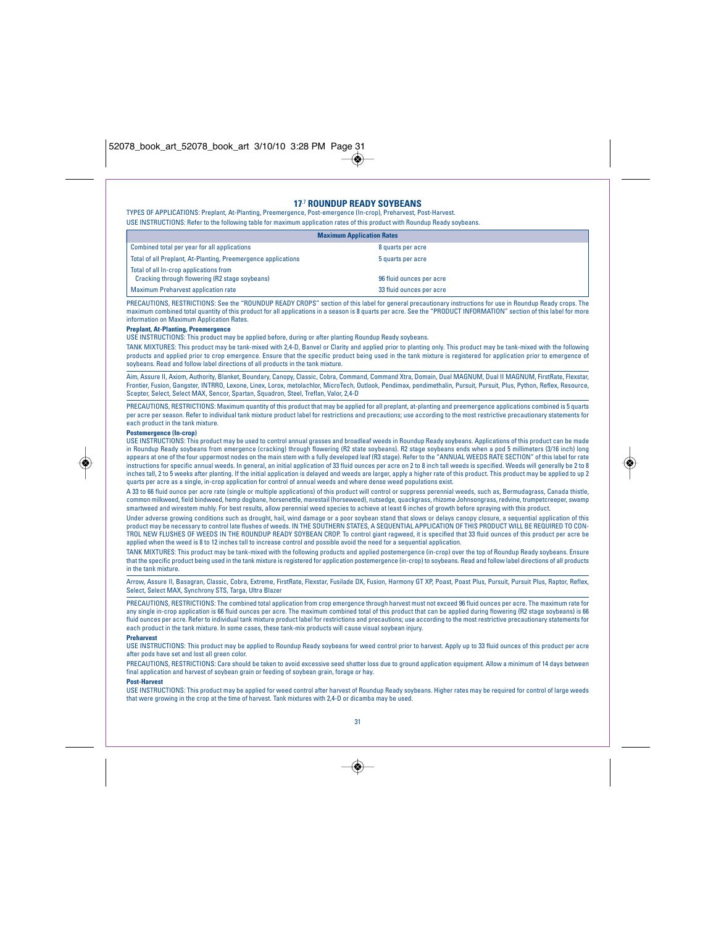## **17**.7 **ROUNDUP READY SOYBEANS**

TYPES OF APPLICATIONS: Preplant, At-Planting, Preemergence, Post-emergence (In-crop), Preharvest, Post-Harvest. USE INSTRUCTIONS: Refer to the following table for maximum application rates of this product with Roundup Ready soybeans.

| <b>Maximum Application Rates</b>                                                         |                          |  |
|------------------------------------------------------------------------------------------|--------------------------|--|
| Combined total per year for all applications                                             | 8 quarts per acre        |  |
| Total of all Preplant, At-Planting, Preemergence applications                            | 5 quarts per acre        |  |
| Total of all In-crop applications from<br>Cracking through flowering (R2 stage soybeans) | 96 fluid ounces per acre |  |
| <b>Maximum Preharvest application rate</b>                                               | 33 fluid ounces per acre |  |

PRECAUTIONS, RESTRICTIONS: See the "ROUNDUP READY CROPS" section of this label for general precautionary instructions for use in Roundup Ready crops. The ned total quantity of this product for all applications in a season is 8 quarts per acre. See the "PRODUCT INFORMATION" section of this label for more information on Maximum Application Rates.

## **Preplant, At-Planting, Preemergence**

USE INSTRUCTIONS: This product may be applied before, during or after planting Roundup Ready soybeans.

TANK MIXTURES: This product may be tank-mixed with 2,4-D, Banvel or Clarity and applied prior to planting only. This product may be tank-mixed with the following products and applied prior to crop emergence. Ensure that the specific product being used in the tank mixture is registered for application prior to emergence of soybeans. Read and follow label directions of all products in the tank mixture.

Aim, Assure II, Axiom, Authority, Blanket, Boundary, Canopy, Classic, Cobra, Command, Command Xtra, Domain, Dual MAGNUM, Dual II MAGNUM, FirstRate, Flexstar, Frontier, Fusion, Gangster, INTRRO, Lexone, Linex, Lorox, metolachlor, MicroTech, Outlook, Pendimax, pendimethalin, Pursuit, Pursuit, Plus, Python, Reflex, Resource, Scepter, Select, Select MAX, Sencor, Spartan, Squadron, Steel, Treflan, Valor, 2,4-D

PRECAUTIONS, RESTRICTIONS: Maximum quantity of this product that may be applied for all preplant, at-planting and preemergence applications combined is 5 quarts<br>per acre per season. Refer to individual tank mixture product each product in the tank mixture.

## **Postemergence (In-crop)**

◈

USE INSTRUCTIONS: This product may be used to control annual grasses and broadleaf weeds in Roundup Ready soybeans. Applications of this product can be made in Roundup Ready soybeans from emergence (cracking) through flowering (R2 state soybeans). R2 stage soybeans ends when a pod 5 millimeters (3/16 inch) long<br>appears at one of the four uppermost nodes on the main stem with a instructions for specific annual weeds. In general, an initial application of 33 fluid ounces per acre on 2 to 8 inch tall weeds is specified. Weeds will generally be 2 to 8 inches tall, 2 to 5 weeks after planting. If the initial application is delayed and weeds are larger, apply a higher rate of this product. This product may be applied to up 2<br>quarts per acre as a single, in-crop applicatio

A 33 to 66 fluid ounce per acre rate (single or multiple applications) of this product will control or suppress perennial weeds, such as, Bermudagrass, Canada thistle,<br>common milkweed, field bindweed, hemp dogbane, horsene smartweed and wirestem muhly. For best results, allow perennial weed species to achieve at least 6 inches of growth before spraying with this product.

Under adverse growing conditions such as drought, hail, wind damage or a poor soybean stand that slows or delays canopy closure, a sequential applic product may be necessary to control late flushes of weeds. IN THE SOUTHERN STATES, A SEQUENTIAL APPLICATION OF THIS PRODUCT WILL BE REQUIRED TO CON-<br>TROL NEW FLUSHES OF WEEDS IN THE ROUNDUP READY SOYBEAN CROP. To control g applied when the weed is 8 to 12 inches tall to increase control and possible avoid the need for a sequential application.

TANK MIXTURES: This product may be tank-mixed with the following products and applied postemergence (in-crop) over the top of Roundup Ready soybeans. Ensure that the specific product being used in the tank mixture is registered for application postemergence (in-crop) to soybeans. Read and follow label directions of all products in the tank mixture.

Arrow, Assure II, Basagran, Classic, Cobra, Extreme, FirstRate, Flexstar, Fusilade DX, Fusion, Harmony GT XP, Poast, Poast Plus, Pursuit, Pursuit Plus, Raptor, Reflex,<br>Select, Select MAX, Synchrony STS, Targa, Ultra Blazer

PRECAUTIONS, RESTRICTIONS: The combined total application from crop emergence through harvest must not exceed 96 fluid ounces per acre. The maximum rate for any single in-crop application is 66 fluid ounces per acre. The maximum combined total of this product that can be applied during flowering (R2 stage soybeans) is 66 fluid ounces per acre. Refer to individual tank mixture product label for restrictions and precautions; use according to the most restrictive precautionary statements for each product in the tank mixture. In some cases, these tank-mix products will cause visual soybean injury.

#### **Preharvest**

USE INSTRUCTIONS: This product may be applied to Roundup Ready soybeans for weed control prior to harvest. Apply up to 33 fluid ounces of this product per acre after pods have set and lost all green color.

PRECAUTIONS, RESTRICTIONS: Care should be taken to avoid excessive seed shatter loss due to ground application equipment. Allow a minimum of 14 days between final application and harvest of soybean grain or feeding of soybean grain, forage or hay.

## **Post-Harvest**

USE INSTRUCTIONS: This product may be applied for weed control after harvest of Roundup Ready soybeans. Higher rates may be required for control of large weeds<br>that were growing in the crop at the time of harvest. Tank mix



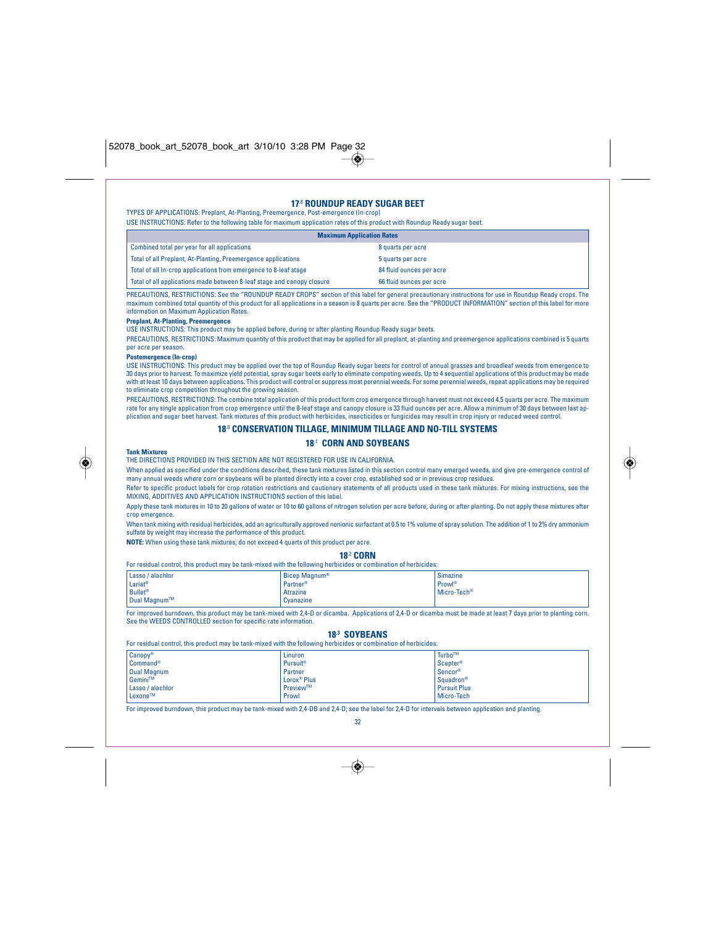## **17**.8 **ROUNDUP READY SUGAR BEET**

TYPES OF APPLICATIONS: Preplant, At-Planting, Preemergence, Post-emergence (In-crop) USE INSTRUCTIONS: Refer to the following table for maximum application rates of this product with Roundup Ready sugar beet.

| <b>Maximum Application Rates</b>                                       |                          |
|------------------------------------------------------------------------|--------------------------|
| Combined total per year for all applications                           | 8 quarts per acre        |
| Total of all Preplant, At-Planting, Preemergence applications          | 5 quarts per acre        |
| Total of all In-crop applications from emergence to 8-leaf stage       | 84 fluid ounces per acre |
| Total of all applications made between 8-leaf stage and canopy closure | 66 fluid ounces per acre |
|                                                                        |                          |

PRECAUTIONS, RESTRICTIONS: See the "ROUNDUP READY CROPS" section of this label for general precautionary instructions for use in Roundup Ready crops. The maximum combined total quantity of this product for all applications in a season is 8 quarts per acre. See the "PRODUCT INFORMATION" section of this label for more information on Maximum Application Rates.

## **Preplant, At-Planting, Preemergence**

USE INSTRUCTIONS: This product may be applied before, during or after planting Roundup Ready sugar beets.

PRECAUTIONS, RESTRICTIONS: Maximum quantity of this product that may be applied for all preplant, at-planting and preemergence applications combined is 5 quarts per acre per season.

### **Postemergence (In-crop)**

USE INSTRUCTIONS: This product may be applied over the top of Roundup Ready sugar beets for control of annual grasses and broadleaf weeds from emergence to 30 days prior to harvest. To maximize yield potential, spray sugar beets early to eliminate competing weeds. Up to 4 sequential applications of this product may be made with at least 10 days between applications. This product will control or suppress most perennial weeds. For some perennial weeds, repeat applications may be required to eliminate crop competition throughout the growing season.

PRECAUTIONS, RESTRICTIONS: The combine total application of this product form crop emergence through harvest must not exceed 4.5 quarts per acre. The maximum rate for any single application from crop emergence until the 8-leaf stage and canopy closure is 33 fluid ounces per acre. Allow a minimum of 30 days between last application and sugar beet harvest. Tank mixtures of this product with herbicides, insecticides or fungicides may result in crop injury or reduced weed control.

## **18**.0 **CONSERVATION TILLAGE, MINIMUM TILLAGE AND NO-TILL SYSTEMS**

## **18**.1 **CORN AND SOYBEANS**

## **Tank Mixtures**

THE DIRECTIONS PROVIDED IN THIS SECTION ARE NOT REGISTERED FOR USE IN CALIFORNIA.

When applied as specified under the conditions described, these tank mixtures listed in this section control many emerged weeds, and give pre-emergence control of many annual weeds where corn or soybeans will be planted directly into a cover crop, established sod or in previous crop residues.

Refer to specific product labels for crop rotation restrictions and cautionary statements of all products used in these tank mixtures. For mixing instructions, see the MIXING, ADDITIVES AND APPLICATION INSTRUCTIONS section of this label.

Apply these tank mixtures in 10 to 20 gallons of water or 10 to 60 gallons of nitrogen solution per acre before, during or after planting. Do not apply these mixtures after crop emergence.

When tank mixing with residual herbicides, add an agriculturally approved nonionic surfactant at 0.5 to 1% volume of spray solution. The addition of 1 to 2% dry ammonium sulfate by weight may increase the performance of this product.

## **NOTE:** When using these tank mixtures, do not exceed 4 quarts of this product per acre.

## **18**.2 **CORN**

|  |  | For residual control, this product may be tank-mixed with the following herbicides or combination of herbicides: |
|--|--|------------------------------------------------------------------------------------------------------------------|
|--|--|------------------------------------------------------------------------------------------------------------------|

|                           | Lasso / alachlor | Bicep Magnum® | $\sim$<br>Simazine      |
|---------------------------|------------------|---------------|-------------------------|
| Lariat <sup>®</sup>       |                  | Partner®      | <b>Prowl®</b>           |
| <b>Bullet<sup>®</sup></b> |                  | Atrazine      | Micro-Tech <sup>®</sup> |
|                           | Dual Magnum™     | Cvanazine     |                         |

For improved burndown, this product may be tank-mixed with 2,4-D or dicamba. Applications of 2,4-D or dicamba must be made at least 7 days prior to planting corn. See the WEEDS CONTROLLED section for specific rate information.

## **18.3 SOYBEANS**

|                  | For residual control, this product may be tank-mixed with the following herbicides or combination of herbicides: |                      |
|------------------|------------------------------------------------------------------------------------------------------------------|----------------------|
| $Canopy^*$       | Linuron                                                                                                          | Turbo™               |
| Command®         | Pursuit <sup>®</sup>                                                                                             | Scepter <sup>®</sup> |
| Dual Magnum      | Partner                                                                                                          | Sencor®              |
| Gemini™          | Lorox <sup>®</sup> Plus                                                                                          | Squadron®            |
| Lasso / alachlor | Preview™                                                                                                         | <b>Pursuit Plus</b>  |
| Lexone™          | Prowl                                                                                                            | Micro-Tech           |

For improved burndown, this product may be tank-mixed with 2,4-DB and 2,4-D; see the label for 2,4-D for intervals between application and planting.

## 32

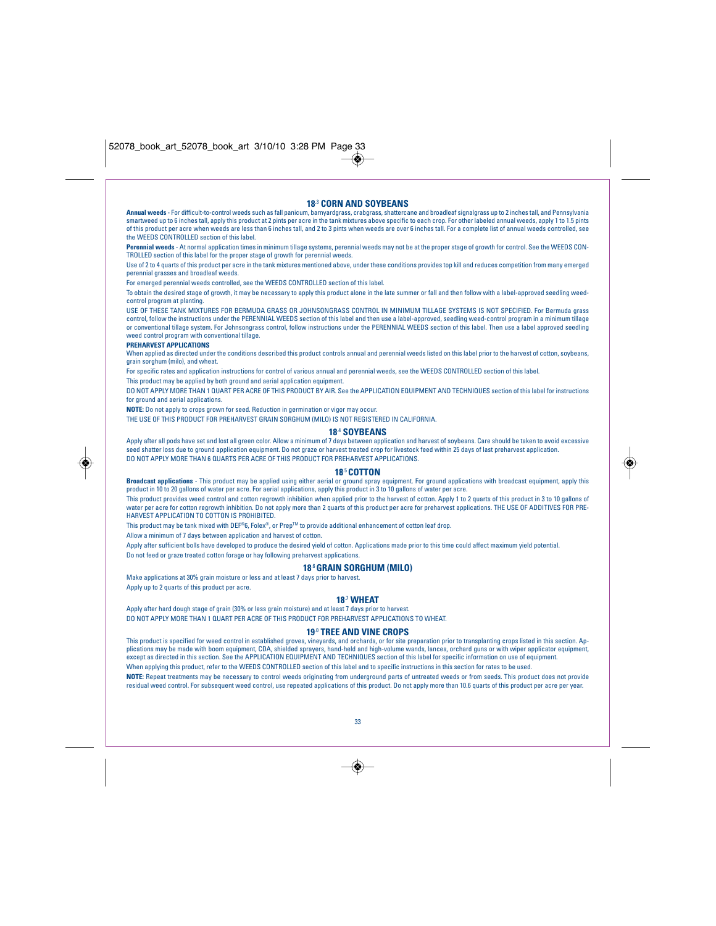### **18**.3 **CORN AND SOYBEANS**

**Annual weeds** - For difficult-to-control weeds such as fall panicum, barnyardgrass, crabgrass, shattercane and broadleaf signalgrass up to 2 inches tall, and Pennsylvania smartweed up to 6 inches tall, apply this product at 2 pints per acre in the tank mixtures above specific to each crop. For other labeled annual weeds, apply 1 to 1.5 pints of this product per acre when weeds are less than 6 inches tall, and 2 to 3 pints when weeds are over 6 inches tall. For a complete list of annual weeds controlled, see the WEEDS CONTROLLED section of this label.

**Perennial weeds** - At normal application times in minimum tillage systems, perennial weeds may not be at the proper stage of growth for control. See the WEEDS CON-TROLLED section of this label for the proper stage of growth for perennial weeds.

Use of 2 to 4 quarts of this product per acre in the tank mixtures mentioned above, under these conditions provides top kill and reduces competition from many emerged perennial grasses and broadleaf weeds.

For emerged perennial weeds controlled, see the WEEDS CONTROLLED section of this label.

To obtain the desired stage of growth, it may be necessary to apply this product alone in the late summer or fall and then follow with a label-approved seedling weedcontrol program at planting

USE OF THESE TANK MIXTURES FOR BERMUDA GRASS OR JOHNSONGRASS CONTROL IN MINIMUM TILLAGE SYSTEMS IS NOT SPECIFIED. For Bermuda grass control, follow the instructions under the PERENNIAL WEEDS section of this label and then use a label-approved, seedling weed-control program in a minimum tillage or conventional tillage system. For Johnsongrass control, follow instructions under the PERENNIAL WEEDS section of this label. Then use a label approved seedling weed control program with conventional tillage.

## **PREHARVEST APPLICATIONS**

◈

When applied as directed under the conditions described this product controls annual and perennial weeds listed on this label prior to the harvest of cotton, soybeans, grain sorghum (milo), and wheat.

For specific rates and application instructions for control of various annual and perennial weeds, see the WEEDS CONTROLLED section of this label.

This product may be applied by both ground and aerial application equipment.

DO NOT APPLY MORE THAN 1 QUART PER ACRE OF THIS PRODUCT BY AIR. See the APPLICATION EQUIPMENT AND TECHNIQUES section of this label for instructions for ground and aerial applications.

**NOTE:** Do not apply to crops grown for seed. Reduction in germination or vigor may occur.

THE USE OF THIS PRODUCT FOR PREHARVEST GRAIN SORGHUM (MILO) IS NOT REGISTERED IN CALIFORNIA.

## **18.**<sup>4</sup> **SOYBEANS**

Apply after all pods have set and lost all green color. Allow a minimum of 7 days between application and harvest of soybeans. Care should be taken to avoid excessive seed shatter loss due to ground application equipment. Do not graze or harvest treated crop for livestock feed within 25 days of last preharvest application. DO NOT APPLY MORE THAN 6 QUARTS PER ACRE OF THIS PRODUCT FOR PREHARVEST APPLICATIONS.

#### **18**.5**COTTON**

**Broadcast applications** - This product may be applied using either aerial or ground spray equipment. For ground applications with broadcast equipment, apply this product in 10 to 20 gallons of water per acre. For aerial applications, apply this product in 3 to 10 gallons of water per acre.

This product provides weed control and cotton regrowth inhibition when applied prior to the harvest of cotton. Apply 1 to 2 quarts of this product in 3 to 10 gallons of water per acre for cotton regrowth inhibition. Do not apply more than 2 quarts of this product per acre for preharvest applications. THE USE OF ADDITIVES FOR PRE-HARVEST APPLICATION TO COTTON IS PROHIBITED.

This product may be tank mixed with DEF®6, Folex®, or PrepTM to provide additional enhancement of cotton leaf drop.

Allow a minimum of 7 days between application and harvest of cotton.

Apply after sufficient bolls have developed to produce the desired yield of cotton. Applications made prior to this time could affect maximum yield potential. Do not feed or graze treated cotton forage or hay following preharvest application

#### **18**.6**GRAIN SORGHUM (MILO)**

Make applications at 30% grain moisture or less and at least 7 days prior to harvest. Apply up to 2 quarts of this product per acre.

#### **18**.7 **WHEAT**

Apply after hard dough stage of grain (30% or less grain moisture) and at least 7 days prior to harvest.

DO NOT APPLY MORE THAN 1 QUART PER ACRE OF THIS PRODUCT FOR PREHARVEST APPLICATIONS TO WHEAT.

## **19**.0 **TREE AND VINE CROPS**

This product is specified for weed control in established groves, vineyards, and orchards, or for site preparation prior to transplanting crops listed in this section. Ap-<br>plications may be made with boom equipment, CDA, s except as directed in this section. See the APPLICATION EQUIPMENT AND TECHNIQUES section of this label for specific information on use of equipment. When applying this product, refer to the WEEDS CONTROLLED section of this label and to specific instructions in this section for rates to be used. **NOTE:** Repeat treatments may be necessary to control weeds originating from underground parts of untreated weeds or from seeds. This product does not provide residual weed control. For subsequent weed control, use repeated applications of this product. Do not apply more than 10.6 quarts of this product per acre per year.



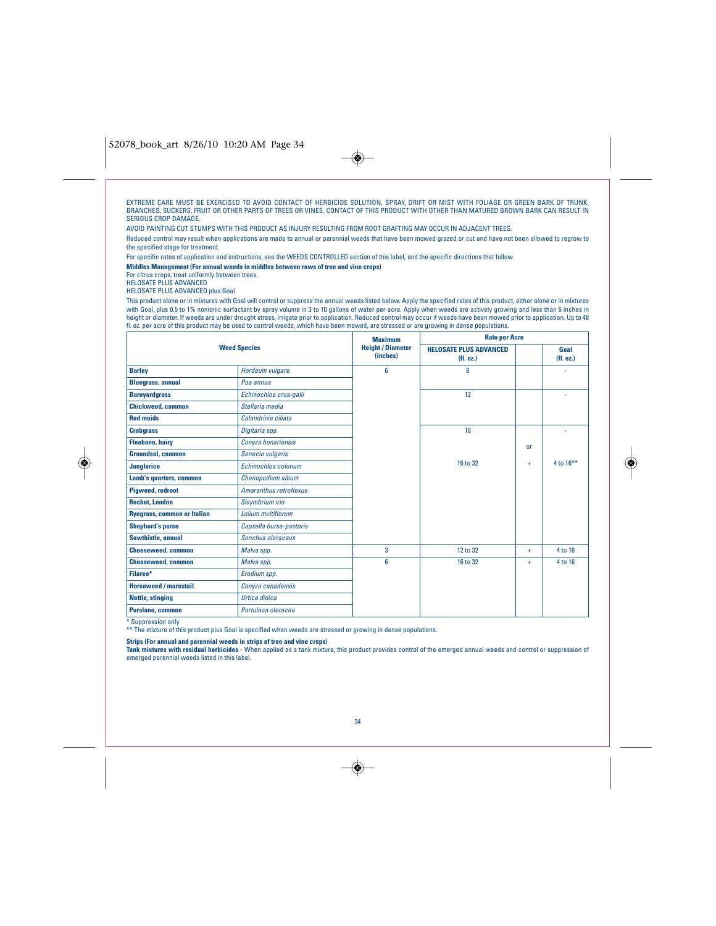## 52078\_book\_art 8/26/10 10:20 AM Page 34

EXTREME CARE MUST BE EXERCISED TO AVOID CONTACT OF HERBICIDE SOLUTION, SPRAY, DRIFT OR MIST WITH FOLIAGE OR GREEN BARK OF TRUNK,<br>BRANCHES, SUCKERS, FRUIT OR OTHER PARTS OF TREES OR VINES. CONTACT OF THIS PRODUCT WITH OTHER SERIOUS CROP DAMAGE.

 $\bigcirc$ 

AVOID PAINTING CUT STUMPS WITH THIS PRODUCT AS INJURY RESULTING FROM ROOT GRAFTING MAY OCCUR IN ADJACENT TREES.

Reduced control may result when applications are made to annual or perennial weeds that have been mowed grazed or cut and have not been allowed to regrow to the specified stage for treatme

For specific rates of application and instructions, see the WEEDS CONTROLLED section of this label, and the specific directions that follow.

**Middles Management (For annual weeds in middles between rows of tree and vine crops)**

For citrus crops, treat uniformly between trees.

HELOSATE PLUS ADVANCED

HELOSATE PLUS ADVANCED plus Goal

This product alone or in mixtures with Goal will control or suppress the annual weeds listed below. Apply the specified rates of this product, either alone or in mixtures<br>with Goal, plus 0.5 to 1% nonionic surfactant by sp

|                                    |                         | <b>Maximum</b>                       | <b>Rate per Acre</b>                      |           |                  |
|------------------------------------|-------------------------|--------------------------------------|-------------------------------------------|-----------|------------------|
|                                    | <b>Weed Species</b>     | <b>Height / Diameter</b><br>(inches) | <b>HELOSATE PLUS ADVANCED</b><br>(H. oz.) |           | Goal<br>(H. oz.) |
| <b>Barley</b>                      | Hordeum vulgare         | 6                                    | 8                                         |           |                  |
| <b>Bluegrass, annual</b>           | Poa annua               |                                      |                                           |           |                  |
| <b>Barnyardgrass</b>               | Echinochloa crus-galli  |                                      | 12                                        |           |                  |
| <b>Chickweed, common</b>           | Stellaria media         |                                      |                                           |           |                  |
| <b>Red maids</b>                   | Calandrinia ciliata     |                                      |                                           |           |                  |
| <b>Crabgrass</b>                   | Digitaria spp.          |                                      | 16                                        |           |                  |
| <b>Fleabane, hairy</b>             | Conyza bonariensis      |                                      |                                           | <b>or</b> |                  |
| <b>Groundsel, common</b>           | Senecio vulgaris        |                                      |                                           |           |                  |
| <b>Junglerice</b>                  | Echinochloa colonum     |                                      | 16 to 32                                  | ÷         | 4 to $16***$     |
| Lamb's quarters, common            | Chenopodium album       |                                      |                                           |           |                  |
| <b>Pigweed, redroot</b>            | Amaranthus retroflexus  |                                      |                                           |           |                  |
| <b>Rocket, London</b>              | Sisymbrium irio         |                                      |                                           |           |                  |
| <b>Ryegrass, common or Italian</b> | Lolium multiflorum      |                                      |                                           |           |                  |
| <b>Shepherd's purse</b>            | Capsella bursa-pastoris |                                      |                                           |           |                  |
| Sowthistle, annual                 | Sonchus oleraceus       |                                      |                                           |           |                  |
| <b>Cheeseweed, common</b>          | Malva spp.              | 3                                    | 12 to 32                                  | $+$       | 4 to 16          |
| <b>Cheeseweed, common</b>          | Malva spp.              | 6                                    | 16 to 32                                  | ÷         | 4 to 16          |
| Filaree*                           | Erodium spp.            |                                      |                                           |           |                  |
| <b>Horseweed / marestail</b>       | Conyza canadensis       |                                      |                                           |           |                  |
| Nettle, stinging                   | Urtica dioica           |                                      |                                           |           |                  |
| Purslane, common                   | Portulaça oleraçea      |                                      |                                           |           |                  |

\* Suppression only

◈

\*\* The mixture of this product plus Goal is specified when weeds are stressed or growing in dense populations.

**Strips (For annual and perennial weeds in strips of tree and vine crops)**

**Tank mixtures with residual herbicides** - When applied as a tank mixture, this product provides control of the emerged annual weeds and control or suppression of<br>emerged perennial weeds listed in this label.

 $\overline{\bullet}$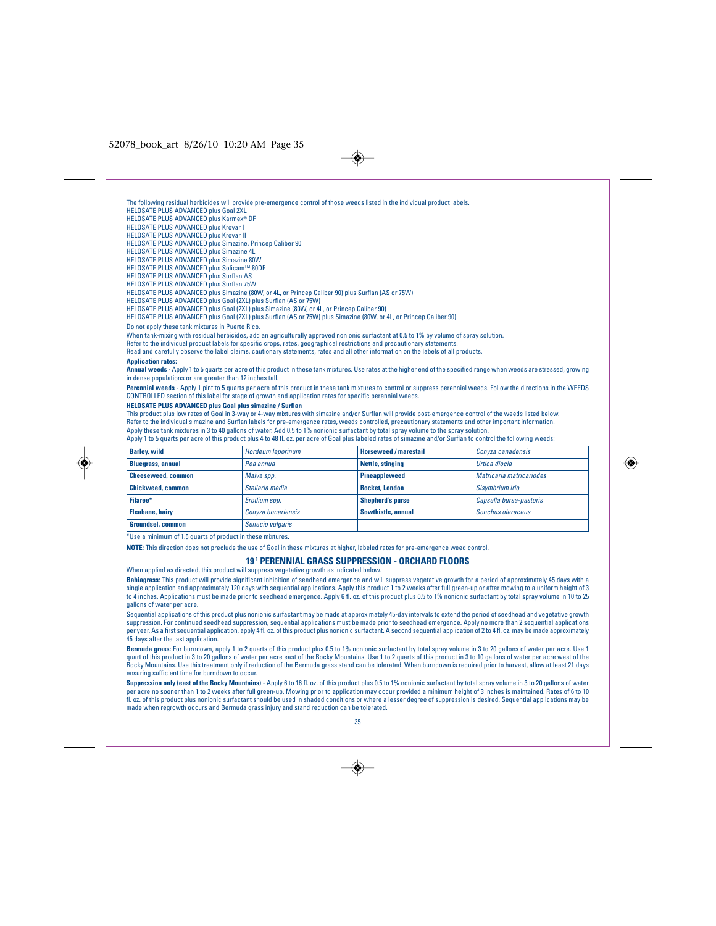$\bigcirc$ 

The following residual herbicides will provide pre-emergence control of those weeds listed in the individual product labels. HELOSATE PLUS ADVANCED plus Goal 2XL HELOSATE PLUS ADVANCED plus Karmex<sup>®</sup> DF HELOSATE PLUS ADVANCED plus Krovar I HELOSATE PLUS ADVANCED plus Krovar II HELOSATE PLUS ADVANCED plus Simazine, Princep Caliber 90 HELOSATE PLUS ADVANCED plus Simazine 4L HELOSATE PLUS ADVANCED plus Simazine 80W HELOSATE PLUS ADVANCED plus Solicam™ 80DF HELOSATE PLUS ADVANCED plus Surflan AS HELOSATE PLUS ADVANCED plus Surflan 75W HELOSATE PLUS ADVANCED plus Simazine (80W, or 4L, or Princep Caliber 90) plus Surflan (AS or 75W) HELOSATE PLUS ADVANCED plus Goal (2XL) plus Surflan (AS or 75W) HELOSATE PLUS ADVANCED plus Goal (2XL) plus Simazine (80W, or 4L, or Princep Caliber 90)

HELOSATE PLUS ADVANCED plus Goal (2XL) plus Surflan (AS or 75W) plus Simazine (80W, or 4L, or Princep Caliber 90)

Do not apply these tank mixtures in Puerto Rico.

When tank-mixing with residual herbicides, add an agriculturally approved nonionic surfactant at 0.5 to 1% by volume of spray solution.<br>Refer to the individual product labels for specific crops, rates, geographical restric

Read and carefully observe the label claims, cautionary statements, rates and all other information on the labels of all products.

## **Application rates:**

◈

**Annual weeds** - Apply 1 to 5 quarts per acre of this product in these tank mixtures. Use rates at the higher end of the specified range when weeds are stressed, growing in dense populations or are greater than 12 inches tall.

**Perennial weeds** - Apply 1 pint to 5 quarts per acre of this product in these tank mixtures to control or suppress perennial weeds. Follow the directions in the WEEDS CONTROLLED section of this label for stage of growth and application rates for specific perennial weeds.

## **HELOSATE PLUS ADVANCED plus Goal plus simazine / Surflan**

This product plus low rates of Goal in 3-way or 4-way mixtures with simazine and/or Surflan will provide post-emergence control of the weeds listed below. Refer to the individual simazine and Surflan labels for pre-emergence rates, weeds controlled, precautionary statements and other important information.<br>Apply these tank mixtures in 3 to 40 gallons of water. Add 0.5 to 1%

Apply 1 to 5 quarts per acre of this product plus 4 to 48 fl. oz. per acre of Goal plus labeled rates of simazine and/or Surflan to control the following weeds:

| <b>Barley, wild</b>       | Hordeum leporinum  | <b>Horseweed / marestail</b> | Convza canadensis        |
|---------------------------|--------------------|------------------------------|--------------------------|
| <b>Bluegrass, annual</b>  | Poa annua          | Nettle, stinging             | Urtica diocia            |
| <b>Cheeseweed, common</b> | Malva spp.         | <b>Pineappleweed</b>         | Matricaria matricariodes |
| <b>Chickweed, common</b>  | Stellaria media    | <b>Rocket, London</b>        | Sisymbrium irio          |
| Filaree*                  | Erodium spp.       | <b>Shepherd's purse</b>      | Capsella bursa-pastoris  |
| <b>Fleabane, hairv</b>    | Convza bonariensis | Sowthistle, annual           | Sonchus oleraceus        |
| <b>Groundsel, common</b>  | Senecio vulgaris   |                              |                          |

\*Use a minimum of 1.5 quarts of product in these mixtures.

**NOTE:** This direction does not preclude the use of Goal in these mixtures at higher, labeled rates for pre-emergence weed control.

## **19**.1 **PERENNIAL GRASS SUPPRESSION - ORCHARD FLOORS**

When applied as directed, this product will suppress vegetative growth as indicated below.

**Bahiagrass:** This product will provide significant inhibition of seedhead emergence and will suppress vegetative growth for a period of approximately 45 days with a single application and approximately 120 days with sequential applications. Apply this product 1 to 2 weeks after full green-up or after mowing to a uniform height of 3<br>to 4 inches. Applications must be made prior to seedh gallons of water per acre.

Sequential applications of this product plus nonionic surfactant may be made at approximately 45-day intervals to extend the period of seedhead and vegetative growth suppression. For continued seedhead suppression, sequential applications must be made prior to seedhead emergence. Apply no more than 2 sequential applications<br>per year. As a first sequential application, apply 4 fl. oz. o 45 days after the last application.

**Bermuda grass:** For burndown, apply 1 to 2 quarts of this product plus 0.5 to 1% nonionic surfactant by total spray volume in 3 to 20 gallons of water per acre. Use 1 quart of this product in 3 to 20 gallons of water per acre east of the Rocky Mountains. Use 1 to 2 quarts of this product in 3 to 10 gallons of water per acre west of the Rocky Mountains. Use this treatment only if reduction of the Bermuda grass stand can be tolerated. When burndown is required prior to harvest, allow at least 21 days ensuring sufficient time for burndown to occur.

**Suppression only (east of the Rocky Mountains)** - Apply 6 to 16 fl. oz. of this product plus 0.5 to 1% nonionic surfactant by total spray volume in 3 to 20 gallons of water per acre no sooner than 1 to 2 weeks after full green-up. Mowing prior to application may occur provided a minimum height of 3 inches is maintained. Rates of 6 to 10 fl. oz. of this product plus nonionic surfactant should be used in shaded conditions or where a lesser degree of suppression is desired. Sequential applications may be made when regrowth occurs and Bermuda grass injury and stand reduction can be tolerated.



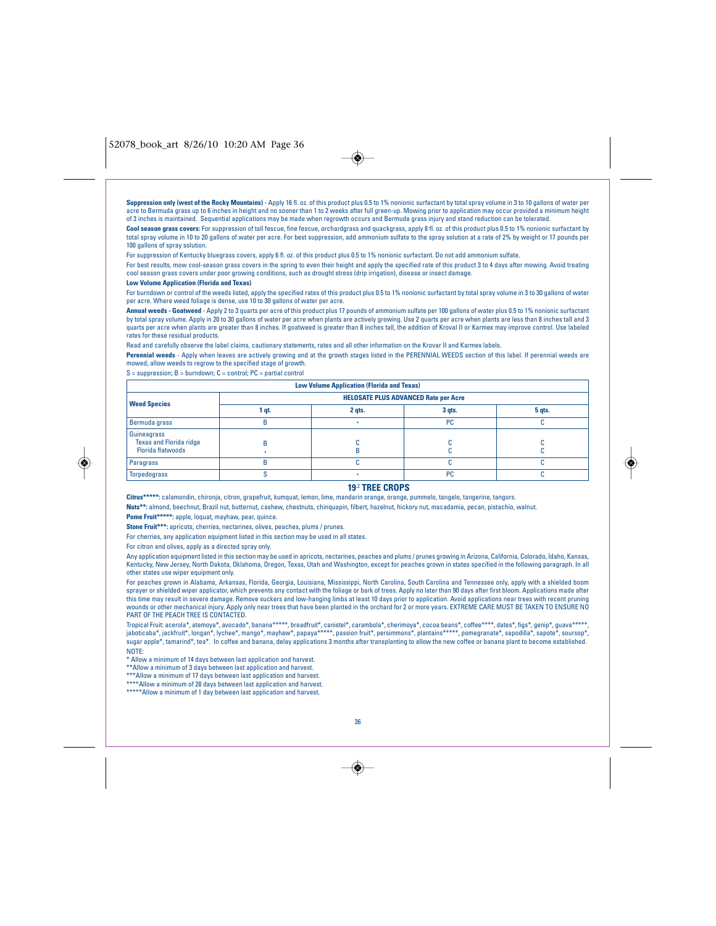**Suppression only (west of the Rocky Mountains)** - Apply 16 fl. oz. of this product plus 0.5 to 1% nonionic surfactant by total spray volume in 3 to 10 gallons of water per acre to Bermuda grass up to 6 inches in height and no sooner than 1 to 2 weeks after full green-up. Mowing prior to application may occur provided a minimum height of 3 inches is maintained. Sequential applications may be made when regrowth occurs and Bermuda grass injury and stand reduction can be tolerated.

 $\rightarrow$ 

Cool season grass covers: For suppression of tall fescue, fine fescue, orchardgrass and quackgrass, apply 8 fl. oz. of this product plus 0.5 to 1% nonionic surfactant by total spray volume in 10 to 20 gallons of water per acre. For best suppression, add ammonium sulfate to the spray solution at a rate of 2% by weight or 17 pounds per 100 gallons of spray solution

For suppression of Kentucky bluegrass covers, apply 6 fl. oz. of this product plus 0.5 to 1% nonionic surfactant. Do not add ammonium sulfate.

For best results, mow cool-season grass covers in the spring to even their height and apply the specified rate of this product 3 to 4 days after mowing. Avoid treating cool season grass covers under poor growing conditions, such as drought stress (drip irrigation), disease or insect damage.

## **Low Volume Application (Florida and Texas)**

For burndown or control of the weeds listed, apply the specified rates of this product plus 0.5 to 1% nonionic surfactant by total spray volume in 3 to 30 gallons of water per acre. Where weed foliage is dense, use 10 to 30 gallons of water per acre.

**Annual weeds - Goatweed** - Apply 2 to 3 quarts per acre of this product plus 17 pounds of ammonium sulfate per 100 gallons of water plus 0.5 to 1% nonionic surfactant by total spray volume. Apply in 20 to 30 gallons of water per acre when plants are actively growing. Use 2 quarts per acre when plants are less than 8 inches tall and 3<br>quarts per acre when plants are greater than 8 inches rates for these residual products.

Read and carefully observe the label claims, cautionary statements, rates and all other information on the Krovar II and Karmex labels.

Perennial weeds - Apply when leaves are actively growing and at the growth stages listed in the PERENNIAL WEEDS section of this label. If perennial weeds are mowed, allow weeds to regrow to the specified stage of growth.

 $S =$  suppression;  $B =$  burndown;  $C =$  control;  $PC =$  partial control

| <b>Low Volume Application (Florida and Texas)</b>                         |                                             |        |           |        |
|---------------------------------------------------------------------------|---------------------------------------------|--------|-----------|--------|
| <b>Weed Species</b>                                                       | <b>HELOSATE PLUS ADVANCED Rate per Acre</b> |        |           |        |
|                                                                           | qt.                                         | 2 gts. | $3$ qts.  | 5 gts. |
| Bermuda grass                                                             |                                             |        | <b>PC</b> |        |
| Guineagrass<br><b>Texas and Florida ridge</b><br><b>Florida flatwoods</b> |                                             |        |           |        |
| Paragrass                                                                 |                                             |        |           |        |
| <b>Torpedograss</b>                                                       |                                             |        | PC        |        |

## **19**.2 **TREE CROPS**

**Citrus\*\*\*\*\*:** calamondin, chironja, citron, grapefruit, kumquat, lemon, lime, mandarin orange, orange, pummelo, tangelo, tangerine, tangors.

**Nuts\*\*:** almond, beechnut, Brazil nut, butternut, cashew, chestnuts, chinquapin, filbert, hazelnut, hickory nut, macadamia, pecan, pistachio, walnut. **Pome Fruit\*\*\*\*\*:** apple, loquat, mayhaw, pear, quince.

**Stone Fruit\*\*\*:** apricots, cherries, nectarines, olives, peaches, plums / prunes.

For cherries, any application equipment listed in this section may be used in all states.

For citron and olives, apply as a directed spray only.

Any application equipment listed in this section may be used in apricots, nectarines, peaches and plums / prunes growing in Arizona, California, Colorado, Idaho, Kansas, Kentucky, New Jersey, North Dakota, Oklahoma, Oregon, Texas, Utah and Washington, except for peaches grown in states specified in the following paragraph. In all other states use wiper equipment only.

For peaches grown in Alabama, Arkansas, Florida, Georgia, Louisiana, Mississippi, North Carolina, South Carolina and Tennessee only, apply with a shielded boom<br>sprayer or shielded wiper applicator, which prevents any conta this time may result in severe damage. Remove suckers and low-hanging limbs at least 10 days prior to application. Avoid applications near trees with recent pruning wounds or other mechanical injury. Apply only near trees that have been planted in the orchard for 2 or more years. EXTREME CARE MUST BE TAKEN TO ENSURE NO PART OF THE PEACH TREE IS CONTACTED.

Tropical Fruit: acerola\*, atemoya\*, avocado\*, banana\*\*\*\*\*, breadfruit\*, canistel\*, carambola\*, cherimoya\*, cocoa beans\*, coffee\*\*\*\*, dates\*, figs\*, genip\*, guava\*\*\*\*\*,<br>jaboticaba\*, jackfruit\*, longan\*, lychee\*, mango\*, may sugar apple\*, tamarind\*, tea\*. In coffee and banana, delay applications 3 months after transplanting to allow the new coffee or banana plant to become established. NOTE:

\* Allow a minimum of 14 days between last application and harvest. \*\*Allow a minimum of 3 days between last application and harvest.

\*\*\*Allow a minimum of 17 days between last application and harvest. \*\*\*\*Allow a minimum of 28 days between last application and harvest.

\*\*\*\*\*Allow a minimum of 1 day between last application and harvest.

36

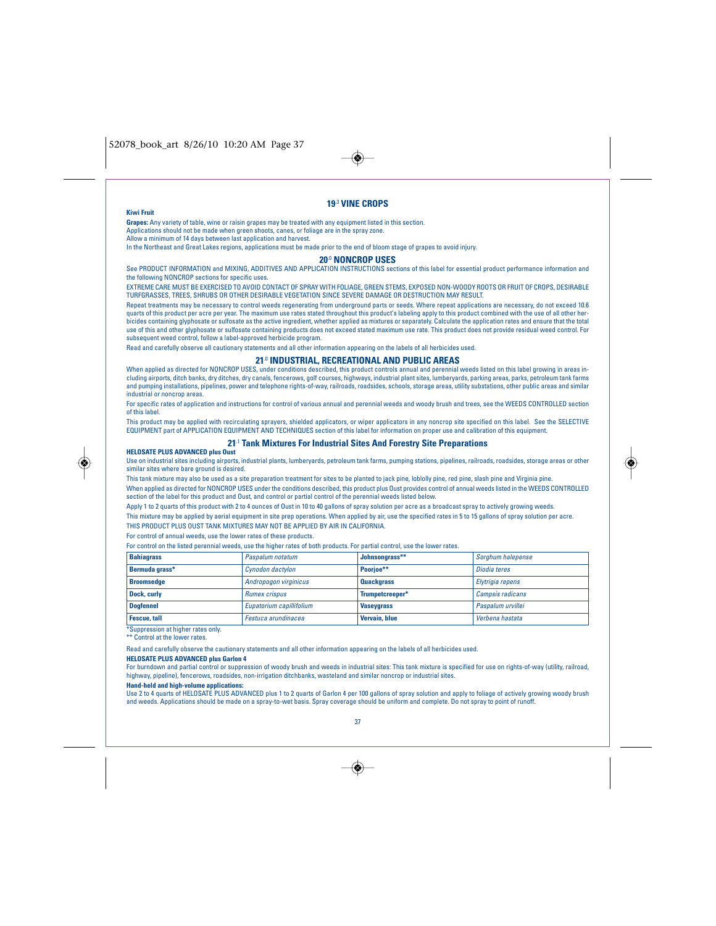

### **Kiwi Fruit**

## **19**.3 **VINE CROPS**

**Grapes:** Any variety of table, wine or raisin grapes may be treated with any equipment listed in this section.

Applications should not be made when green shoots, canes, or foliage are in the spray zone. Allow a minimum of 14 days between last application and harvest.

In the Northeast and Great Lakes regions, applications must be made prior to the end of bloom stage of grapes to avoid injury.

Read and carefully observe all cautionary statements and all other information appearing on the labels of all herbicides used.

#### **20**.0 **NONCROP USES**

See PRODUCT INFORMATION and MIXING, ADDITIVES AND APPLICATION INSTRUCTIONS sections of this label for essential product performance information and the following NONCROP sections for specific uses.

EXTREME CARE MUST BE EXERCISED TO AVOID CONTACT OF SPRAY WITH FOLIAGE, GREEN STEMS, EXPOSED NON-WOODY ROOTS OR FRUIT OF CROPS, DESIRABLE TURFGRASSES, TREES, SHRUBS OR OTHER DESIRABLE VEGETATION SINCE SEVERE DAMAGE OR DESTRUCTION MAY RESULT.

Repeat treatments may be necessary to control weeds regenerating from underground parts or seeds. Where repeat applications are necessary, do not exceed 10.6 quarts of this product per acre per year. The maximum use rates stated throughout this product's labeling apply to this product combined with the use of all other herbicides containing glyphosate or sulfosate as the active ingredient, whether applied as mixtures or separately. Calculate the application rates and ensure that the total use of this and other glyphosate or sulfosate containing products does not exceed stated maximum use rate. This product does not provide residual weed control. For subsequent weed control, follow a label-approved herbicide program.

## **21**.0 **INDUSTRIAL, RECREATIONAL AND PUBLIC AREAS**

When applied as directed for NONCROP USES, under conditions described, this product controls annual and perennial weeds listed on this label growing in areas including airports, ditch banks, dry ditches, dry canals, fencerows, golf courses, highways, industrial plant sites, lumberyards, parking areas, parks, petroleum tank farms<br>and pumping installations, pipelines, power and tel

industrial or noncrop areas. For specific rates of application and instructions for control of various annual and perennial weeds and woody brush and trees, see the WEEDS CONTROLLED section of this label.

This product may be applied with recirculating sprayers, shielded applicators, or wiper applicators in any noncrop site specified on this label. See the SELECTIVE<br>EQUIPMENT part of APPLICATION EQUIPMENT AND TECHNIQUES sec

## **21**.1 **Tank Mixtures For Industrial Sites And Forestry Site Preparations**

**HELOSATE PLUS ADVANCED plus Oust** Use on industrial sites including airports, industrial plants, lumberyards, petroleum tank farms, pumping stations, pipelines, railroads, roadsides, storage areas or other similar sites where bare ground is desired.

This tank mixture may also be used as a site preparation treatment for sites to be planted to jack pine, loblolly pine, red pine, slash pine and Virginia pine. When applied as directed for NONCROP USES under the conditions described, this product plus Oust provides control of annual weeds listed in the WEEDS CONTROLLED section of the label for this product and Oust, and control or partial control of the perennial weeds listed below.

Apply 1 to 2 quarts of this product with 2 to 4 ounces of Oust in 10 to 40 gallons of spray solution per acre as a broadcast spray to actively growing weeds.

This mixture may be applied by aerial equipment in site prep operations. When applied by air, use the specified rates in 5 to 15 gallons of spray solution per acre.

THIS PRODUCT PLUS OUST TANK MIXTURES MAY NOT BE APPLIED BY AIR IN CALIFORNIA.

For control of annual weeds, use the lower rates of these products.

For control on the listed perennial weeds, use the higher rates of both products. For partial control, use the lower rates.

| <b>Bahiagrass</b>                 | Paspalum notatum         | Johnsongrass**    | Sorghum halepense |
|-----------------------------------|--------------------------|-------------------|-------------------|
| Bermuda grass*                    | Cynodon dactylon         | Poorioe**         | Diodia teres      |
| <b>Broomsedge</b>                 | Andropogon virginicus    | <b>Quackgrass</b> | Elytrigia repens  |
| Dock, curly                       | <b>Rumex crispus</b>     | Trumpetcreeper*   | Campsis radicans  |
| Doafennel                         | Eupatorium capillifolium | <b>Vaseygrass</b> | Paspalum urvillei |
| <b>Fescue, tall</b>               | Festuca arundinacea      | Vervain, blue     | Verbena hastata   |
| *Sunnression at higher rates only |                          |                   |                   |

\*Suppression at higher rates only. \*\* Control at the lower rates.

Read and carefully observe the cautionary statements and all other information appearing on the labels of all herbicides used.

## **HELOSATE PLUS ADVANCED plus Garlon 4**

For burndown and partial control or suppression of woody brush and weeds in industrial sites: This tank mixture is specified for use on rights-of-way (utility, railroad, highway, pipeline), fencerows, roadsides, non-irrigation ditchbanks, wasteland and similar noncrop or industrial sites.

#### **Hand-held and high-volume applications:**

Use 2 to 4 quarts of HELOSATE PLUS ADVANCED plus 1 to 2 quarts of Garlon 4 per 100 gallons of spray solution and apply to foliage of actively growing woody brush and weeds. Applications should be made on a spray-to-wet basis. Spray coverage should be uniform and complete. Do not spray to point of runof



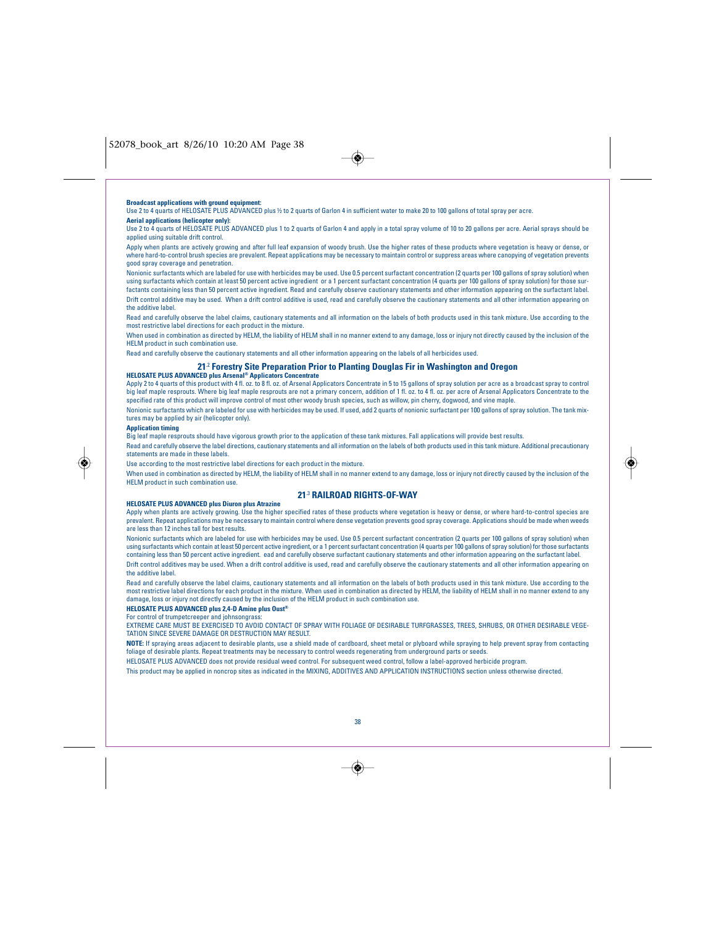

## **Broadcast applications with ground equipment**

Use 2 to 4 quarts of HELOSATE PLUS ADVANCED plus ½ to 2 quarts of Garlon 4 in sufficient water to make 20 to 100 gallons of total spray per acre. **Aerial applications (helicopter only):**

Use 2 to 4 quarts of HELOSATE PLUS ADVANCED plus 1 to 2 quarts of Garlon 4 and apply in a total spray volume of 10 to 20 gallons per acre. Aerial sprays should be applied using suitable drift control.

Apply when plants are actively growing and after full leaf expansion of woody brush. Use the higher rates of these products where vegetation is heavy or dense, or where hard-to-control brush species are prevalent. Repeat applications may be necessary to maintain control or suppress areas where canopying of vegetation prevents good spray coverage and penetration.

Nonionic surfactants which are labeled for use with herbicides may be used. Use 0.5 percent surfactant concentration (2 quarts per 100 gallons of spray solution) when using surfactants which contain at least 50 percent active ingredient or a 1 percent surfactant concentration (4 quarts per 100 gallons of spray solution) for those surfactants containing less than 50 percent active ingredient. Read and carefully observe cautionary statements and other information appearing on the surfactant label. Drift control additive may be used. When a drift control additive is used, read and carefully observe the cautionary statements and all other information appearing on the additive label.

Read and carefully observe the label claims, cautionary statements and all information on the labels of both products used in this tank mixture. Use according to the most restrictive label directions for each product in the mixture.

When used in combination as directed by HELM, the liability of HELM shall in no manner extend to any damage, loss or injury not directly caused by the inclusion of the HELM product in such combination use.

Read and carefully observe the cautionary statements and all other information appearing on the labels of all herbicides used.

## **21**.2 **Forestry Site Preparation Prior to Planting Douglas Fir in Washington and Oregon**

**HELOSATE PLUS ADVANCED plus Arsenal® Applicators Concentrate**<br>Apply 2 to 4 quarts of this product with 4 fl. oz. to 8 fl. oz. of Arsenal Applicators Concentrate in 5 to 15 gallons of spray solution per acre as a broadcast big leaf maple resprouts. Where big leaf maple resprouts are not a primary concern, addition of 1 fl. oz. to 4 fl. oz. per acre of Arsenal Applicators Concentrate to the specified rate of this product will improve control of most other woody brush species, such as willow, pin cherry, dogwood, and vine maple. Nonionic surfactants which are labeled for use with herbicides may be used. If used, add 2 quarts of nonionic surfactant per 100 gallons of spray solution. The tank mix-

tures may be applied by air (helicopter only).

#### **Application timing**

Big leaf maple resprouts should have vigorous growth prior to the application of these tank mixtures. Fall applications will provide best results.

Read and carefully observe the label directions, cautionary statements and all information on the labels of both products used in this tank mixture. Additional precautionary statements are made in these labels.

Use according to the most restrictive label directions for each product in the mixture.

When used in combination as directed by HELM, the liability of HELM shall in no manner extend to any damage. loss or injury not directly caused by the inclusion of the HELM product in such combination use.

## **21**.3 **RAILROAD RIGHTS-OF-WAY**

### **HELOSATE PLUS ADVANCED plus Diuron plus Atrazine**

Apply when plants are actively growing. Use the higher specified rates of these products where vegetation is heavy or dense, or where hard-to-control species are prevalent. Repeat applications may be necessary to maintain control where dense vegetation prevents good spray coverage. Applications should be made when weeds are less than 12 inches tall for best results.

Nonionic surfactants which are labeled for use with herbicides may be used. Use 0.5 percent surfactant concentration (2 quarts per 100 gallons of spray solution) when using surfactants which contain at least 50 percent active ingredient, or a 1 percent surfactant concentration (4 quarts per 100 gallons of spray solution) for those surfactants containing less than 50 percent active ingredient. ead and carefully observe surfactant cautionary statements and other information appearing on the surfactant label. Drift control additives may be used. When a drift control additive is used, read and carefully observe the cautionary statements and all other information appearing on the additive label.

Read and carefully observe the label claims, cautionary statements and all information on the labels of both products used in this tank mixture. Use according to the most restrictive label directions for each product in the mixture. When used in combination as directed by HELM, the liability of HELM shall in no manner extend to any damage, loss or injury not directly caused by the inclusion of the HELM product in such combination use.

## **HELOSATE PLUS ADVANCED plus 2,4-D Amine plus Oust®**

For control of trumpetcreeper and johnsongrass:

EXTREME CARE MUST BE EXERCISED TO AVOID CONTACT OF SPRAY WITH FOLIAGE OF DESIRABLE TURFGRASSES, TREES, SHRUBS, OR OTHER DESIRABLE VEGE-TATION SINCE SEVERE DAMAGE OR DESTRUCTION MAY RESULT.

**NOTE:** If spraying areas adjacent to desirable plants, use a shield made of cardboard, sheet metal or plyboard while spraying to help prevent spray from contacting foliage of desirable plants. Repeat treatments may be necessary to control weeds regenerating from underground parts or seeds.

HELOSATE PLUS ADVANCED does not provide residual weed control. For subsequent weed control, follow a label-approved herbicide program.

This product may be applied in noncrop sites as indicated in the MIXING, ADDITIVES AND APPLICATION INSTRUCTIONS section unless otherwise directed.



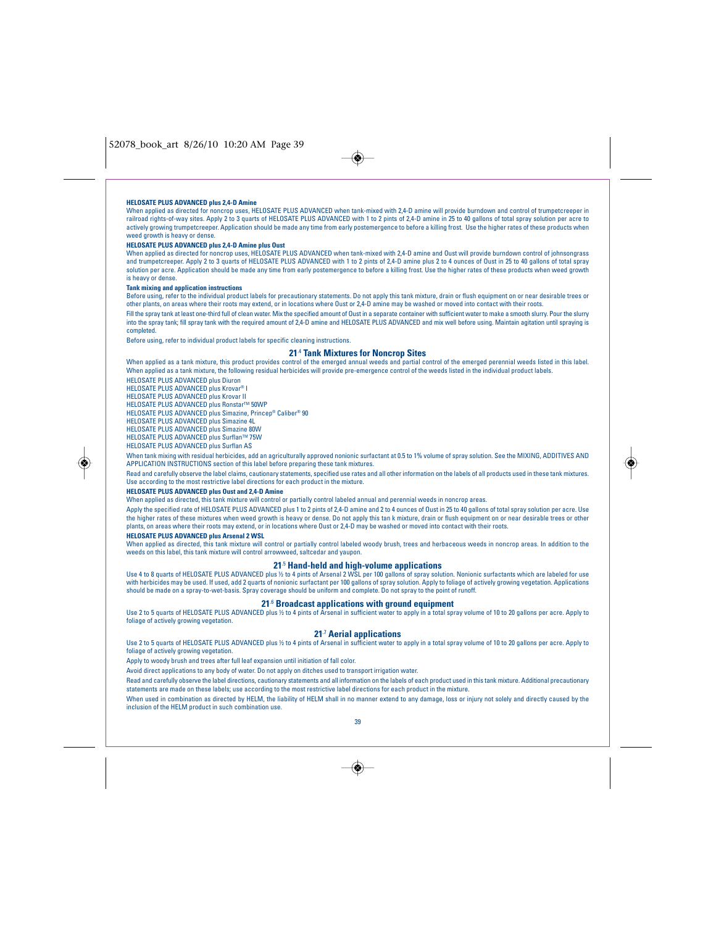$\rightarrow$ 

#### **HELOSATE PLUS ADVANCED plus 2,4-D Amine**

When applied as directed for noncrop uses, HELOSATE PLUS ADVANCED when tank-mixed with 2,4-D amine will provide burndown and control of trumpetcreeper in railroad rights-of-way sites. Apply 2 to 3 quarts of HELOSATE PLUS ADVANCED with 1 to 2 pints of 2,4-D amine in 25 to 40 gallons of total spray solution per acre to actively growing trumpetcreeper. Application should be made any time from early postemergence to before a killing frost. Use the higher rates of these products when weed growth is heavy or dense.

## **HELOSATE PLUS ADVANCED plus 2,4-D Amine plus Oust**

When applied as directed for noncrop uses, HELOSATE PLUS ADVANCED when tank-mixed with 2,4-D amine and Oust will provide burndown control of johnsongrass and trumpetcreeper. Apply 2 to 3 quarts of HELOSATE PLUS ADVANCED with 1 to 2 pints of 2,4-D amine plus 2 to 4 ounces of Oust in 25 to 40 gallons of total spray solution per acre. Application should be made any time from early postemergence to before a killing frost. Use the higher rates of these products when weed growth is heavy or dense.

#### **Tank mixing and application instructions**

Before using, refer to the individual product labels for precautionary statements. Do not apply this tank mixture, drain or flush equipment on or near desirable trees or other plants, on areas where their roots may extend, or in locations where Oust or 2,4-D amine may be washed or moved into contact with their roots.

Fill the spray tank at least one-third full of clean water. Mix the specified amount of Oust in a separate container with sufficient water to make a smooth slurry. Pour the slurry<br>into the spray tank; fill spray tank with completed.

Before using, refer to individual product labels for specific cleaning instructions.

#### **21**.4 **Tank Mixtures for Noncrop Sites**

When applied as a tank mixture, this product provides control of the emerged annual weeds and partial control of the emerged perennial weeds listed in this label. When applied as a tank mixture, the following residual herbicides will provide pre-emergence control of the weeds listed in the individual product labels.

HELOSATE PLUS ADVANCED plus Diuron HELOSATE PLUS ADVANCED plus Krovar® I

HELOSATE PLUS ADVANCED plus Krovar II

HELOSATE PLUS ADVANCED plus Ronstar™ 50WP

HELOSATE PLUS ADVANCED plus Simazine, Princep® Caliber® 90

HELOSATE PLUS ADVANCED plus Simazine 4L

HELOSATE PLUS ADVANCED plus Simazine 80W

HELOSATE PLUS ADVANCED plus Surflan™ 75W

HELOSATE PLUS ADVANCED plus Surflan AS

◈

When tank mixing with residual herbicides, add an agriculturally approved nonionic surfactant at 0.5 to 1% volume of spray solution. See the MIXING, ADDITIVES AND APPLICATION INSTRUCTIONS section of this label before preparing these tank mixtures.

Read and carefully observe the label claims, cautionary statements, specified use rates and all other information on the labels of all products used in these tank mixtures. Use according to the most restrictive label directions for each product in the mixture.

## **HELOSATE PLUS ADVANCED plus Oust and 2,4-D Amine**

When applied as directed, this tank mixture will control or partially control labeled annual and perennial weeds in noncrop areas.

Apply the specified rate of HELOSATE PLUS ADVANCED plus 1 to 2 pints of 2,4-D amine and 2 to 4 ounces of Oust in 25 to 40 gallons of total spray solution per acre. Use the higher rates of these mixtures when weed growth is heavy or dense. Do not apply this tan k mixture, drain or flush equipment on or near desirable trees or other plants, on areas where their roots may extend, or in locations where Oust or 2,4-D may be washed or moved into contact with their roots.

#### **HELOSATE PLUS ADVANCED plus Arsenal 2 WSL**

When applied as directed, this tank mixture will control or partially control labeled woody brush, trees and herbaceous weeds in noncrop areas. In addition to the weeds on this label, this tank mixture will control arrowweed, saltcedar and yaupon.

## **21**.5 **Hand-held and high-volume applications**

Use 4 to 8 quarts of HELOSATE PLUS ADVANCED plus ½ to 4 pints of Arsenal 2 WSL per 100 gallons of spray solution. Nonionic surfactants which are labeled for use<br>with herbicides may be used. If used, add 2 quarts of nonioni should be made on a spray-to-wet-basis. Spray coverage should be uniform and complete. Do not spray to the point of runoff.

## **21**.6 **Broadcast applications with ground equipment**

Use 2 to 5 quarts of HELOSATE PLUS ADVANCED plus ½ to 4 pints of Arsenal in sufficient water to apply in a total spray volume of 10 to 20 gallons per acre. Apply to foliage of actively growing vegetation

## **21**.7 **Aerial applications**

Use 2 to 5 quarts of HELOSATE PLUS ADVANCED plus ½ to 4 pints of Arsenal in sufficient water to apply in a total spray volume of 10 to 20 gallons per acre. Apply to foliage of actively growing vegetation

Apply to woody brush and trees after full leaf expansion until initiation of fall color.

Avoid direct applications to any body of water. Do not apply on ditches used to transport irrigation water.

Read and carefully observe the label directions, cautionary statements and all information on the labels of each product used in this tank mixture. Additional precautionary statements are made on these labels; use according to the most restrictive label directions for each product in the mixture.

When used in combination as directed by HELM, the liability of HELM shall in no manner extend to any damage, loss or injury not solely and directly caused by the inclusion of the HELM product in such combination use.

39

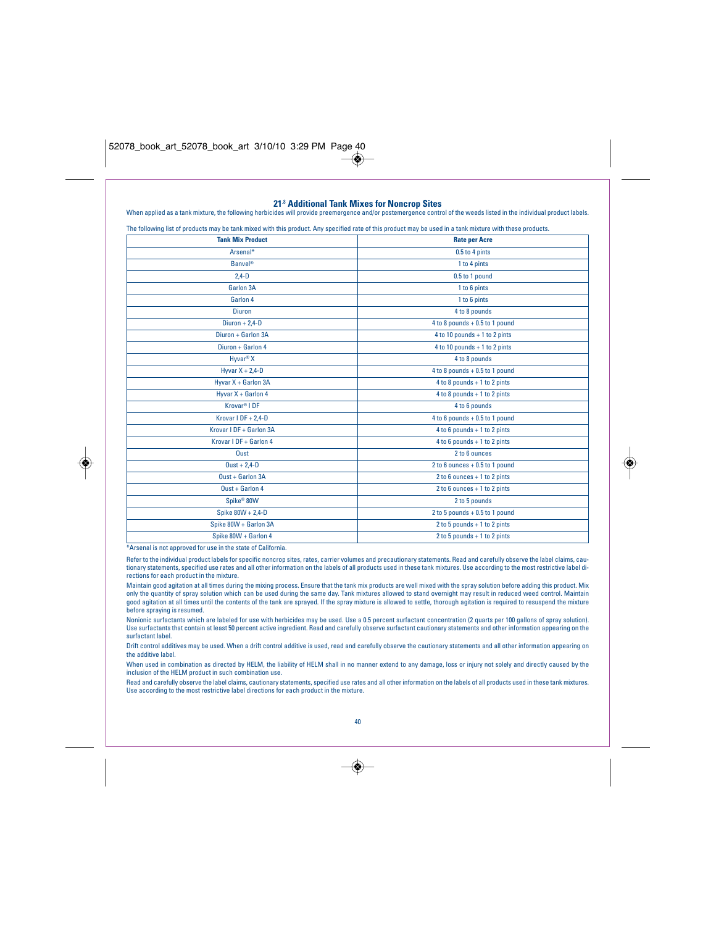|                          | The following list of products may be tank mixed with this product. Any specified rate of this product may be used in a tank mixture with these products. |  |
|--------------------------|-----------------------------------------------------------------------------------------------------------------------------------------------------------|--|
| <b>Tank Mix Product</b>  | <b>Rate per Acre</b>                                                                                                                                      |  |
| Arsenal*                 | 0.5 to 4 pints                                                                                                                                            |  |
| <b>Banvel®</b>           | 1 to 4 pints                                                                                                                                              |  |
| $2,4-D$                  | 0.5 to 1 pound                                                                                                                                            |  |
| Garlon 3A                | 1 to 6 pints                                                                                                                                              |  |
| Garlon 4                 | 1 to 6 pints                                                                                                                                              |  |
| <b>Diuron</b>            | 4 to 8 pounds                                                                                                                                             |  |
| Diuron + $2,4$ -D        | 4 to 8 pounds + 0.5 to 1 pound                                                                                                                            |  |
| Diuron + Garlon 3A       | $4$ to 10 pounds + 1 to 2 pints                                                                                                                           |  |
| Diuron + Garlon 4        | $4$ to 10 pounds + 1 to 2 pints                                                                                                                           |  |
| Hyvar <sup>®</sup> X     | 4 to 8 pounds                                                                                                                                             |  |
| Hyvar $X + 2,4-D$        | 4 to 8 pounds + 0.5 to 1 pound                                                                                                                            |  |
| Hyvar X + Garlon 3A      | $4$ to $8$ pounds + 1 to 2 pints                                                                                                                          |  |
| Hyvar X + Garlon 4       | $4$ to $8$ pounds + 1 to 2 pints                                                                                                                          |  |
| Krovar <sup>®</sup> I DF | 4 to 6 pounds                                                                                                                                             |  |
| Krovar I DF + 2,4-D      | $4$ to $6$ pounds + 0.5 to 1 pound                                                                                                                        |  |
| Krovar I DF + Garlon 3A  | $4$ to $6$ pounds + 1 to 2 pints                                                                                                                          |  |
| Krovar I DF + Garlon 4   | $4$ to $6$ pounds + 1 to 2 pints                                                                                                                          |  |
| Oust                     | 2 to 6 ounces                                                                                                                                             |  |
| $0ust + 2,4-D$           | 2 to 6 ounces + 0.5 to 1 pound                                                                                                                            |  |
| $0$ ust + Garlon 3A      | $2$ to $6$ ounces + 1 to $2$ pints                                                                                                                        |  |
| $0$ ust + Garlon 4       | 2 to 6 ounces + 1 to 2 pints                                                                                                                              |  |
| Spike <sup>®</sup> 80W   | 2 to 5 pounds                                                                                                                                             |  |
| Spike 80W + 2,4-D        | $2$ to $5$ pounds + 0.5 to 1 pound                                                                                                                        |  |
| Spike 80W + Garlon 3A    | $2$ to 5 pounds + 1 to 2 pints                                                                                                                            |  |
| Spike 80W + Garlon 4     | $2$ to $5$ pounds + 1 to $2$ pints                                                                                                                        |  |

\*Arsenal is not approved for use in the state of California.

◈

Refer to the individual product labels for specific noncrop sites, rates, carrier volumes and precautionary statements. Read and carefully observe the label claims, cautionary statements, specified use rates and all other information on the labels of all products used in these tank mixtures. Use according to the most restrictive label directions for each product in the mixture.

Maintain good agitation at all times during the mixing process. Ensure that the tank mix products are well mixed with the spray solution before adding this product. Mix<br>only the quantity of spray solution which can be used before spraying is resumed.

Nonionic surfactants which are labeled for use with herbicides may be used. Use a 0.5 percent surfactant concentration (2 quarts per 100 gallons of spray solution).<br>Use surfactants that contain at least 50 percent active i surfactant label.

Drift control additives may be used. When a drift control additive is used, read and carefully observe the cautionary statements and all other information appearing on the additive label.

When used in combination as directed by HELM, the liability of HELM shall in no manner extend to any damage, loss or injury not solely and directly caused by the inclusion of the HELM product in such combination use.

Read and carefully observe the label claims, cautionary statements, specified use rates and all other information on the labels of all products used in these tank mixtures. Use according to the most restrictive label directions for each product in the mixture.



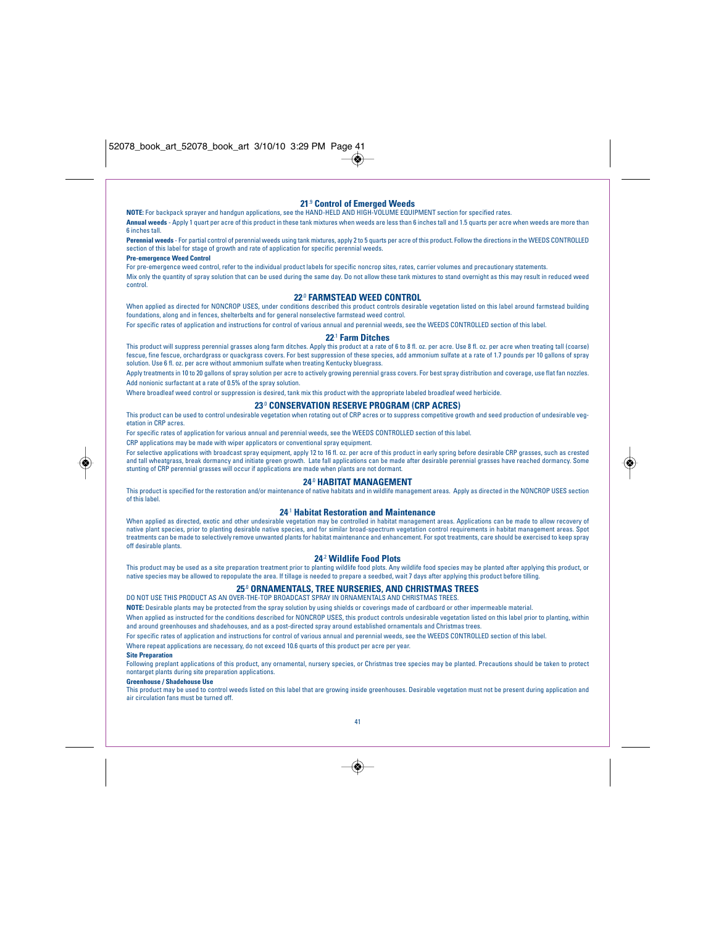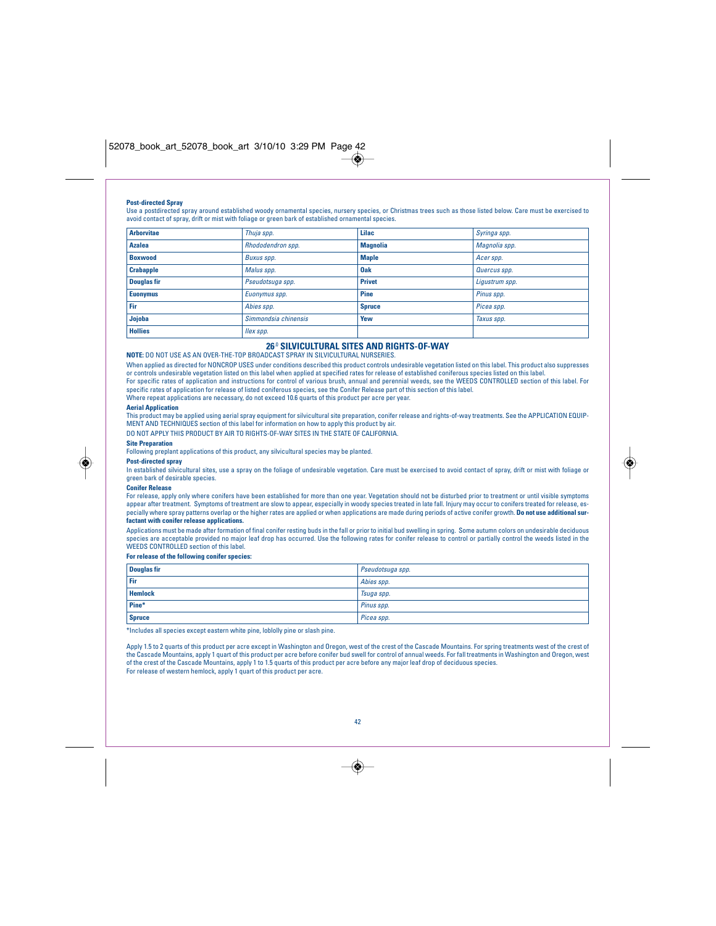#### **Post-directed Spray**

Use a postdirected spray around established woody ornamental species, nursery species, or Christmas trees such as those listed below. Care must be exercised to avoid contact of spray, drift or mist with foliage or green bark of established ornamental species.

| <b>Arborvitae</b>  | Thuja spp.           | Lilac           | Syringa spp.   |
|--------------------|----------------------|-----------------|----------------|
| <b>Azalea</b>      | Rhododendron spp.    | <b>Magnolia</b> | Magnolia spp.  |
| <b>Boxwood</b>     | Buxus spp.           | <b>Maple</b>    | Acerspp.       |
| <b>Crabapple</b>   | Malus spp.           | <b>Oak</b>      | Quercus spp.   |
| <b>Douglas fir</b> | Pseudotsuga spp.     | <b>Privet</b>   | Ligustrum spp. |
| , Euonymus         | Euonymus spp.        | Pine            | Pinus spp.     |
| Fir                | Abies spp.           | <b>Spruce</b>   | Picea spp.     |
| Jojoba             | Simmondsia chinensis | Yew             | Taxus spp.     |
| <b>Hollies</b>     | , llex spp.          |                 |                |

## **26**.0 **SILVICULTURAL SITES AND RIGHTS-OF-WAY**

**NOTE:** DO NOT USE AS AN OVER-THE-TOP BROADCAST SPRAY IN SILVICULTURAL NURSERIES.

When applied as directed for NONCROP USES under conditions described this product controls undesirable vegetation listed on this label. This product also suppresses or controls undesirable vegetation listed on this label when applied at specified rates for release of established coniferous species listed on this label. For specific rates of application and instructions for control of various brush, annual and perennial weeds, see the WEEDS CONTROLLED section of this label. For<br>specific rates of application for release of listed coniferou Where repeat applications are necessary, do not exceed 10.6 quarts of this product per acre per year.

#### **Aerial Application**

This product may be applied using aerial spray equipment for silvicultural site preparation, conifer release and rights-of-way treatments. See the APPLICATION EQUIP-<br>MENT AND TECHNIQUES section of this label for informatio

DO NOT APPLY THIS PRODUCT BY AIR TO RIGHTS-OF-WAY SITES IN THE STATE OF CALIFORNIA.



**Site Preparation**

Following preplant applications of this product, any silvicultural species may be planted.

## **Post-directed spray**

In established silvicultural sites, use a spray on the foliage of undesirable vegetation. Care must be exercised to avoid contact of spray, drift or mist with foliage or green bark of desirable species.

#### **Conifer Release**

For release, apply only where conifers have been established for more than one year. Vegetation should not be disturbed prior to treatment or until visible symptoms appear after treatment. Symptoms of treatment are slow to appear, especially in woody species treated in late fall. Injury may occur to conifers treated for release, especially where spray patterns overlap or the higher rates are applied or when applications are made during periods of active conifer growth. **Do not use additional surfactant with conifer release applications.**

Applications must be made after formation of final conifer resting buds in the fall or prior to initial bud swelling in spring. Some autumn colors on undesirable deciduous species are acceptable provided no major leaf drop has occurred. Use the following rates for conifer release to control or partially control the weeds listed in the WEEDS CONTROLLED section of this label.

## **For release of the following conifer species:**

| <b>Douglas fir</b> | Pseudotsuga spp. |
|--------------------|------------------|
| Fir                | Abies spp.       |
| <b>Hemlock</b>     | Tsuga spp.       |
| Pine*              | Pinus spp.       |
| <b>Spruce</b>      | Picea spp.       |

\*Includes all species except eastern white pine, loblolly pine or slash pine.

Apply 1.5 to 2 quarts of this product per acre except in Washington and Oregon, west of the crest of the Cascade Mountains. For spring treatments west of the crest of the Cascade Mountains, apply 1 quart of this product per acre before conifer bud swell for control of annual weeds. For fall treatments in Washington and Oregon, west of the crest of the Cascade Mountains, apply 1 to 1.5 quarts of this product per acre before any major leaf drop of deciduous species. For release of western hemlock, apply 1 quart of this product per acre.



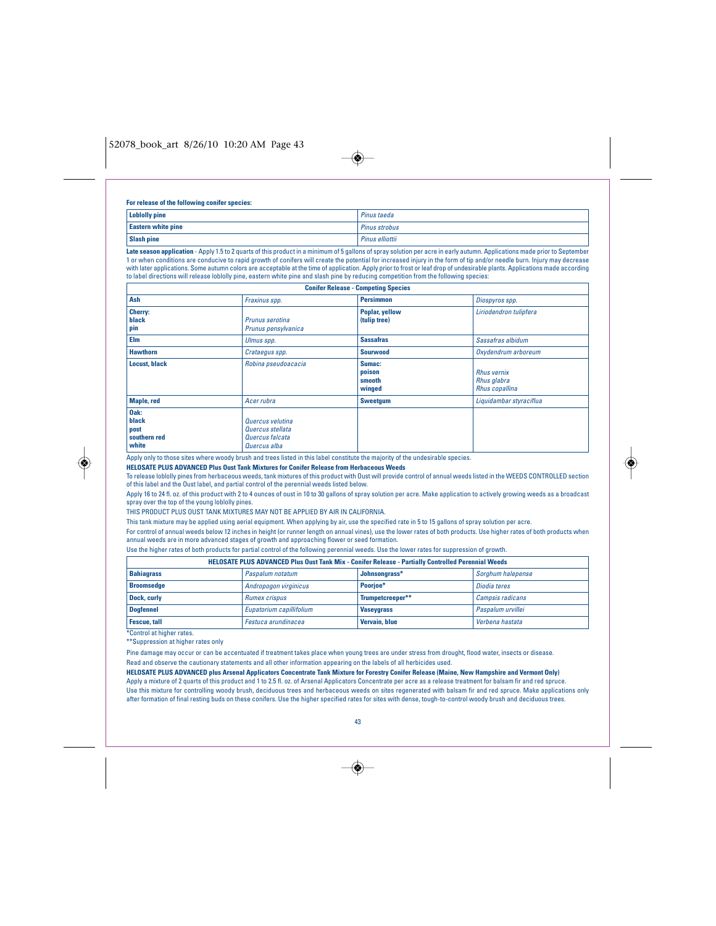$\overline{\bullet}$ 

#### **For release of the following conifer species:**

| <b>Loblolly pine</b>      | Pinus taeda     |
|---------------------------|-----------------|
| <b>Eastern white pine</b> | Pinus strobus   |
| <b>Slash pine</b>         | Pinus elliottii |

**Late season application** - Apply 1.5 to 2 quarts of this product in a minimum of 5 gallons of spray solution per acre in early autumn. Applications made prior to September 1 or when conditions are conducive to rapid growth of conifers will create the potential for increased injury in the form of tip and/or needle burn. Injury may decrease with later applications. Some autumn colors are acceptable at the time of application. Apply prior to frost or leaf drop of undesirable plants. Applications made according to label directions will release loblolly pine, eastern white pine and slash pine by reducing competition from the following species:

| <b>Conifer Release - Competing Species</b>     |                                                                         |                                      |                                                            |  |
|------------------------------------------------|-------------------------------------------------------------------------|--------------------------------------|------------------------------------------------------------|--|
| Ash                                            | Fraxinus spp.                                                           | <b>Persimmon</b>                     | Diospyros spp.                                             |  |
| Cherry:<br>black<br>pin                        | Prunus serotina<br>Prunus pensylvanica                                  | Poplar, yellow<br>(tulip tree)       | Liriodendron tulipfera                                     |  |
| Elm                                            | Ulmus spp.                                                              | <b>Sassafras</b>                     | Sassafras albidum                                          |  |
| <b>Hawthorn</b>                                | Crataegus spp.                                                          | <b>Sourwood</b>                      | Oxydendrum arboreum                                        |  |
| <b>Locust, black</b>                           | Robina pseudoacacia                                                     | Sumac:<br>poison<br>smooth<br>winged | <b>Rhus vernix</b><br>Rhus glabra<br><b>Rhus copallina</b> |  |
| <b>Maple, red</b>                              | Acer rubra                                                              | <b>Sweetgum</b>                      | Liquidambar styraciflua                                    |  |
| Oak:<br>black<br>post<br>southern red<br>white | Quercus velutina<br>Quercus stellata<br>Quercus falcata<br>Quercus alba |                                      |                                                            |  |

Apply only to those sites where woody brush and trees listed in this label constitute the majority of the undesirable species.

**HELOSATE PLUS ADVANCED Plus Oust Tank Mixtures for Conifer Release from Herbaceous Weeds**

To release loblolly pines from herbaceous weeds, tank mixtures of this product with Oust will provide control of annual weeds listed in the WEEDS CONTROLLED section of this label and the Oust label, and partial control of the perennial weeds listed below.

Apply 16 to 24 fl. oz. of this product with 2 to 4 ounces of oust in 10 to 30 gallons of spray solution per acre. Make application to actively growing weeds as a broadcast spray over the top of the young loblolly pines.

THIS PRODUCT PLUS OUST TANK MIXTURES MAY NOT BE APPLIED BY AIR IN CALIFORNIA.

This tank mixture may be applied using aerial equipment. When applying by air, use the specified rate in 5 to 15 gallons of spray solution per acre.

For control of annual weeds below 12 inches in height (or runner length on annual vines), use the lower rates of both products. Use higher rates of both products when annual weeds are in more advanced stages of growth and approaching flower or seed formation.

Use the higher rates of both products for partial control of the following perennial weeds. Use the lower rates for suppression of growth.

| HELOSATE PLUS ADVANCED Plus Oust Tank Mix - Conifer Release - Partially Controlled Perennial Weeds |                          |                   |                         |  |
|----------------------------------------------------------------------------------------------------|--------------------------|-------------------|-------------------------|--|
| <b>Bahiagrass</b>                                                                                  | Paspalum notatum         | Johnsongrass*     | Sorghum halepense       |  |
| <b>Broomsedge</b>                                                                                  | Andropogon virginicus    | Poorjoe*          | Diodia teres            |  |
| Dock, curly                                                                                        | <b>Rumex crispus</b>     | Trumpetcreeper**  | <b>Campsis radicans</b> |  |
| Doafennel                                                                                          | Eupatorium capillifolium | <b>Vaseygrass</b> | Paspalum urvillei       |  |
| <b>Fescue, tall</b>                                                                                | Festuca arundinacea      | Vervain, blue     | Verbena hastata         |  |
| *Control at higher rates.                                                                          |                          |                   |                         |  |

\*\*Suppression at higher rates only

Pine damage may occur or can be accentuated if treatment takes place when young trees are under stress from drought, flood water, insects or disease. Read and observe the cautionary statements and all other information appearing on the labels of all herbicides used.

**HELOSATE PLUS ADVANCED plus Arsenal Applicators Concentrate Tank Mixture for Forestry Conifer Release (Maine, New Hampshire and Vermont Only)** Apply a mixture of 2 quarts of this product and 1 to 2.5 fl. oz. of Arsenal Applicators Concentrate per acre as a release treatment for balsam fir and red spruce. Use this mixture for controlling woody brush, deciduous trees and herbaceous weeds on sites regenerated with balsam fir and red spruce. Make applications only after formation of final resting buds on these conifers. Use the higher specified rates for sites with dense, tough-to-control woody brush and deciduous trees.



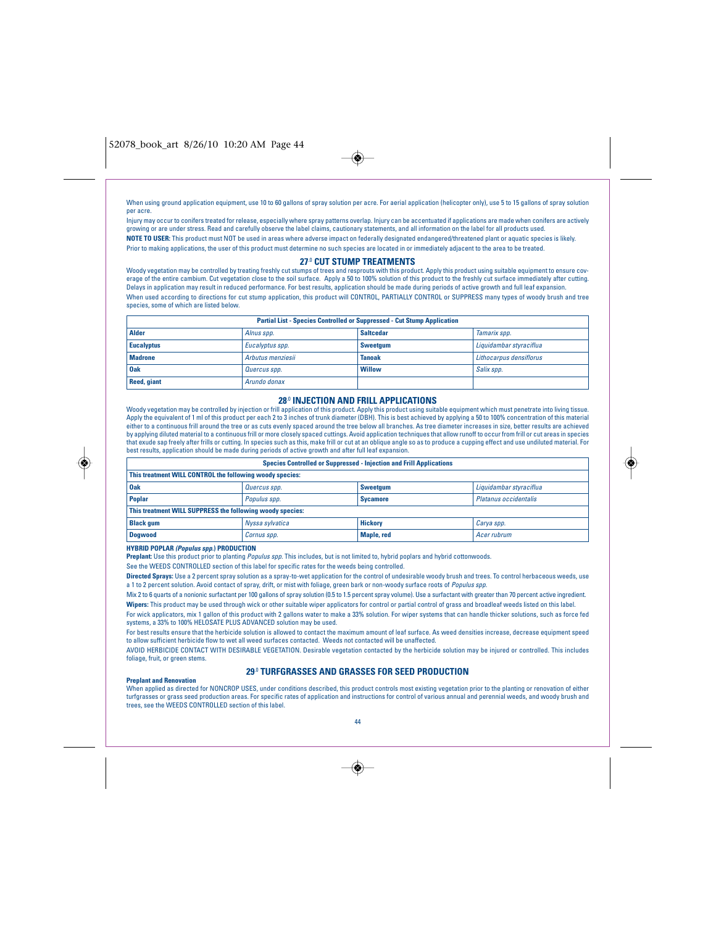

When using ground application equipment, use 10 to 60 gallons of spray solution per acre. For aerial application (helicopter only), use 5 to 15 gallons of spray solution per acre.

Injury may occur to conifers treated for release, especially where spray patterns overlap. Injury can be accentuated if applications are made when conifers are actively growing or are under stress. Read and carefully observe the label claims, cautionary statements, and all information on the label for all products used. **NOTE TO USER:** This product must NOT be used in areas where adverse impact on federally designated endangered/threatened plant or aquatic species is likely. Prior to making applications, the user of this product must determine no such species are located in or immediately adjacent to the area to be treated.

## **27**.0 **CUT STUMP TREATMENTS**

Woody vegetation may be controlled by treating freshly cut stumps of trees and resprouts with this product. Apply this product using suitable equipment to ensure coverage of the entire cambium. Cut vegetation close to the soil surface. Apply a 50 to 100% solution of this product to the freshly cut surface immediately after cutting. Delays in application may result in reduced performance. For best results, application should be made during periods of active growth and full leaf expansion. When used according to directions for cut stump application, this product will CONTROL, PARTIALLY CONTROL or SUPPRESS many types of woody brush and tree species, some of which are listed below.

| <b>Partial List - Species Controlled or Suppressed - Cut Stump Application</b> |                   |                  |                         |  |
|--------------------------------------------------------------------------------|-------------------|------------------|-------------------------|--|
| Alder                                                                          | Alnus spp.        | <b>Saltcedar</b> | Tamarix spp.            |  |
| <b>Eucalyptus</b>                                                              | Eucalyptus spp.   | Sweetgum         | Liquidambar styraciflua |  |
| <b>Madrone</b>                                                                 | Arbutus menziesii | <b>Tanoak</b>    | Lithocarpus densiflorus |  |
| <b>Oak</b>                                                                     | Quercus spp.      | <b>Willow</b>    | Salix spp.              |  |
| Reed, giant                                                                    | Arundo donax      |                  |                         |  |

## **28**.0 **INJECTION AND FRILL APPLICATIONS**

Woody vegetation may be controlled by injection or frill application of this product. Apply this product using suitable equipment which must penetrate into living tissue.<br>Apply the equivalent of 1 ml of this product per ea either to a continuous frill around the tree or as cuts evenly spaced around the tree below all branches. As tree diameter increases in size, better results are achieved by applying diluted material to a continuous frill or more closely spaced cuttings. Avoid application techniques that allow runoff to occur from frill or cut areas in species<br>that exude sap freely after frills or cutting. best results, application should be made during periods of active growth and after full leaf expansion.

| <b>Species Controlled or Suppressed - Injection and Frill Applications</b> |                 |                 |                              |  |
|----------------------------------------------------------------------------|-----------------|-----------------|------------------------------|--|
| This treatment WILL CONTROL the following woody species:                   |                 |                 |                              |  |
| <b>Oak</b><br>Liquidambar styraciflua<br><b>Sweetgum</b><br>Quercus spp.   |                 |                 |                              |  |
| <b>Poplar</b>                                                              | Populus spp.    | <b>Sycamore</b> | <b>Platanus occidentalis</b> |  |
| This treatment WILL SUPPRESS the following woody species:                  |                 |                 |                              |  |
| <b>Black gum</b>                                                           | Nyssa sylvatica | <b>Hickory</b>  | Carya spp.                   |  |
| <b>Dogwood</b>                                                             | Cornus spp.     | Maple, red      | Acer rubrum                  |  |

**HYBRID POPLAR (Populus spp.) PRODUCTION**

**Preplant:** Use this product prior to planting *Populus spp.* This includes, but is not limited to, hybrid poplars and hybrid cottonwoods.

See the WEEDS CONTROLLED section of this label for specific rates for the weeds being controlled.

**Directed Sprays:** Use a 2 percent spray solution as a spray-to-wet application for the control of undesirable woody brush and trees. To control herbaceous weeds, use a 1 to 2 percent solution. Avoid contact of spray, drift, or mist with foliage, green bark or non-woody surface roots of Populus spp.

Mix 2 to 6 quarts of a nonionic surfactant per 100 gallons of spray solution (0.5 to 1.5 percent spray volume). Use a surfactant with greater than 70 percent active ingredient. **Wipers:** This product may be used through wick or other suitable wiper applicators for control or partial control of grass and broadleaf weeds listed on this label. For wick applicators, mix 1 gallon of this product with 2 gallons water to make a 33% solution. For wiper systems that can handle thicker solutions, such as force fed systems, a 33% to 100% HELOSATE PLUS ADVANCED solution may be used.

For best results ensure that the herbicide solution is allowed to contact the maximum amount of leaf surface. As weed densities increase, decrease equipment speed to allow sufficient herbicide flow to wet all weed surfaces contacted. Weeds not contacted will be unaffected.

AVOID HERBICIDE CONTACT WITH DESIRABLE VEGETATION. Desirable vegetation contacted by the herbicide solution may be injured or controlled. This includes foliage, fruit, or green stems.

## **29**.0 **TURFGRASSES AND GRASSES FOR SEED PRODUCTION**

#### **Preplant and Renovation**

When applied as directed for NONCROP USES, under conditions described, this product controls most existing vegetation prior to the planting or renovation of either turfgrasses or grass seed production areas. For specific rates of application and instructions for control of various annual and perennial weeds, and woody brush and trees, see the WEEDS CONTROLLED section of this label.



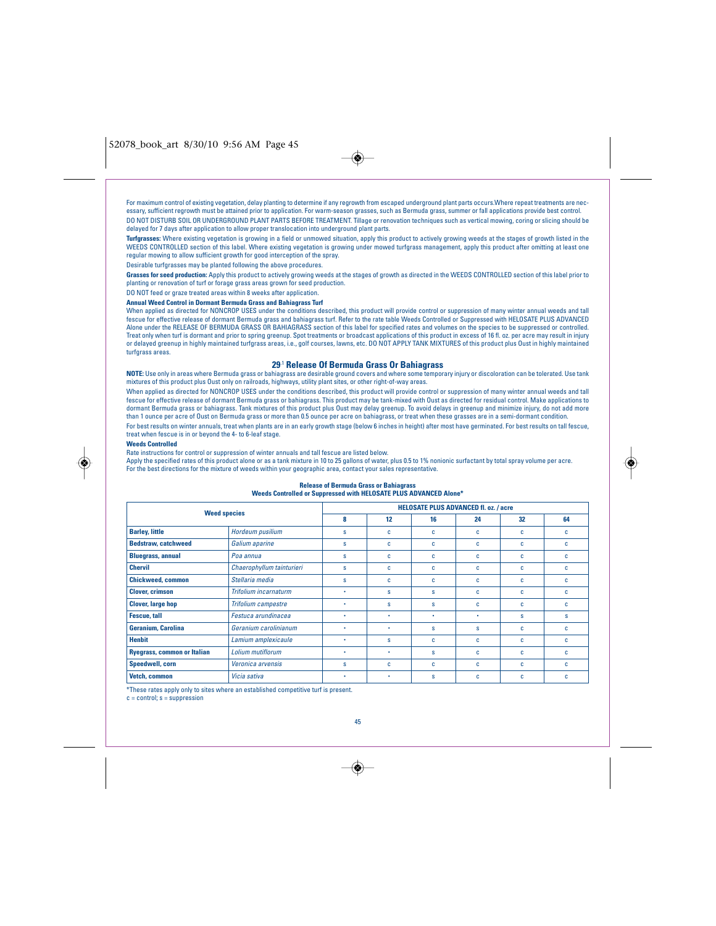## 52078\_book\_art 8/30/10 9:56 AM Page 45

 $\bigcirc$ 

For maximum control of existing vegetation, delay planting to determine if any regrowth from escaped underground plant parts occurs.Where repeat treatments are necessary, sufficient regrowth must be attained prior to application. For warm-season grasses, such as Bermuda grass, summer or fall applications provide best control. DO NOT DISTURB SOIL OR UNDERGROUND PLANT PARTS BEFORE TREATMENT. Tillage or renovation techniques such as vertical mowing, coring or slicing should be delayed for 7 days after application to allow proper translocation into underground plant parts.

**Turfgrasses:** Where existing vegetation is growing in a field or unmowed situation, apply this product to actively growing weeds at the stages of growth listed in the WEEDS CONTROLLED section of this label. Where existing vegetation is growing under mowed turfgrass management, apply this product after omitting at least one regular mowing to allow sufficient growth for good interception of the spray.

Desirable turfgrasses may be planted following the above procedures.

**Grasses for seed production:** Apply this product to actively growing weeds at the stages of growth as directed in the WEEDS CONTROLLED section of this label prior to planting or renovation of turf or forage grass areas grown for seed production.

## DO NOT feed or graze treated areas within 8 weeks after application.

## **Annual Weed Control in Dormant Bermuda Grass and Bahiagrass Turf**

When applied as directed for NONCROP USES under the conditions described, this product will provide control or suppression of many winter annual weeds and tall fescue for effective release of dormant Bermuda grass and bahiagrass turf. Refer to the rate table Weeds Controlled or Suppressed with HELOSATE PLUS ADVANCED Alone under the RELEASE OF BERMUDA GRASS OR BAHIAGRASS section of this label for specified rates and volumes on the species to be suppressed or controlled. Treat only when turf is dormant and prior to spring greenup. Spot treatments or broadcast applications of this product in excess of 16 fl. oz. per acre may result in injury or delayed greenup in highly maintained turfgrass areas, i.e., golf courses, lawns, etc. DO NOT APPLY TANK MIXTURES of this product plus Oust in highly maintained turfgrass areas.

## **29**.1 **Release Of Bermuda Grass Or Bahiagrass**

**NOTE:** Use only in areas where Bermuda grass or bahiagrass are desirable ground covers and where some temporary injury or discoloration can be tolerated. Use tank mixtures of this product plus Oust only on railroads, highways, utility plant sites, or other right-of-way areas.

When applied as directed for NONCROP USES under the conditions described, this product will provide control or suppression of many winter annual weeds and tall fescue for effective release of dormant Bermuda grass or bahiagrass. This product may be tank-mixed with Oust as directed for residual control. Make applications to<br>dormant Bermuda grass or bahiagrass. Tank mixtures of thi than 1 ounce per acre of Oust on Bermuda grass or more than 0.5 ounce per acre on bahiagrass, or treat when these grasses are in a semi-dormant condition. For best results on winter annuals, treat when plants are in an early growth stage (below 6 inches in height) after most have germinated. For best results on tall fescue, treat when fescue is in or beyond the 4- to 6-leaf stage.

#### **Weeds Controlled**

Rate instructions for control or suppression of winter annuals and tall fescue are listed below.<br>Apply the specified rates of this product alone or as a tank mixture in 10 to 25 gallons of water, plus 0.5 to 1% nonionic su For the best directions for the mixture of weeds within your geographic area, contact your sales representative.

#### **Release of Bermuda Grass or Bahiagrass Weeds Controlled or Suppressed with HELOSATE PLUS ADVANCED Alone\***

| <b>Weed species</b>                |                            | <b>HELOSATE PLUS ADVANCED fl. oz. / acre</b> |              |    |    |    |    |
|------------------------------------|----------------------------|----------------------------------------------|--------------|----|----|----|----|
|                                    |                            | 8                                            | 12           | 16 | 24 | 32 | 64 |
| <b>Barley, little</b>              | Hordeum pusilium           | s                                            | c            | c  | C  | C  | c  |
| <b>Bedstraw, catchweed</b>         | Galium aparine             | s                                            | c            | C  | c  | C  | c  |
| <b>Bluegrass, annual</b>           | Poa annua                  | s                                            | c            | c  | c  | C  | c  |
| <b>Chervil</b>                     | Chaerophyllum tainturieri  | s                                            | c            | c  | c  | C  | c  |
| <b>Chickweed, common</b>           | Stellaria media            | s                                            | c            | c  | c  | C  | c  |
| <b>Clover, crimson</b>             | Trifolium incarnaturm      | ٠                                            | $\mathbf{s}$ | s  | c  | C  | c. |
| <b>Clover, large hop</b>           | <b>Trifolium campestre</b> | ٠                                            | s            | s  | c  | C  | c  |
| <b>Fescue, tall</b>                | Festuca arundinacea        | ٠                                            | ٠            | ٠  | ٠  | s  | s  |
| Geranium, Carolina                 | Geranium carolinianum      | ٠                                            | ٠            | s  | s  | C  | c  |
| <b>Henbit</b>                      | Lamium amplexicaule        | ٠                                            | s            | c  | c  | C  | c  |
| <b>Ryegrass, common or Italian</b> | Lolium mutiflorum          | ٠                                            | ٠            | s  | c  | C  | c  |
| Speedwell, corn                    | Veronica arvensis          | s                                            | c            | C  | c  | C  | c  |
| Vetch, common                      | Vicia sativa               | ٠                                            | ٠            | s  | c  | C  | C  |

\*These rates apply only to sites where an established competitive turf is present.

 $c =$  control;  $s =$  suppression

45

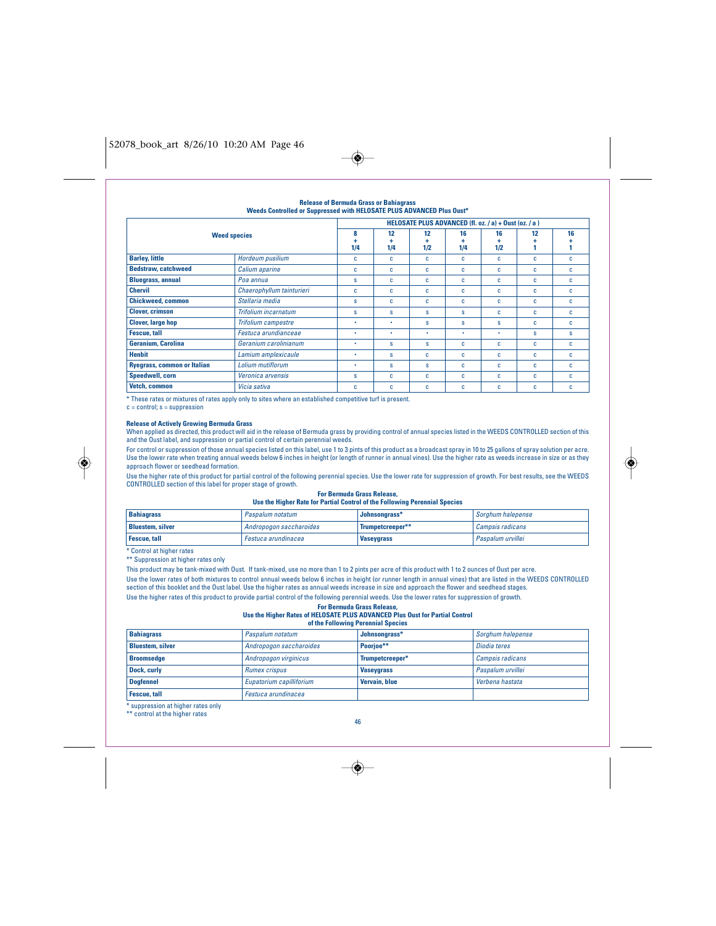## 52078\_book\_art 8/26/10 10:20 AM Page 46



#### **Release of Bermuda Grass or Bahiagrass Weeds Controlled or Suppressed with HELOSATE PLUS ADVANCED Plus Oust\* Weed species HELOSATE PLUS ADVANCED (fl. oz. / a) + Oust (oz. / a ) 8 + 1/4 12 + 1/4 12 + 1/2 16 + 1/4 16 + 1/2 12 + 1 16 + 1 Barley, little C** *Barley, little* **C** *C C C C C C C C C C C C C C C C C* **Bedstraw, catchweed** Calium aparine c c c c c c c c **Bluegrass, annual** Poa annua s s c c c c c **Chervil** Chaerophyllum tainturieri c c c c c c c **Chickweed, common** Stellaria media s c c c c c c **Clover, crimson** Trifolium incarnatum s s s s s c c c **Clover, large hop Trifolium campestre** • • s s s c c **Fescue, tall** Festuca arundianceae • • • • • s s **Geranium, Carolina Geranium carolinianum existence construent construent construent construent construent construent construent construent construent construent construent construent construent construent construent con Henbit Lamium amplexicaule •** s c c c c c c **Ryegrass, common or Italian** *Lolium mutiflorum* **•** s s c c c c c **Speedwell, corn** Veronica arvensis s c c c c c c **Vetch, common** Vicia sativa c c c c c c c

\* These rates or mixtures of rates apply only to sites where an established competitive turf is present.

 $c = control; s = suppressi$ 

◈

## **Release of Actively Growing Bermuda Grass**

When applied as directed, this product will aid in the release of Bermuda grass by providing control of annual species listed in the WEEDS CONTROLLED section of this and the Oust label, and suppression or partial control of certain perennial weeds.

For control or suppression of those annual species listed on this label, use 1 to 3 pints of this product as a broadcast spray in 10 to 25 gallons of spray solution per acre. Use the lower rate when treating annual weeds below 6 inches in height (or length of runner in annual vines). Use the higher rate as weeds increase in size or as they approach flower or seedhead formation.

Use the higher rate of this product for partial control of the following perennial species. Use the lower rate for suppression of growth. For best results, see the WEEDS CONTROLLED section of this label for proper stage of growth.

#### **For Bermuda Grass Release, Use the Higher Rate for Partial Control of the Following Perennial Species**

| <b>Bahiagrass</b>       | Paspalum notatum        | Johnsonarass*     | Sorghum halepense |
|-------------------------|-------------------------|-------------------|-------------------|
| <b>Bluestem, silver</b> | Andropogon saccharoides | Trumpetcreeper**  | Campsis radicans  |
| Fescue, tall            | ' Festuca arundinacea   | <b>Vaseygrass</b> | Paspalum urvillei |

\* Control at higher rates \*\* Suppression at higher rates only

This product may be tank-mixed with Oust. If tank-mixed, use no more than 1 to 2 pints per acre of this product with 1 to 2 ounces of Oust per acre. Use the lower rates of both mixtures to control annual weeds below 6 inches in height (or runner length in annual vines) that are listed in the WEEDS CONTROLLED section of this booklet and the Oust label. Use the higher rates as annual weeds increase in size and approach the flower and seedhead stages. Use the higher rates of this product to provide partial control of the following perennial weeds. Use the lower rates for suppression of growth.

### **For Bermuda Grass Release, Use the Higher Rates of HELOSATE PLUS ADVANCED Plus Oust for Partial Control**

| of the Following Perennial Species |  |  |
|------------------------------------|--|--|
|------------------------------------|--|--|

| <b>Bahiagrass</b>       | Paspalum notatum         | Johnsongrass*        | Sorghum halepense       |
|-------------------------|--------------------------|----------------------|-------------------------|
| <b>Bluestem, silver</b> | Andropogon saccharoides  | Poorioe**            | Diodia teres            |
| <b>Broomsedge</b>       | Andropogon virginicus    | Trumpetcreeper*      | <b>Campsis radicans</b> |
| Dock, curly             | <b>Rumex crispus</b>     | <b>Vaseygrass</b>    | Paspalum urvillei       |
| <b>Doafennel</b>        | Eupatorium capilliforium | <b>Vervain, blue</b> | Verbena hastata         |
| <b>Fescue, tall</b>     | Festuca arundinacea      |                      |                         |

\* suppression at higher rates only \*\* control at the higher rates

46

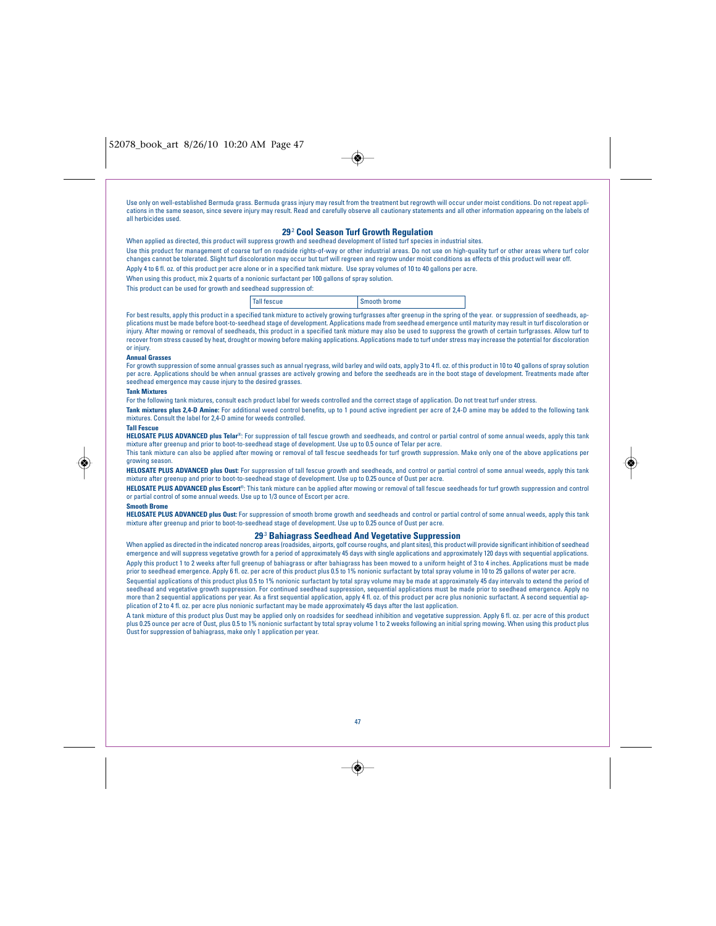$\rightarrow$ 

Use only on well-established Bermuda grass. Bermuda grass injury may result from the treatment but regrowth will occur under moist conditions. Do not repeat applications in the same season, since severe injury may result. Read and carefully observe all cautionary statements and all other information appearing on the labels of all herbicides used.

## **29**.2 **Cool Season Turf Growth Regulation**

When applied as directed, this product will suppress growth and seedhead development of listed turf species in industrial sites. Use this product for management of coarse turf on roadside rights-of-way or other industrial areas. Do not use on high-quality turf or other areas where turf color changes cannot be tolerated. Slight turf discoloration may occur but turf will regreen and regrow under moist conditions as effects of this product will wear off. Apply 4 to 6 fl. oz. of this product per acre alone or in a specified tank mixture. Use spray volumes of 10 to 40 gallons per acre.

- When using this product, mix 2 quarts of a nonionic surfactant per 100 gallons of spray solution.
- This product can be used for growth and seedhead suppression of:

Tall fescue Smooth brome

For best results, apply this product in a specified tank mixture to actively growing turfgrasses after greenup in the spring of the year. or suppression of seedheads, applications must be made before boot-to-seedhead stage of development. Applications made from seedhead emergence until maturity may result in turf discoloration or injury. After mowing or removal of seedheads, this product in a specified tank mixture may also be used to suppress the growth of certain turfgrasses. Allow turf to recover from stress caused by heat. drought or mowing bef recover from stress caused by heat, drought or mowing before making applications. Applications made to turf under stress may increase the pote

#### or injury. **Annual Grasses**

For growth suppression of some annual grasses such as annual ryegrass, wild barley and wild oats, apply 3 to 4 fl. oz. of this product in 10 to 40 gallons of spray solution<br>per acre. Applications should be when annual gras seedhead emergence may cause injury to the desired grasses.

### **Tank Mixtures**

For the following tank mixtures, consult each product label for weeds controlled and the correct stage of application. Do not treat turf under stress.

**Tank mixtures plus 2,4-D Amine:** For additional weed control benefits, up to 1 pound active ingredient per acre of 2,4-D amine may be added to the following tank mixtures. Consult the label for 2,4-D amine for weeds controlled.

#### **Tall Fescue**

**HELOSATE PLUS ADVANCED plus Telar**<sup>®</sup>: For suppression of tall fescue growth and seedheads, and control or partial control of some annual weeds, apply this tank mixture after greenup and prior to boot-to-seedhead stage of development. Use up to 0.5 ounce of Telar per acre.

This tank mixture can also be applied after mowing or removal of tall fescue seedheads for turf growth suppression. Make only one of the above applications per growing season.

**HELOSATE PLUS ADVANCED plus Oust:** For suppression of tall fescue growth and seedheads, and control or partial control of some annual weeds, apply this tank mixture after greenup and prior to boot-to-seedhead stage of development. Use up to 0.25 ounce of Oust per acre.

**HELOSATE PLUS ADVANCED plus Escort**®: This tank mixture can be applied after mowing or removal of tall fescue seedheads for turf growth suppression and control or partial control of some annual weeds. Use up to 1/3 ounce of Escort per acre.

#### **Smooth Brome**

**HELOSATE PLUS ADVANCED plus Oust:** For suppression of smooth brome growth and seedheads and control or partial control of some annual weeds, apply this tank mixture after greenup and prior to boot-to-seedhead stage of development. Use up to 0.25 ounce of Oust per acre.

### **29**.3 **Bahiagrass Seedhead And Vegetative Suppression**

When applied as directed in the indicated noncrop areas (roadsides, airports, golf course roughs, and plant sites), this product will provide significant inhibition of seedhead<br>emergence and will suppress vegetative growth Apply this product 1 to 2 weeks after full greenup of bahiagrass or after bahiagrass has been mowed to a uniform height of 3 to 4 inches. Applications must be made prior to seedhead emergence. Apply 6 fl. oz. per acre of this product plus 0.5 to 1% nonionic surfactant by total spray volume in 10 to 25 gallons of water per acre.

Sequential applications of this product plus 0.5 to 1% nonionic surfactant by total spray volume may be made at approximately 45 day intervals to extend the period of seedhead and vegetative growth suppression. For continued seedhead suppression, sequential applications must be made prior to seedhead emergence. Apply no more than 2 sequential applications per year. As a first sequential application, apply 4 fl. oz. of this product per acre plus nonionic surfactant. A second sequential application of 2 to 4 fl. oz. per acre plus nonionic surfactant may be made approximately 45 days after the last application.

A tank mixture of this product plus Oust may be applied only on roadsides for seedhead inhibition and vegetative suppression. Apply 6 fl. oz. per acre of this product plus 0.25 ounce per acre of Oust, plus 0.5 to 1% nonionic surfactant by total spray volume 1 to 2 weeks following an initial spring mowing. When using this product plus Oust for suppression of bahiagrass, make only 1 application per year.



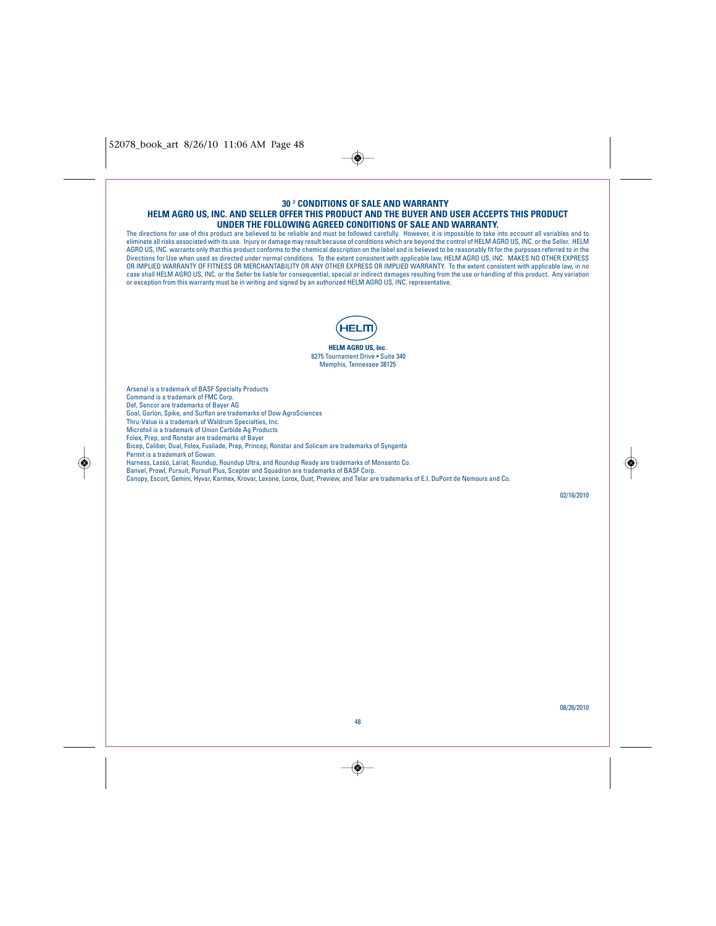52078\_book\_art 8/26/10 11:06 AM Page 48